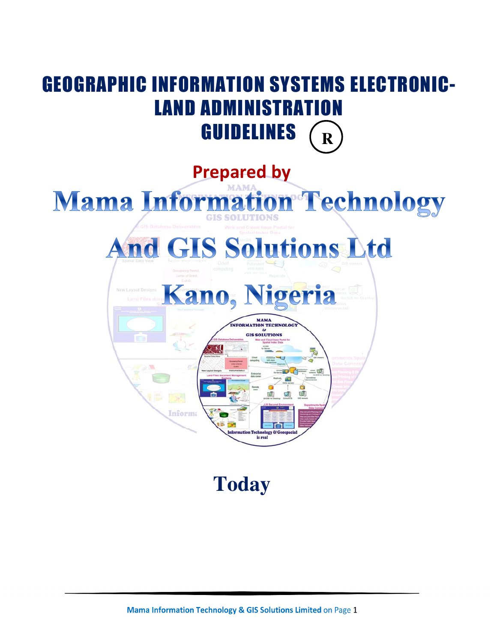

**Today**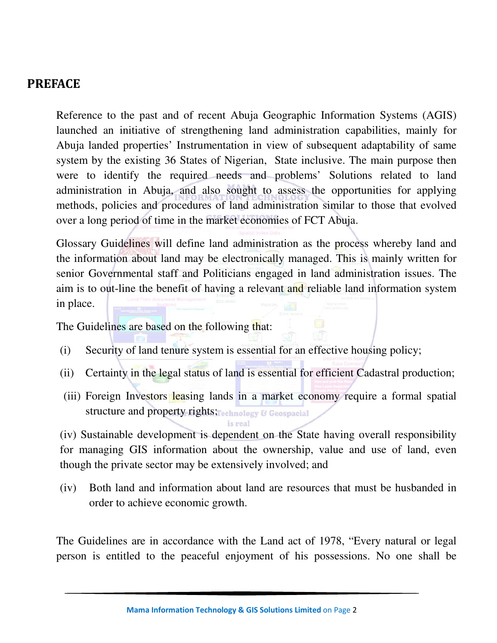#### **PREFACE**

Reference to the past and of recent Abuja Geographic Information Systems (AGIS) launched an initiative of strengthening land administration capabilities, mainly for Abuja landed properties' Instrumentation in view of subsequent adaptability of same system by the existing 36 States of Nigerian, State inclusive. The main purpose then were to identify the required needs and problems' Solutions related to land administration in Abuja, and also sought to assess the opportunities for applying methods, policies and procedures of land administration similar to those that evolved over a long period of time in the market economies of FCT Abuja.

Glossary Guidelines will define land administration as the process whereby land and the information about land may be electronically managed. This is mainly written for senior Governmental staff and Politicians engaged in land administration issues. The aim is to out-line the benefit of having a relevant and reliable land information system in place.

The Guidelines are based on the following that:

- (i) Security of land tenure system is essential for an effective housing policy;
- (ii) Certainty in the legal status of land is essential for efficient Cadastral production;
- (iii) Foreign Investors leasing lands in a market economy require a formal spatial structure and property rights; echnology & Geospacial

(iv) Sustainable development is dependent on the State having overall responsibility for managing GIS information about the ownership, value and use of land, even though the private sector may be extensively involved; and

(iv) Both land and information about land are resources that must be husbanded in order to achieve economic growth.

The Guidelines are in accordance with the Land act of 1978, "Every natural or legal person is entitled to the peaceful enjoyment of his possessions. No one shall be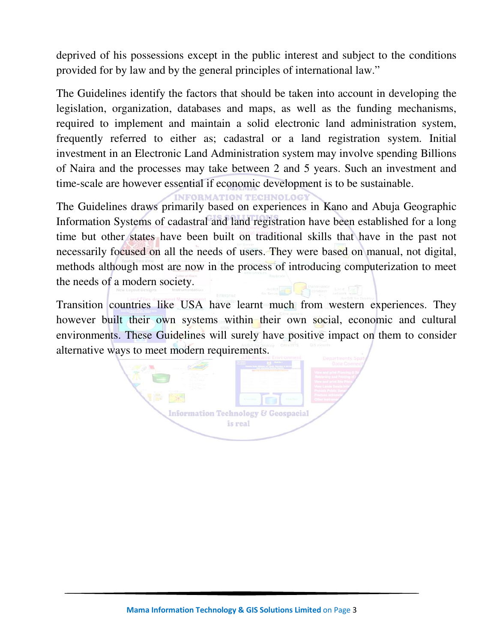deprived of his possessions except in the public interest and subject to the conditions provided for by law and by the general principles of international law."

The Guidelines identify the factors that should be taken into account in developing the legislation, organization, databases and maps, as well as the funding mechanisms, required to implement and maintain a solid electronic land administration system, frequently referred to either as; cadastral or a land registration system. Initial investment in an Electronic Land Administration system may involve spending Billions of Naira and the processes may take between 2 and 5 years. Such an investment and time-scale are however essential if economic development is to be sustainable.

**INFORMATION TECHNOLOGY** 

The Guidelines draws primarily based on experiences in Kano and Abuja Geographic Information Systems of cadastral and land registration have been established for a long time but other states have been built on traditional skills that have in the past not necessarily focused on all the needs of users. They were based on manual, not digital, methods although most are now in the process of introducing computerization to meet the needs of a modern society.

Transition countries like USA have learnt much from western experiences. They however built their own systems within their own social, economic and cultural environments. These Guidelines will surely have positive impact on them to consider alternative ways to meet modern requirements.

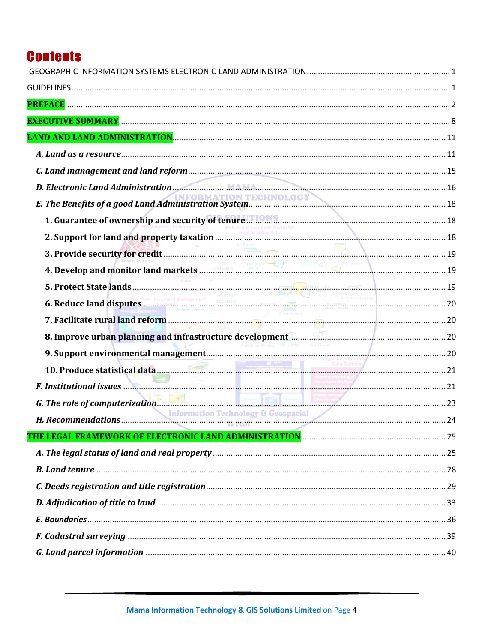# **Contents**

| D. Electronic Land Administration MAMA                                                                                                                                                                                               |  |
|--------------------------------------------------------------------------------------------------------------------------------------------------------------------------------------------------------------------------------------|--|
|                                                                                                                                                                                                                                      |  |
| 1. Guarantee of ownership and security of tenure <b>Theory Suppleman Community Contract</b> 18                                                                                                                                       |  |
|                                                                                                                                                                                                                                      |  |
|                                                                                                                                                                                                                                      |  |
|                                                                                                                                                                                                                                      |  |
|                                                                                                                                                                                                                                      |  |
|                                                                                                                                                                                                                                      |  |
|                                                                                                                                                                                                                                      |  |
|                                                                                                                                                                                                                                      |  |
|                                                                                                                                                                                                                                      |  |
|                                                                                                                                                                                                                                      |  |
| F. Institutional issues <b>Executive Contract Contract Contract Contract Contract Contract Contract Contract Contract Contract Contract Contract Contract Contract Contract Contract Contract Contract Contract Contract Contrac</b> |  |
|                                                                                                                                                                                                                                      |  |
|                                                                                                                                                                                                                                      |  |
| THE LEGAL FRAMEWORK OF ELECTRONIC LAND ADMINISTRATION ………………………………………………………… 25                                                                                                                                                      |  |
|                                                                                                                                                                                                                                      |  |
|                                                                                                                                                                                                                                      |  |
|                                                                                                                                                                                                                                      |  |
|                                                                                                                                                                                                                                      |  |
|                                                                                                                                                                                                                                      |  |
|                                                                                                                                                                                                                                      |  |
|                                                                                                                                                                                                                                      |  |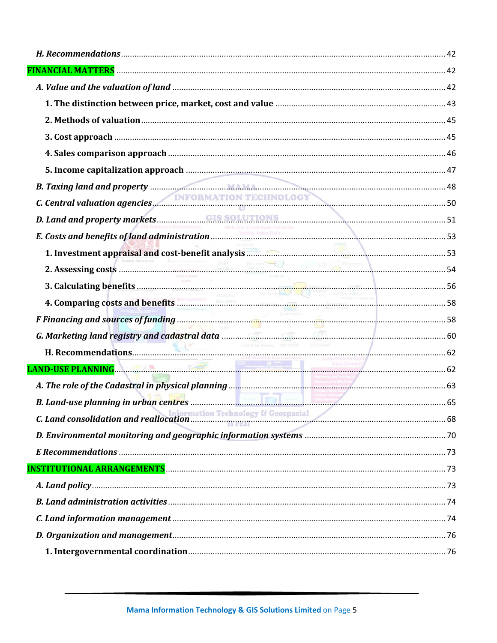| C. Central valuation agencies. INFORMATION TECHNOLOGY                                                                                                                                                                             |
|-----------------------------------------------------------------------------------------------------------------------------------------------------------------------------------------------------------------------------------|
|                                                                                                                                                                                                                                   |
|                                                                                                                                                                                                                                   |
|                                                                                                                                                                                                                                   |
|                                                                                                                                                                                                                                   |
|                                                                                                                                                                                                                                   |
|                                                                                                                                                                                                                                   |
|                                                                                                                                                                                                                                   |
|                                                                                                                                                                                                                                   |
|                                                                                                                                                                                                                                   |
| Web and Cloud base Portal for                                                                                                                                                                                                     |
|                                                                                                                                                                                                                                   |
| 1. Investment appraisal and cost-benefit analysis <b>Election Contract Contract Contract Contract Contract Contract</b>                                                                                                           |
| 2. Assessing costs<br>3. Calculating benefits 5.000 and 1.000 and 1.000 and 1.000 and 1.000 and 1.000 and 1.000 and 1.000 and 1.000 and 1.000 and 1.000 and 1.000 and 1.000 and 1.000 and 1.000 and 1.000 and 1.000 and 1.000 and |
|                                                                                                                                                                                                                                   |
|                                                                                                                                                                                                                                   |
| F Financing and sources of funding<br>G. Marketing land registry and cadastral data                                                                                                                                               |
|                                                                                                                                                                                                                                   |
| ArcGis for Deskton Components CIB wearers                                                                                                                                                                                         |
|                                                                                                                                                                                                                                   |
|                                                                                                                                                                                                                                   |
|                                                                                                                                                                                                                                   |
|                                                                                                                                                                                                                                   |
|                                                                                                                                                                                                                                   |
|                                                                                                                                                                                                                                   |
|                                                                                                                                                                                                                                   |
|                                                                                                                                                                                                                                   |
|                                                                                                                                                                                                                                   |
|                                                                                                                                                                                                                                   |
|                                                                                                                                                                                                                                   |
|                                                                                                                                                                                                                                   |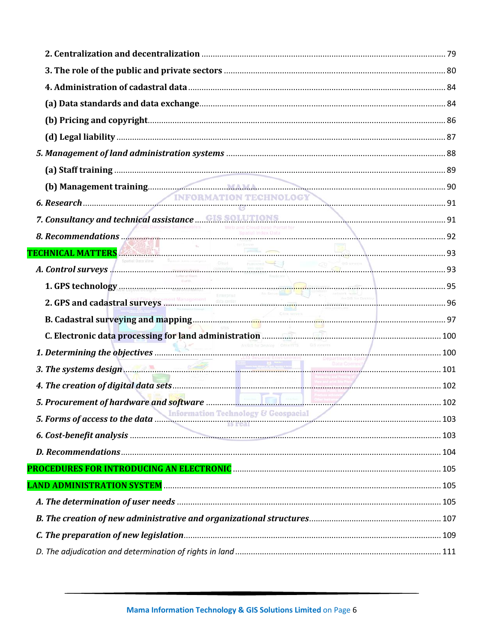| 7. Consultancy and technical assistance <b>GIS SOLUTIONS</b> 30. Recommendations 31 |  |
|-------------------------------------------------------------------------------------|--|
|                                                                                     |  |
| TECHNICAL MATTERS                                                                   |  |
|                                                                                     |  |
|                                                                                     |  |
|                                                                                     |  |
|                                                                                     |  |
| Andos for Desktop CrimoWTS CIB wewers                                               |  |
|                                                                                     |  |
| 3. The systems design $\frac{1}{2}$ 101                                             |  |
|                                                                                     |  |
|                                                                                     |  |
| 5. Forms of access to the data Information Technology & Geospacial 103              |  |
|                                                                                     |  |
|                                                                                     |  |
|                                                                                     |  |
|                                                                                     |  |
|                                                                                     |  |
|                                                                                     |  |
|                                                                                     |  |
|                                                                                     |  |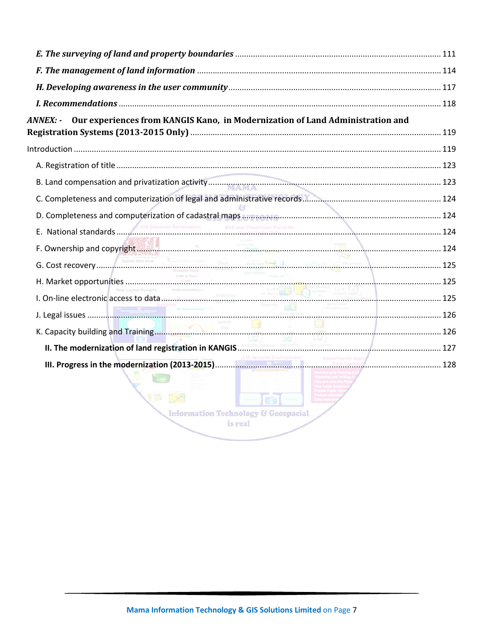| Our experiences from KANGIS Kano, in Modernization of Land Administration and<br><b>ANNEX: -</b> |  |
|--------------------------------------------------------------------------------------------------|--|
|                                                                                                  |  |
|                                                                                                  |  |
|                                                                                                  |  |
|                                                                                                  |  |
| D. Completeness and computerization of cadastral maps <b>Examples 2008</b>                       |  |
|                                                                                                  |  |
| F. Ownership and copyright                                                                       |  |
|                                                                                                  |  |
|                                                                                                  |  |
|                                                                                                  |  |
|                                                                                                  |  |
|                                                                                                  |  |
|                                                                                                  |  |
| 1冊 图<br><b>Ima</b><br><b>Information Technology &amp; Geospacial</b>                             |  |
| is real                                                                                          |  |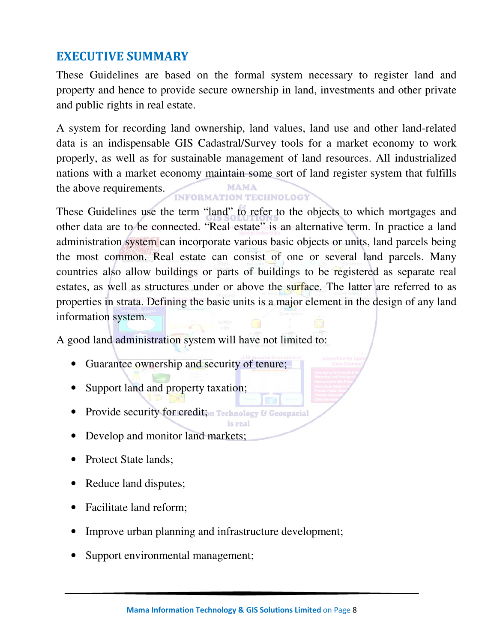## **EXECUTIVE SUMMARY**

These Guidelines are based on the formal system necessary to register land and property and hence to provide secure ownership in land, investments and other private and public rights in real estate.

A system for recording land ownership, land values, land use and other land-related data is an indispensable GIS Cadastral/Survey tools for a market economy to work properly, as well as for sustainable management of land resources. All industrialized nations with a market economy maintain some sort of land register system that fulfills MAMA the above requirements.

**INFORMATION TECHNOLOGY** 

These Guidelines use the term "land" to refer to the objects to which mortgages and other data are to be connected. "Real estate" is an alternative term. In practice a land administration system can incorporate various basic objects or units, land parcels being the most common. Real estate can consist of one or several land parcels. Many countries also allow buildings or parts of buildings to be registered as separate real estates, as well as structures under or above the surface. The latter are referred to as properties in strata. Defining the basic units is a major element in the design of any land information system.

A good land administration system will have not limited to:

- Guarantee ownership and security of tenure;
- Support land and property taxation;
- Provide security for credition Technology & Geospacial
- Develop and monitor land markets;
- Protect State lands;
- Reduce land disputes;
- Facilitate land reform;
- Improve urban planning and infrastructure development;
- Support environmental management;

is real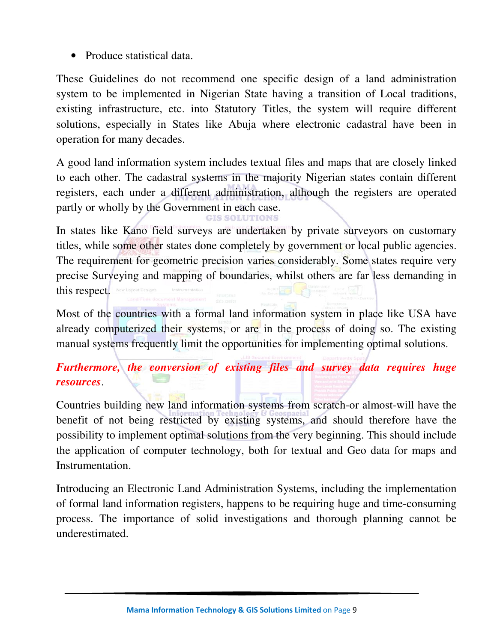• Produce statistical data.

These Guidelines do not recommend one specific design of a land administration system to be implemented in Nigerian State having a transition of Local traditions, existing infrastructure, etc. into Statutory Titles, the system will require different solutions, especially in States like Abuja where electronic cadastral have been in operation for many decades.

A good land information system includes textual files and maps that are closely linked to each other. The cadastral systems in the majority Nigerian states contain different registers, each under a different administration, although the registers are operated partly or wholly by the Government in each case.

In states like Kano field surveys are undertaken by private surveyors on customary titles, while some other states done completely by government or local public agencies. The requirement for geometric precision varies considerably. Some states require very precise Surveying and mapping of boundaries, whilst others are far less demanding in this respect.

Most of the countries with a formal land information system in place like USA have already computerized their systems, or are in the process of doing so. The existing manual systems frequently limit the opportunities for implementing optimal solutions.

*Furthermore, the conversion of existing files and survey data requires huge resources*.

Countries building new land information systems from scratch-or almost-will have the benefit of not being restricted by existing systems, and should therefore have the possibility to implement optimal solutions from the very beginning. This should include the application of computer technology, both for textual and Geo data for maps and Instrumentation.

Introducing an Electronic Land Administration Systems, including the implementation of formal land information registers, happens to be requiring huge and time-consuming process. The importance of solid investigations and thorough planning cannot be underestimated.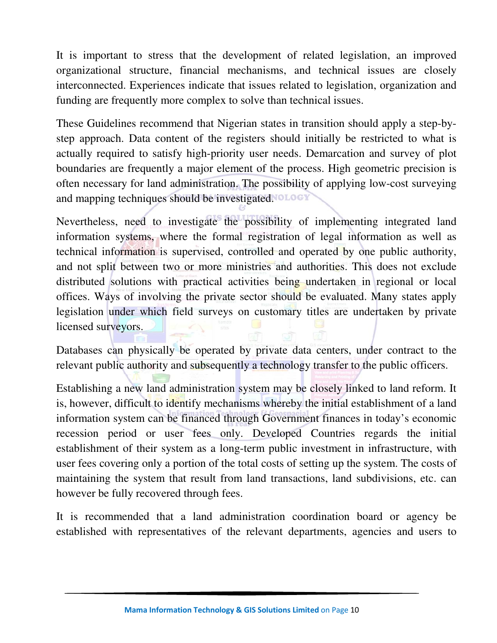It is important to stress that the development of related legislation, an improved organizational structure, financial mechanisms, and technical issues are closely interconnected. Experiences indicate that issues related to legislation, organization and funding are frequently more complex to solve than technical issues.

These Guidelines recommend that Nigerian states in transition should apply a step-bystep approach. Data content of the registers should initially be restricted to what is actually required to satisfy high-priority user needs. Demarcation and survey of plot boundaries are frequently a major element of the process. High geometric precision is often necessary for land administration. The possibility of applying low-cost surveying and mapping techniques should be investigated.

Nevertheless, need to investigate the possibility of implementing integrated land information systems, where the formal registration of legal information as well as technical information is supervised, controlled and operated by one public authority, and not split between two or more ministries and authorities. This does not exclude distributed solutions with practical activities being undertaken in regional or local offices. Ways of involving the private sector should be evaluated. Many states apply legislation under which field surveys on customary titles are undertaken by private licensed surveyors.

Databases can physically be operated by private data centers, under contract to the relevant public authority and subsequently a technology transfer to the public officers.

Establishing a new land administration system may be closely linked to land reform. It is, however, difficult to identify mechanisms whereby the initial establishment of a land information system can be financed through Government finances in today's economic recession period or user fees only. Developed Countries regards the initial establishment of their system as a long-term public investment in infrastructure, with user fees covering only a portion of the total costs of setting up the system. The costs of maintaining the system that result from land transactions, land subdivisions, etc. can however be fully recovered through fees.

It is recommended that a land administration coordination board or agency be established with representatives of the relevant departments, agencies and users to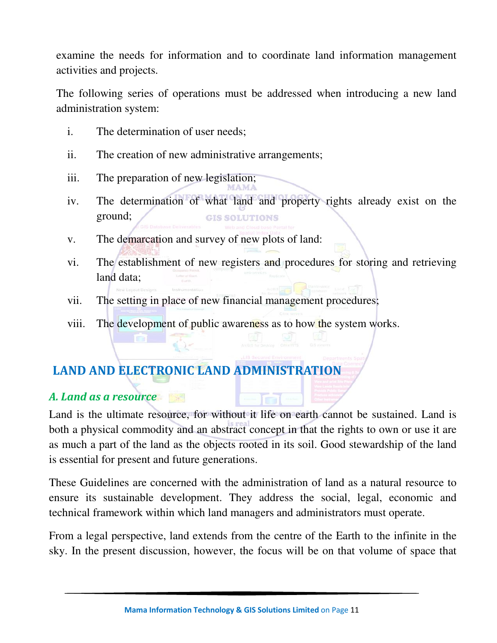examine the needs for information and to coordinate land information management activities and projects.

The following series of operations must be addressed when introducing a new land administration system:

- i. The determination of user needs;
- ii. The creation of new administrative arrangements;
- iii. The preparation of new legislation;
- iv. The determination of what land and property rights already exist on the ground; **GIS SOLUTIONS**
- v. The demarcation and survey of new plots of land:
- vi. The establishment of new registers and procedures for storing and retrieving land data;
- vii. The setting in place of new financial management procedures;
- viii. The development of public awareness as to how the system works.

# **LAND AND ELECTRONIC LAND ADMINISTRATION**

#### *A. Land as a resource*

Land is the ultimate resource, for without it life on earth cannot be sustained. Land is both a physical commodity and an abstract concept in that the rights to own or use it are as much a part of the land as the objects rooted in its soil. Good stewardship of the land is essential for present and future generations.

**Time** 

These Guidelines are concerned with the administration of land as a natural resource to ensure its sustainable development. They address the social, legal, economic and technical framework within which land managers and administrators must operate.

From a legal perspective, land extends from the centre of the Earth to the infinite in the sky. In the present discussion, however, the focus will be on that volume of space that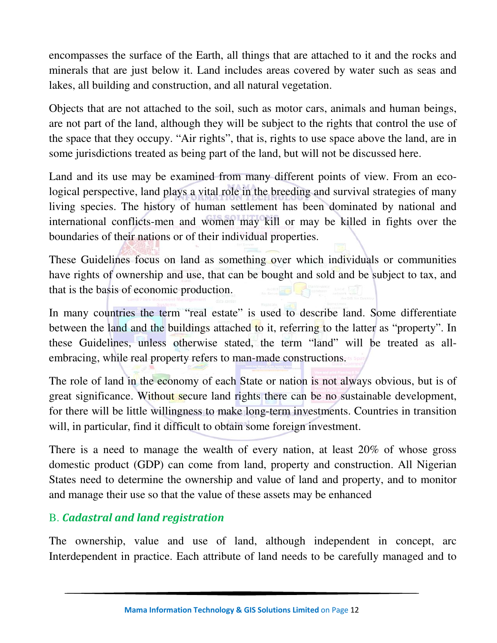encompasses the surface of the Earth, all things that are attached to it and the rocks and minerals that are just below it. Land includes areas covered by water such as seas and lakes, all building and construction, and all natural vegetation.

Objects that are not attached to the soil, such as motor cars, animals and human beings, are not part of the land, although they will be subject to the rights that control the use of the space that they occupy. "Air rights", that is, rights to use space above the land, are in some jurisdictions treated as being part of the land, but will not be discussed here.

Land and its use may be examined from many different points of view. From an ecological perspective, land plays a vital role in the breeding and survival strategies of many living species. The history of human settlement has been dominated by national and international conflicts-men and women may kill or may be killed in fights over the boundaries of their nations or of their individual properties.

These Guidelines focus on land as something over which individuals or communities have rights of ownership and use, that can be bought and sold and be subject to tax, and that is the basis of economic production.

In many countries the term "real estate" is used to describe land. Some differentiate between the land and the buildings attached to it, referring to the latter as "property". In these Guidelines, unless otherwise stated, the term "land" will be treated as allembracing, while real property refers to man-made constructions.

The role of land in the economy of each State or nation is not always obvious, but is of great significance. Without secure land rights there can be no sustainable development, for there will be little willingness to make long-term investments. Countries in transition will, in particular, find it difficult to obtain some foreign investment.

There is a need to manage the wealth of every nation, at least 20% of whose gross domestic product (GDP) can come from land, property and construction. All Nigerian States need to determine the ownership and value of land and property, and to monitor and manage their use so that the value of these assets may be enhanced

### B. *Cadastral and land registration*

The ownership, value and use of land, although independent in concept, arc Interdependent in practice. Each attribute of land needs to be carefully managed and to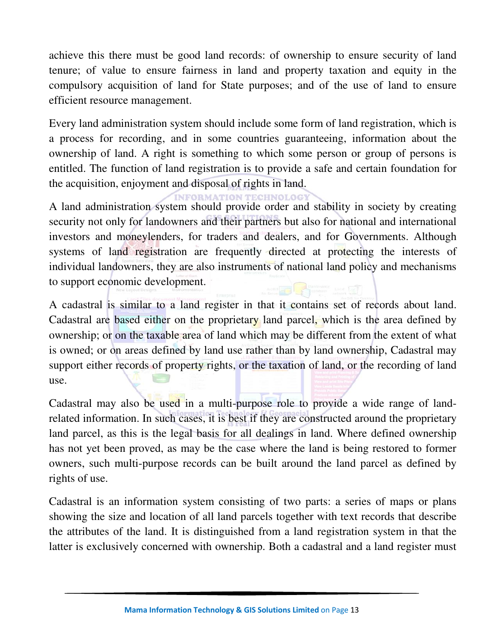achieve this there must be good land records: of ownership to ensure security of land tenure; of value to ensure fairness in land and property taxation and equity in the compulsory acquisition of land for State purposes; and of the use of land to ensure efficient resource management.

Every land administration system should include some form of land registration, which is a process for recording, and in some countries guaranteeing, information about the ownership of land. A right is something to which some person or group of persons is entitled. The function of land registration is to provide a safe and certain foundation for the acquisition, enjoyment and disposal of rights in land.

**INFORMATION TECHNO** 

A land administration system should provide order and stability in society by creating security not only for landowners and their partners but also for national and international investors and moneylenders, for traders and dealers, and for Governments. Although systems of land registration are frequently directed at protecting the interests of individual landowners, they are also instruments of national land policy and mechanisms to support economic development.

A cadastral is similar to a land register in that it contains set of records about land. Cadastral are based either on the proprietary land parcel, which is the area defined by ownership; or on the taxable area of land which may be different from the extent of what is owned; or on areas defined by land use rather than by land ownership, Cadastral may support either records of property rights, or the taxation of land, or the recording of land use.

Cadastral may also be used in a multi-purpose role to provide a wide range of landrelated information. In such cases, it is best if they are constructed around the proprietary land parcel, as this is the legal basis for all dealings in land. Where defined ownership has not yet been proved, as may be the case where the land is being restored to former owners, such multi-purpose records can be built around the land parcel as defined by rights of use.

Cadastral is an information system consisting of two parts: a series of maps or plans showing the size and location of all land parcels together with text records that describe the attributes of the land. It is distinguished from a land registration system in that the latter is exclusively concerned with ownership. Both a cadastral and a land register must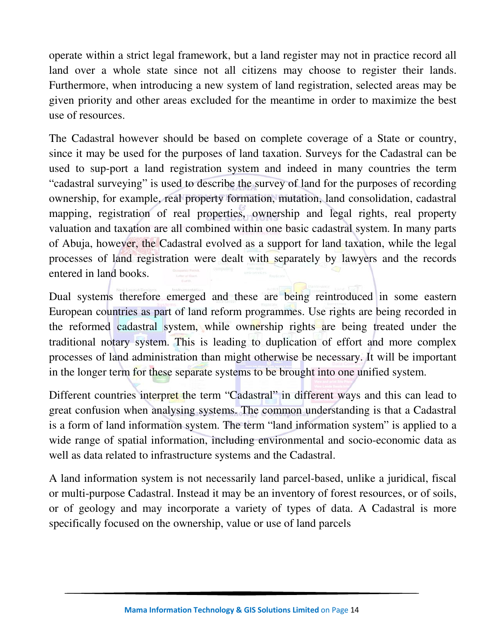operate within a strict legal framework, but a land register may not in practice record all land over a whole state since not all citizens may choose to register their lands. Furthermore, when introducing a new system of land registration, selected areas may be given priority and other areas excluded for the meantime in order to maximize the best use of resources.

The Cadastral however should be based on complete coverage of a State or country, since it may be used for the purposes of land taxation. Surveys for the Cadastral can be used to sup-port a land registration system and indeed in many countries the term "cadastral surveying" is used to describe the survey of land for the purposes of recording ownership, for example, real property formation, mutation, land consolidation, cadastral mapping, registration of real properties, ownership and legal rights, real property valuation and taxation are all combined within one basic cadastral system. In many parts of Abuja, however, the Cadastral evolved as a support for land taxation, while the legal processes of land registration were dealt with separately by lawyers and the records entered in land books.

Dual systems therefore emerged and these are being reintroduced in some eastern European countries as part of land reform programmes. Use rights are being recorded in the reformed cadastral system, while ownership rights are being treated under the traditional notary system. This is leading to duplication of effort and more complex processes of land administration than might otherwise be necessary. It will be important in the longer term for these separate systems to be brought into one unified system.

Different countries interpret the term "Cadastral" in different ways and this can lead to great confusion when analysing systems. The common understanding is that a Cadastral is a form of land information system. The term "land information system" is applied to a wide range of spatial information, including environmental and socio-economic data as well as data related to infrastructure systems and the Cadastral.

A land information system is not necessarily land parcel-based, unlike a juridical, fiscal or multi-purpose Cadastral. Instead it may be an inventory of forest resources, or of soils, or of geology and may incorporate a variety of types of data. A Cadastral is more specifically focused on the ownership, value or use of land parcels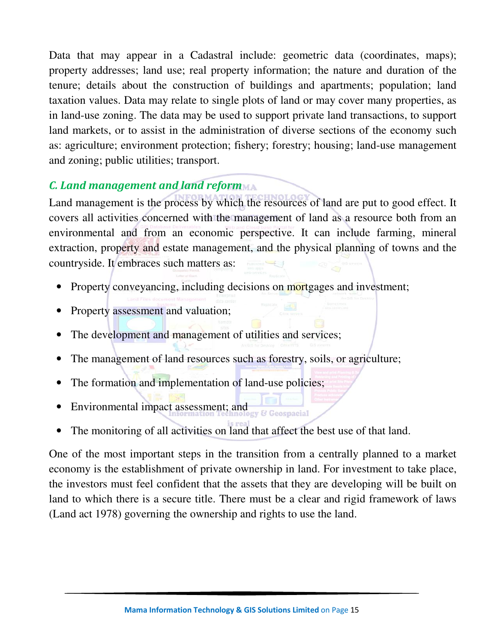Data that may appear in a Cadastral include: geometric data (coordinates, maps); property addresses; land use; real property information; the nature and duration of the tenure; details about the construction of buildings and apartments; population; land taxation values. Data may relate to single plots of land or may cover many properties, as in land-use zoning. The data may be used to support private land transactions, to support land markets, or to assist in the administration of diverse sections of the economy such as: agriculture; environment protection; fishery; forestry; housing; land-use management and zoning; public utilities; transport.

## *C. Land management and land reform*

Land management is the process by which the resources of land are put to good effect. It covers all activities concerned with the management of land as a resource both from an environmental and from an economic perspective. It can include farming, mineral extraction, property and estate management, and the physical planning of towns and the countryside. It embraces such matters as:

- Property conveyancing, including decisions on mortgages and investment;
- Property assessment and valuation;
- The development and management of utilities and services;
- The management of land resources such as forestry, soils, or agriculture;
- The formation and implementation of land-use policies;
- Environmental impact assessment; and Genenacial
- The monitoring of all activities on land that affect the best use of that land.

One of the most important steps in the transition from a centrally planned to a market economy is the establishment of private ownership in land. For investment to take place, the investors must feel confident that the assets that they are developing will be built on land to which there is a secure title. There must be a clear and rigid framework of laws (Land act 1978) governing the ownership and rights to use the land.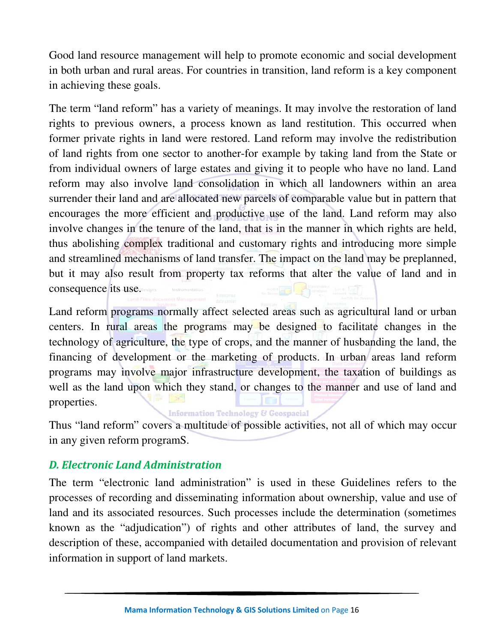Good land resource management will help to promote economic and social development in both urban and rural areas. For countries in transition, land reform is a key component in achieving these goals.

The term "land reform" has a variety of meanings. It may involve the restoration of land rights to previous owners, a process known as land restitution. This occurred when former private rights in land were restored. Land reform may involve the redistribution of land rights from one sector to another-for example by taking land from the State or from individual owners of large estates and giving it to people who have no land. Land reform may also involve land consolidation in which all landowners within an area surrender their land and are allocated new parcels of comparable value but in pattern that encourages the more efficient and productive use of the land. Land reform may also involve changes in the tenure of the land, that is in the manner in which rights are held, thus abolishing complex traditional and customary rights and introducing more simple and streamlined mechanisms of land transfer. The impact on the land may be preplanned, but it may also result from property tax reforms that alter the value of land and in consequence its use.

Land reform programs normally affect selected areas such as agricultural land or urban centers. In rural areas the programs may be designed to facilitate changes in the technology of agriculture, the type of crops, and the manner of husbanding the land, the financing of development or the marketing of products. In urban areas land reform programs may involve major infrastructure development, the taxation of buildings as well as the land upon which they stand, or changes to the manner and use of land and properties.

**Information Technology & Geospacial** 

Thus "land reform" covers a multitude of possible activities, not all of which may occur in any given reform programS.

### *D. Electronic Land Administration*

The term "electronic land administration" is used in these Guidelines refers to the processes of recording and disseminating information about ownership, value and use of land and its associated resources. Such processes include the determination (sometimes known as the "adjudication") of rights and other attributes of land, the survey and description of these, accompanied with detailed documentation and provision of relevant information in support of land markets.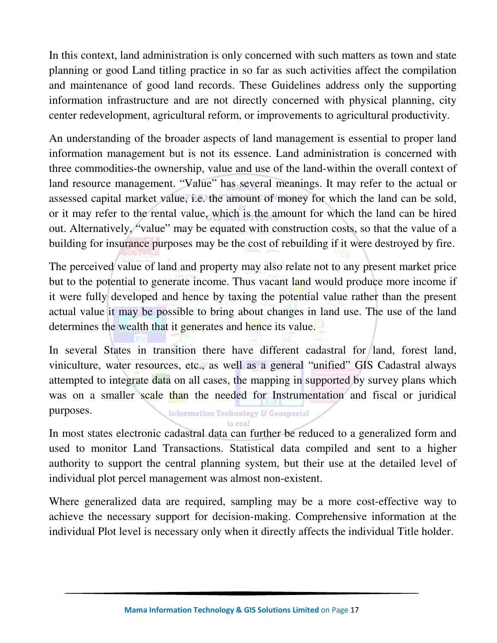In this context, land administration is only concerned with such matters as town and state planning or good Land titling practice in so far as such activities affect the compilation and maintenance of good land records. These Guidelines address only the supporting information infrastructure and are not directly concerned with physical planning, city center redevelopment, agricultural reform, or improvements to agricultural productivity.

An understanding of the broader aspects of land management is essential to proper land information management but is not its essence. Land administration is concerned with three commodities-the ownership, value and use of the land-within the overall context of land resource management. "Value" has several meanings. It may refer to the actual or assessed capital market value, i.e. the amount of money for which the land can be sold, or it may refer to the rental value, which is the amount for which the land can be hired out. Alternatively, "value" may be equated with construction costs, so that the value of a building for insurance purposes may be the cost of rebuilding if it were destroyed by fire.

The perceived value of land and property may also relate not to any present market price but to the potential to generate income. Thus vacant land would produce more income if it were fully developed and hence by taxing the potential value rather than the present actual value it may be possible to bring about changes in land use. The use of the land determines the wealth that it generates and hence its value.

In several States in transition there have different cadastral for land, forest land, viniculture, water resources, etc., as well as a general "unified" GIS Cadastral always attempted to integrate data on all cases, the mapping in supported by survey plans which was on a smaller scale than the needed for Instrumentation and fiscal or juridical purposes. **Information Technology & Geospacial** 

is real

In most states electronic cadastral data can further be reduced to a generalized form and used to monitor Land Transactions. Statistical data compiled and sent to a higher authority to support the central planning system, but their use at the detailed level of individual plot percel management was almost non-existent.

Where generalized data are required, sampling may be a more cost-effective way to achieve the necessary support for decision-making. Comprehensive information at the individual Plot level is necessary only when it directly affects the individual Title holder.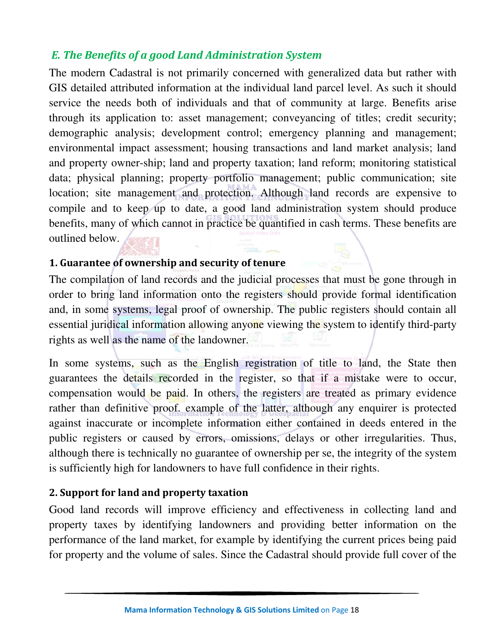#### *E. The Benefits of a good Land Administration System*

The modern Cadastral is not primarily concerned with generalized data but rather with GIS detailed attributed information at the individual land parcel level. As such it should service the needs both of individuals and that of community at large. Benefits arise through its application to: asset management; conveyancing of titles; credit security; demographic analysis; development control; emergency planning and management; environmental impact assessment; housing transactions and land market analysis; land and property owner-ship; land and property taxation; land reform; monitoring statistical data; physical planning; property portfolio management; public communication; site location; site management and protection. Although land records are expensive to compile and to keep up to date, a good land administration system should produce benefits, many of which cannot in practice be quantified in cash terms. These benefits are outlined below.

#### **1. Guarantee of ownership and security of tenure**

The compilation of land records and the judicial processes that must be gone through in order to bring land information onto the registers should provide formal identification and, in some systems, legal proof of ownership. The public registers should contain all essential juridical information allowing anyone viewing the system to identify third-party rights as well as the name of the landowner.

In some systems, such as the English registration of title to land, the State then guarantees the details recorded in the register, so that if a mistake were to occur, compensation would be paid. In others, the registers are treated as primary evidence rather than definitive proof. example of the latter, although any enquirer is protected against inaccurate or incomplete information either contained in deeds entered in the public registers or caused by errors, omissions, delays or other irregularities. Thus, although there is technically no guarantee of ownership per se, the integrity of the system is sufficiently high for landowners to have full confidence in their rights.

#### **2. Support for land and property taxation**

Good land records will improve efficiency and effectiveness in collecting land and property taxes by identifying landowners and providing better information on the performance of the land market, for example by identifying the current prices being paid for property and the volume of sales. Since the Cadastral should provide full cover of the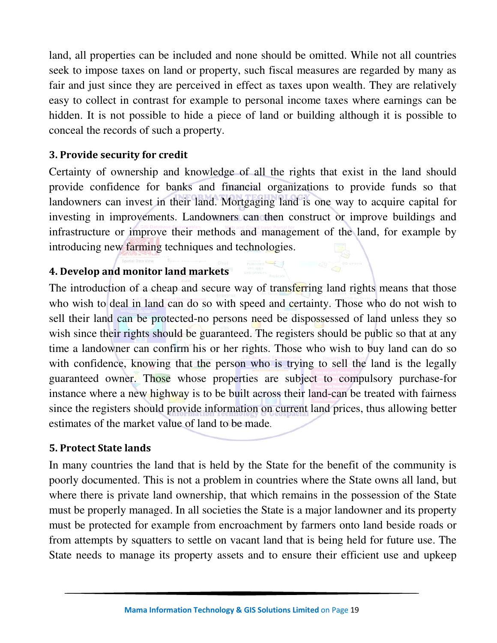land, all properties can be included and none should be omitted. While not all countries seek to impose taxes on land or property, such fiscal measures are regarded by many as fair and just since they are perceived in effect as taxes upon wealth. They are relatively easy to collect in contrast for example to personal income taxes where earnings can be hidden. It is not possible to hide a piece of land or building although it is possible to conceal the records of such a property.

#### **3. Provide security for credit**

Certainty of ownership and knowledge of all the rights that exist in the land should provide confidence for banks and financial organizations to provide funds so that landowners can invest in their land. Mortgaging land is one way to acquire capital for investing in improvements. Landowners can then construct or improve buildings and infrastructure or improve their methods and management of the land, for example by introducing new farming techniques and technologies.

#### **4. Develop and monitor land markets**

The introduction of a cheap and secure way of transferring land rights means that those who wish to deal in land can do so with speed and certainty. Those who do not wish to sell their land can be protected-no persons need be dispossessed of land unless they so wish since their rights should be guaranteed. The registers should be public so that at any time a landowner can confirm his or her rights. Those who wish to buy land can do so with confidence, knowing that the person who is trying to sell the land is the legally guaranteed owner. Those whose properties are subject to compulsory purchase-for instance where a new highway is to be built across their land-can be treated with fairness since the registers should provide information on current land prices, thus allowing better estimates of the market value of land to be made.

#### **5. Protect State lands**

In many countries the land that is held by the State for the benefit of the community is poorly documented. This is not a problem in countries where the State owns all land, but where there is private land ownership, that which remains in the possession of the State must be properly managed. In all societies the State is a major landowner and its property must be protected for example from encroachment by farmers onto land beside roads or from attempts by squatters to settle on vacant land that is being held for future use. The State needs to manage its property assets and to ensure their efficient use and upkeep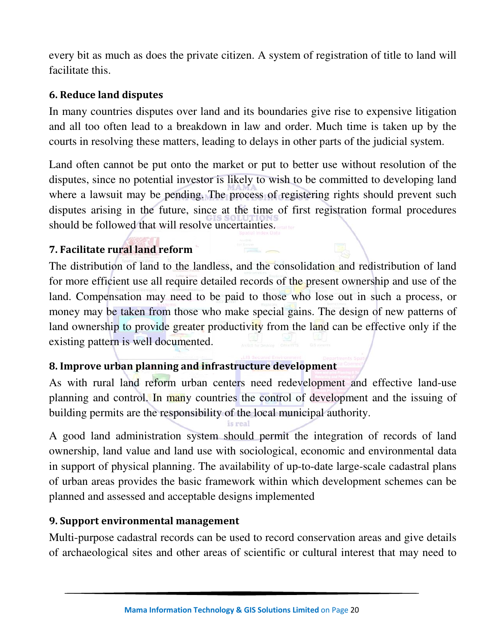every bit as much as does the private citizen. A system of registration of title to land will facilitate this.

#### **6. Reduce land disputes**

In many countries disputes over land and its boundaries give rise to expensive litigation and all too often lead to a breakdown in law and order. Much time is taken up by the courts in resolving these matters, leading to delays in other parts of the judicial system.

Land often cannot be put onto the market or put to better use without resolution of the disputes, since no potential investor is likely to wish to be committed to developing land where a lawsuit may be pending. The process of registering rights should prevent such disputes arising in the future, since at the time of first registration formal procedures should be followed that will resolve uncertainties.

### **7. Facilitate rural land reform**

The distribution of land to the landless, and the consolidation and redistribution of land for more efficient use all require detailed records of the present ownership and use of the land. Compensation may need to be paid to those who lose out in such a process, or money may be taken from those who make special gains. The design of new patterns of land ownership to provide greater productivity from the land can be effective only if the existing pattern is well documented.

### **8. Improve urban planning and infrastructure development**

As with rural land reform urban centers need redevelopment and effective land-use planning and control. In many countries the control of development and the issuing of building permits are the responsibility of the local municipal authority.

A good land administration system should permit the integration of records of land ownership, land value and land use with sociological, economic and environmental data in support of physical planning. The availability of up-to-date large-scale cadastral plans of urban areas provides the basic framework within which development schemes can be planned and assessed and acceptable designs implemented

#### **9. Support environmental management**

Multi-purpose cadastral records can be used to record conservation areas and give details of archaeological sites and other areas of scientific or cultural interest that may need to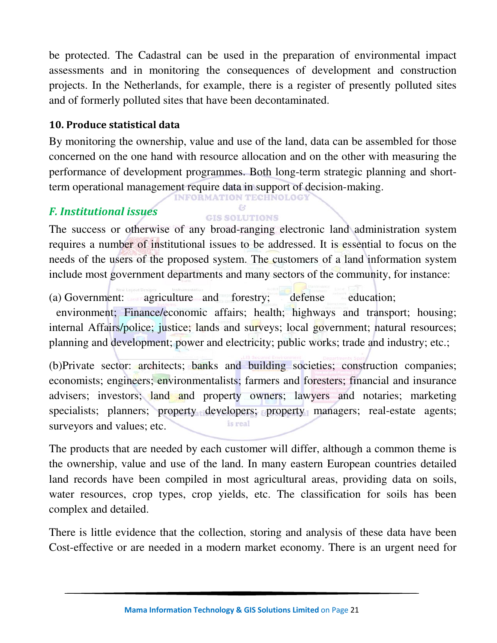be protected. The Cadastral can be used in the preparation of environmental impact assessments and in monitoring the consequences of development and construction projects. In the Netherlands, for example, there is a register of presently polluted sites and of formerly polluted sites that have been decontaminated.

#### **10. Produce statistical data**

By monitoring the ownership, value and use of the land, data can be assembled for those concerned on the one hand with resource allocation and on the other with measuring the performance of development programmes. Both long-term strategic planning and shortterm operational management require data in support of decision-making.

### *F. Institutional issues*

#### **GIS SOLUTIONS** The success or otherwise of any broad-ranging electronic land administration system requires a number of institutional issues to be addressed. It is essential to focus on the needs of the users of the proposed system. The customers of a land information system include most government departments and many sectors of the community, for instance:

(a) Government: agriculture and forestry; defense education; environment; Finance/economic affairs; health; highways and transport; housing; internal Affairs/police; justice; lands and surveys; local government; natural resources; planning and development; power and electricity; public works; trade and industry; etc.;

(b)Private sector: architects; banks and building societies; construction companies; economists; engineers; environmentalists; farmers and foresters; financial and insurance advisers; investors; land and property owners; lawyers and notaries; marketing specialists; planners; property developers; property managers; real-estate agents; is real surveyors and values; etc.

The products that are needed by each customer will differ, although a common theme is the ownership, value and use of the land. In many eastern European countries detailed land records have been compiled in most agricultural areas, providing data on soils, water resources, crop types, crop yields, etc. The classification for soils has been complex and detailed.

There is little evidence that the collection, storing and analysis of these data have been Cost-effective or are needed in a modern market economy. There is an urgent need for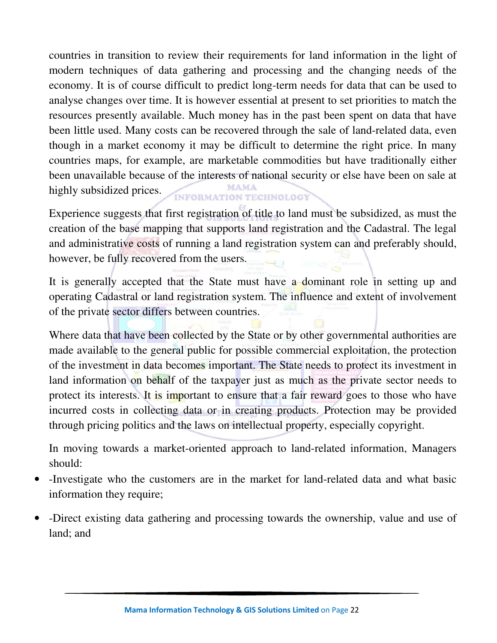countries in transition to review their requirements for land information in the light of modern techniques of data gathering and processing and the changing needs of the economy. It is of course difficult to predict long-term needs for data that can be used to analyse changes over time. It is however essential at present to set priorities to match the resources presently available. Much money has in the past been spent on data that have been little used. Many costs can be recovered through the sale of land-related data, even though in a market economy it may be difficult to determine the right price. In many countries maps, for example, are marketable commodities but have traditionally either been unavailable because of the interests of national security or else have been on sale at highly subsidized prices. **INFORMATION TECHNOLOGY** 

Experience suggests that first registration of title to land must be subsidized, as must the creation of the base mapping that supports land registration and the Cadastral. The legal and administrative costs of running a land registration system can and preferably should, however, be fully recovered from the users.

It is generally accepted that the State must have a dominant role in setting up and operating Cadastral or land registration system. The influence and extent of involvement of the private sector differs between countries.

Where data that have been collected by the State or by other governmental authorities are made available to the general public for possible commercial exploitation, the protection of the investment in data becomes important. The State needs to protect its investment in land information on behalf of the taxpayer just as much as the private sector needs to protect its interests. It is important to ensure that a fair reward goes to those who have incurred costs in collecting data or in creating products. Protection may be provided through pricing politics and the laws on intellectual property, especially copyright.

In moving towards a market-oriented approach to land-related information, Managers should:

- -Investigate who the customers are in the market for land-related data and what basic information they require;
- -Direct existing data gathering and processing towards the ownership, value and use of land; and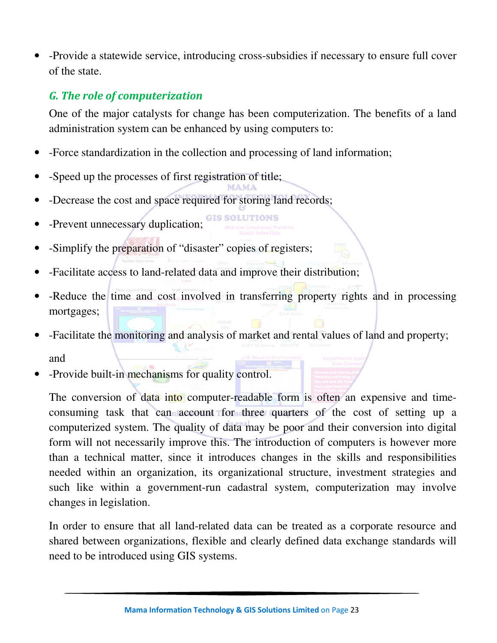• -Provide a statewide service, introducing cross-subsidies if necessary to ensure full cover of the state.

### *G. The role of computerization*

One of the major catalysts for change has been computerization. The benefits of a land administration system can be enhanced by using computers to:

- -Force standardization in the collection and processing of land information;
- -Speed up the processes of first registration of title;
- -Decrease the cost and space required for storing land records;
- -Prevent unnecessary duplication; GIS SOLUTIONS
- -Simplify the preparation of "disaster" copies of registers;
- -Facilitate access to land-related data and improve their distribution;
- -Reduce the time and cost involved in transferring property rights and in processing mortgages;
- -Facilitate the monitoring and analysis of market and rental values of land and property; and
- -Provide built-in mechanisms for quality control.

The conversion of data into computer-readable form is often an expensive and timeconsuming task that can account for three quarters of the cost of setting up a computerized system. The quality of data may be poor and their conversion into digital form will not necessarily improve this. The introduction of computers is however more than a technical matter, since it introduces changes in the skills and responsibilities needed within an organization, its organizational structure, investment strategies and such like within a government-run cadastral system, computerization may involve changes in legislation.

In order to ensure that all land-related data can be treated as a corporate resource and shared between organizations, flexible and clearly defined data exchange standards will need to be introduced using GIS systems.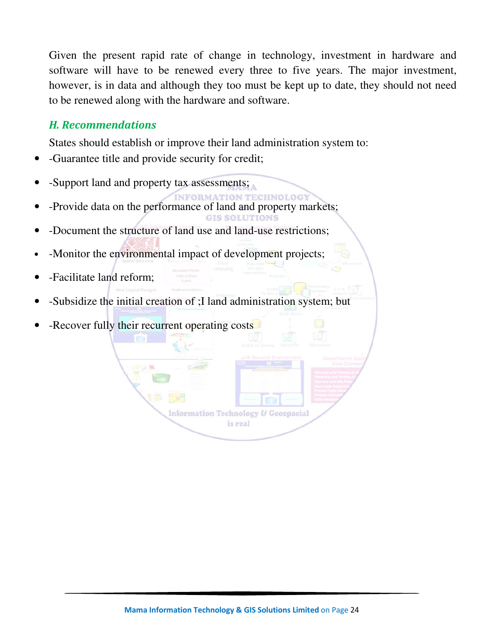Given the present rapid rate of change in technology, investment in hardware and software will have to be renewed every three to five years. The major investment, however, is in data and although they too must be kept up to date, they should not need to be renewed along with the hardware and software.

#### *H. Recommendations*

States should establish or improve their land administration system to:

- -Guarantee title and provide security for credit;
- -Support land and property tax assessments;
- -Provide data on the performance of land and property markets; **CIS SOLUTIONS**
- -Document the structure of land use and land-use restrictions;
- -Monitor the environmental impact of development projects;
- -Facilitate land reform;
- -Subsidize the initial creation of ;I land administration system; but
- -Recover fully their recurrent operating costs

**Information Technology & Geospacial** is real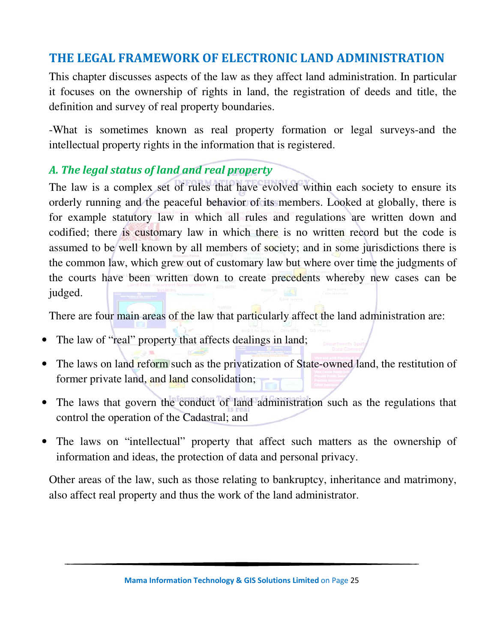## **THE LEGAL FRAMEWORK OF ELECTRONIC LAND ADMINISTRATION**

This chapter discusses aspects of the law as they affect land administration. In particular it focuses on the ownership of rights in land, the registration of deeds and title, the definition and survey of real property boundaries.

-What is sometimes known as real property formation or legal surveys-and the intellectual property rights in the information that is registered.

### *A. The legal status of land and real property*

The law is a complex set of rules that have evolved within each society to ensure its orderly running and the peaceful behavior of its members. Looked at globally, there is for example statutory law in which all rules and regulations are written down and codified; there is customary law in which there is no written record but the code is assumed to be well known by all members of society; and in some jurisdictions there is the common law, which grew out of customary law but where over time the judgments of the courts have been written down to create precedents whereby new cases can be judged.

There are four main areas of the law that particularly affect the land administration are:

- The law of "real" property that affects dealings in land;
- The laws on land reform such as the privatization of State-owned land, the restitution of former private land, and land consolidation;
- The laws that govern the conduct of land administration such as the regulations that control the operation of the Cadastral; and
- The laws on "intellectual" property that affect such matters as the ownership of information and ideas, the protection of data and personal privacy.

Other areas of the law, such as those relating to bankruptcy, inheritance and matrimony, also affect real property and thus the work of the land administrator.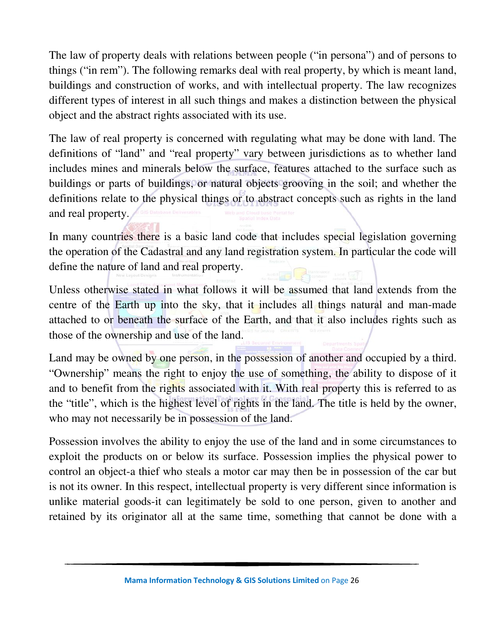The law of property deals with relations between people ("in persona") and of persons to things ("in rem"). The following remarks deal with real property, by which is meant land, buildings and construction of works, and with intellectual property. The law recognizes different types of interest in all such things and makes a distinction between the physical object and the abstract rights associated with its use.

The law of real property is concerned with regulating what may be done with land. The definitions of "land" and "real property" vary between jurisdictions as to whether land includes mines and minerals below the surface, features attached to the surface such as buildings or parts of buildings, or natural objects grooving in the soil; and whether the definitions relate to the physical things or to abstract concepts such as rights in the land and real property.

In many countries there is a basic land code that includes special legislation governing the operation of the Cadastral and any land registration system. In particular the code will define the nature of land and real property.

Unless otherwise stated in what follows it will be assumed that land extends from the centre of the Earth up into the sky, that it includes all things natural and man-made attached to or beneath the surface of the Earth, and that it also includes rights such as those of the ownership and use of the land.

Land may be owned by one person, in the possession of another and occupied by a third. "Ownership" means the right to enjoy the use of something, the ability to dispose of it and to benefit from the rights associated with it. With real property this is referred to as the "title", which is the highest level of rights in the land. The title is held by the owner, who may not necessarily be in possession of the land.

Possession involves the ability to enjoy the use of the land and in some circumstances to exploit the products on or below its surface. Possession implies the physical power to control an object-a thief who steals a motor car may then be in possession of the car but is not its owner. In this respect, intellectual property is very different since information is unlike material goods-it can legitimately be sold to one person, given to another and retained by its originator all at the same time, something that cannot be done with a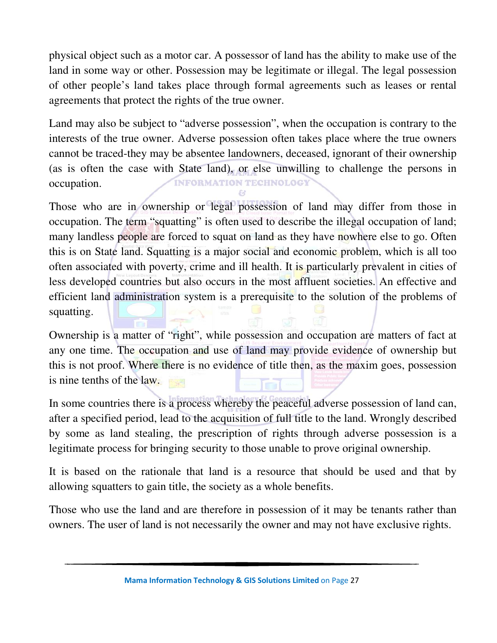physical object such as a motor car. A possessor of land has the ability to make use of the land in some way or other. Possession may be legitimate or illegal. The legal possession of other people's land takes place through formal agreements such as leases or rental agreements that protect the rights of the true owner.

Land may also be subject to "adverse possession", when the occupation is contrary to the interests of the true owner. Adverse possession often takes place where the true owners cannot be traced-they may be absentee landowners, deceased, ignorant of their ownership (as is often the case with State land), or else unwilling to challenge the persons in **INFORMATION TECHNOLOGY** occupation.

Those who are in ownership or legal possession of land may differ from those in occupation. The term "squatting" is often used to describe the illegal occupation of land; many landless people are forced to squat on land as they have nowhere else to go. Often this is on State land. Squatting is a major social and economic problem, which is all too often associated with poverty, crime and ill health. It is particularly prevalent in cities of less developed countries but also occurs in the most affluent societies. An effective and efficient land administration system is a prerequisite to the solution of the problems of squatting.

Ownership is a matter of "right", while possession and occupation are matters of fact at any one time. The occupation and use of land may provide evidence of ownership but this is not proof. Where there is no evidence of title then, as the maxim goes, possession is nine tenths of the law.

In some countries there is a process whereby the peaceful adverse possession of land can, after a specified period, lead to the acquisition of full title to the land. Wrongly described by some as land stealing, the prescription of rights through adverse possession is a legitimate process for bringing security to those unable to prove original ownership.

It is based on the rationale that land is a resource that should be used and that by allowing squatters to gain title, the society as a whole benefits.

Those who use the land and are therefore in possession of it may be tenants rather than owners. The user of land is not necessarily the owner and may not have exclusive rights.

**Mama Information Technology & GIS Solutions Limited** on Page 27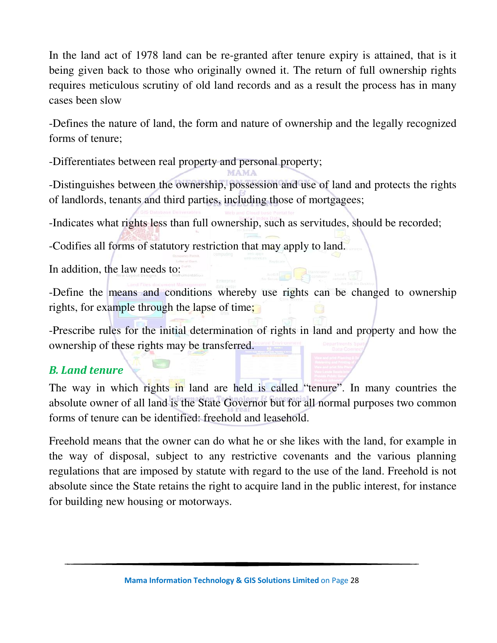In the land act of 1978 land can be re-granted after tenure expiry is attained, that is it being given back to those who originally owned it. The return of full ownership rights requires meticulous scrutiny of old land records and as a result the process has in many cases been slow

-Defines the nature of land, the form and nature of ownership and the legally recognized forms of tenure;

-Differentiates between real property and personal property;

MAMA

-Distinguishes between the ownership, possession and use of land and protects the rights of landlords, tenants and third parties, including those of mortgagees;

-Indicates what rights less than full ownership, such as servitudes, should be recorded;

-Codifies all forms of statutory restriction that may apply to land.

In addition, the law needs to:

-Define the means and conditions whereby use rights can be changed to ownership rights, for example through the lapse of time;

-Prescribe rules for the initial determination of rights in land and property and how the ownership of these rights may be transferred.

## *B. Land tenure*

The way in which rights in land are held is called "tenure". In many countries the absolute owner of all land is the State Governor but for all normal purposes two common forms of tenure can be identified: freehold and leasehold.

Freehold means that the owner can do what he or she likes with the land, for example in the way of disposal, subject to any restrictive covenants and the various planning regulations that are imposed by statute with regard to the use of the land. Freehold is not absolute since the State retains the right to acquire land in the public interest, for instance for building new housing or motorways.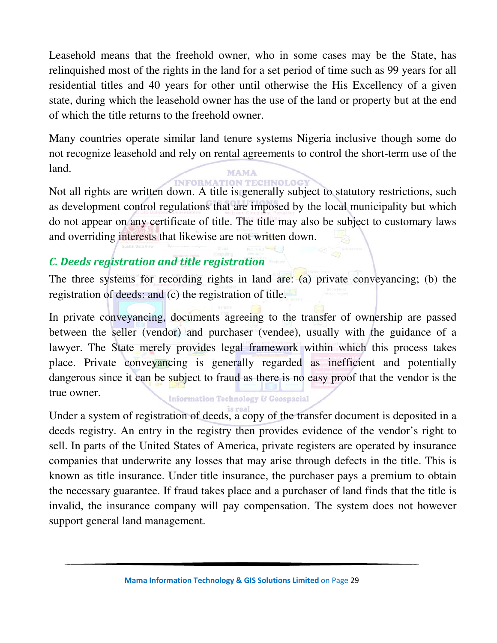Leasehold means that the freehold owner, who in some cases may be the State, has relinquished most of the rights in the land for a set period of time such as 99 years for all residential titles and 40 years for other until otherwise the His Excellency of a given state, during which the leasehold owner has the use of the land or property but at the end of which the title returns to the freehold owner.

Many countries operate similar land tenure systems Nigeria inclusive though some do not recognize leasehold and rely on rental agreements to control the short-term use of the land. **MAMA** 

**INFORMATION TECHNOLOGY** 

Not all rights are written down. A title is generally subject to statutory restrictions, such as development control regulations that are imposed by the local municipality but which do not appear on any certificate of title. The title may also be subject to customary laws and overriding interests that likewise are not written down.

### *C. Deeds registration and title registration*

The three systems for recording rights in land are: (a) private conveyancing; (b) the registration of deeds: and (c) the registration of title.

In private conveyancing, documents agreeing to the transfer of ownership are passed between the seller (vendor) and purchaser (vendee), usually with the guidance of a lawyer. The State merely provides legal framework within which this process takes place. Private conveyancing is generally regarded as inefficient and potentially dangerous since it can be subject to fraud as there is no easy proof that the vendor is the true owner.

#### **Information Technology & Geospacial**

Under a system of registration of deeds, a copy of the transfer document is deposited in a deeds registry. An entry in the registry then provides evidence of the vendor's right to sell. In parts of the United States of America, private registers are operated by insurance companies that underwrite any losses that may arise through defects in the title. This is known as title insurance. Under title insurance, the purchaser pays a premium to obtain the necessary guarantee. If fraud takes place and a purchaser of land finds that the title is invalid, the insurance company will pay compensation. The system does not however support general land management.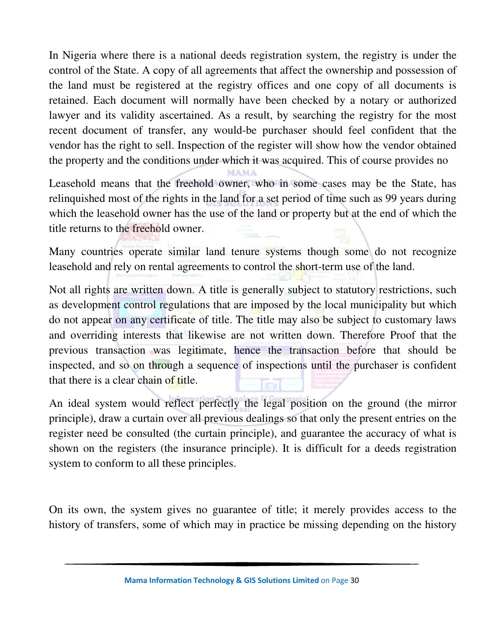In Nigeria where there is a national deeds registration system, the registry is under the control of the State. A copy of all agreements that affect the ownership and possession of the land must be registered at the registry offices and one copy of all documents is retained. Each document will normally have been checked by a notary or authorized lawyer and its validity ascertained. As a result, by searching the registry for the most recent document of transfer, any would-be purchaser should feel confident that the vendor has the right to sell. Inspection of the register will show how the vendor obtained the property and the conditions under which it was acquired. This of course provides no

Leasehold means that the freehold owner, who in some cases may be the State, has relinquished most of the rights in the land for a set period of time such as 99 years during which the leasehold owner has the use of the land or property but at the end of which the title returns to the freehold owner.

**MAMA** 

Many countries operate similar land tenure systems though some do not recognize leasehold and rely on rental agreements to control the short-term use of the land.

Not all rights are written down. A title is generally subject to statutory restrictions, such as development control regulations that are imposed by the local municipality but which do not appear on any certificate of title. The title may also be subject to customary laws and overriding interests that likewise are not written down. Therefore Proof that the previous transaction was legitimate, hence the transaction before that should be inspected, and so on through a sequence of inspections until the purchaser is confident that there is a clear chain of title.

An ideal system would reflect perfectly the legal position on the ground (the mirror principle), draw a curtain over all previous dealings so that only the present entries on the register need be consulted (the curtain principle), and guarantee the accuracy of what is shown on the registers (the insurance principle). It is difficult for a deeds registration system to conform to all these principles.

On its own, the system gives no guarantee of title; it merely provides access to the history of transfers, some of which may in practice be missing depending on the history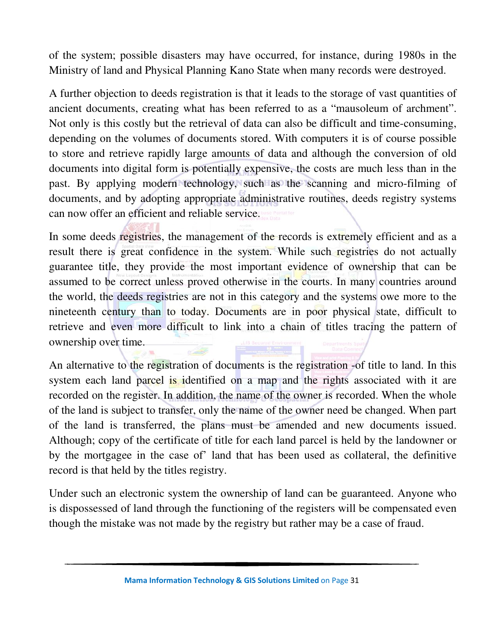of the system; possible disasters may have occurred, for instance, during 1980s in the Ministry of land and Physical Planning Kano State when many records were destroyed.

A further objection to deeds registration is that it leads to the storage of vast quantities of ancient documents, creating what has been referred to as a "mausoleum of archment". Not only is this costly but the retrieval of data can also be difficult and time-consuming, depending on the volumes of documents stored. With computers it is of course possible to store and retrieve rapidly large amounts of data and although the conversion of old documents into digital form is potentially expensive, the costs are much less than in the past. By applying modern technology, such as the scanning and micro-filming of documents, and by adopting appropriate administrative routines, deeds registry systems can now offer an efficient and reliable service.

In some deeds registries, the management of the records is extremely efficient and as a result there is great confidence in the system. While such registries do not actually guarantee title, they provide the most important evidence of ownership that can be assumed to be correct unless proved otherwise in the courts. In many countries around the world, the deeds registries are not in this category and the systems owe more to the nineteenth century than to today. Documents are in poor physical state, difficult to retrieve and even more difficult to link into a chain of titles tracing the pattern of ownership over time.

An alternative to the registration of documents is the registration -of title to land. In this system each land parcel is identified on a map and the rights associated with it are recorded on the register. In addition, the name of the owner is recorded. When the whole of the land is subject to transfer, only the name of the owner need be changed. When part of the land is transferred, the plans must be amended and new documents issued. Although; copy of the certificate of title for each land parcel is held by the landowner or by the mortgagee in the case of' land that has been used as collateral, the definitive record is that held by the titles registry.

Under such an electronic system the ownership of land can be guaranteed. Anyone who is dispossessed of land through the functioning of the registers will be compensated even though the mistake was not made by the registry but rather may be a case of fraud.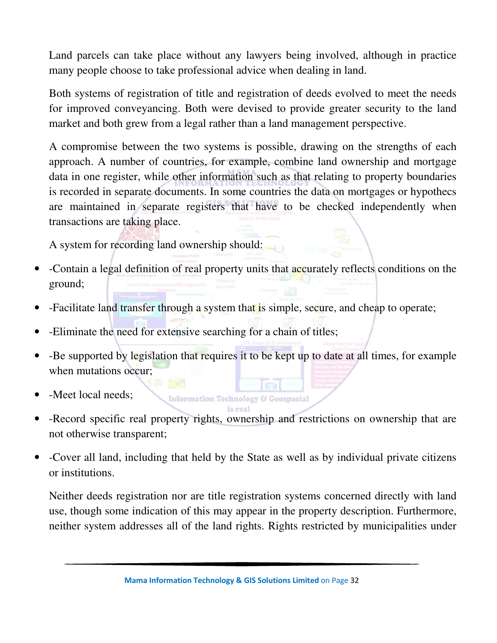Land parcels can take place without any lawyers being involved, although in practice many people choose to take professional advice when dealing in land.

Both systems of registration of title and registration of deeds evolved to meet the needs for improved conveyancing. Both were devised to provide greater security to the land market and both grew from a legal rather than a land management perspective.

A compromise between the two systems is possible, drawing on the strengths of each approach. A number of countries, for example, combine land ownership and mortgage data in one register, while other information such as that relating to property boundaries is recorded in separate documents. In some countries the data on mortgages or hypothecs are maintained in separate registers that have to be checked independently when transactions are taking place.

A system for recording land ownership should:

- -Contain a legal definition of real property units that accurately reflects conditions on the ground;
- -Facilitate land transfer through a system that is simple, secure, and cheap to operate;
- - Eliminate the need for extensive searching for a chain of titles;
- -Be supported by legislation that requires it to be kept up to date at all times, for example when mutations occur;
- - Meet local needs;
- is real • -Record specific real property rights, ownership and restrictions on ownership that are not otherwise transparent;

**Information Technology & Geospacial** 

• -Cover all land, including that held by the State as well as by individual private citizens or institutions.

Neither deeds registration nor are title registration systems concerned directly with land use, though some indication of this may appear in the property description. Furthermore, neither system addresses all of the land rights. Rights restricted by municipalities under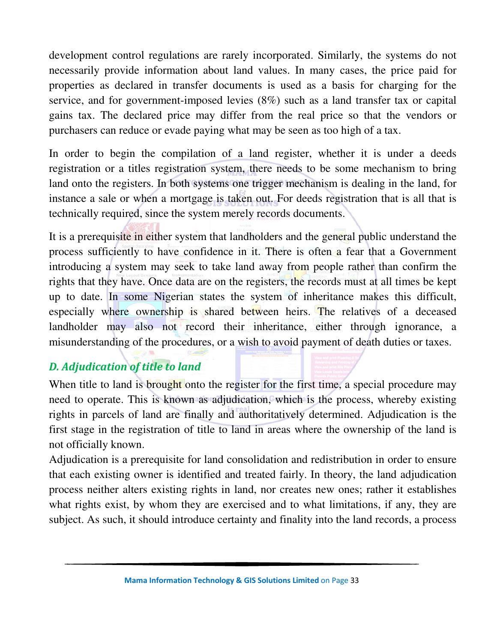development control regulations are rarely incorporated. Similarly, the systems do not necessarily provide information about land values. In many cases, the price paid for properties as declared in transfer documents is used as a basis for charging for the service, and for government-imposed levies (8%) such as a land transfer tax or capital gains tax. The declared price may differ from the real price so that the vendors or purchasers can reduce or evade paying what may be seen as too high of a tax.

In order to begin the compilation of a land register, whether it is under a deeds registration or a titles registration system, there needs to be some mechanism to bring land onto the registers. In both systems one trigger mechanism is dealing in the land, for instance a sale or when a mortgage is taken out. For deeds registration that is all that is technically required, since the system merely records documents.

It is a prerequisite in either system that landholders and the general public understand the process sufficiently to have confidence in it. There is often a fear that a Government introducing a system may seek to take land away from people rather than confirm the rights that they have. Once data are on the registers, the records must at all times be kept up to date. In some Nigerian states the system of inheritance makes this difficult, especially where ownership is shared between heirs. The relatives of a deceased landholder may also not record their inheritance, either through ignorance, a misunderstanding of the procedures, or a wish to avoid payment of death duties or taxes.

## *D. Adjudication of title to land*

When title to land is brought onto the register for the first time, a special procedure may need to operate. This is known as adjudication, which is the process, whereby existing rights in parcels of land are finally and authoritatively determined. Adjudication is the first stage in the registration of title to land in areas where the ownership of the land is not officially known.

Adjudication is a prerequisite for land consolidation and redistribution in order to ensure that each existing owner is identified and treated fairly. In theory, the land adjudication process neither alters existing rights in land, nor creates new ones; rather it establishes what rights exist, by whom they are exercised and to what limitations, if any, they are subject. As such, it should introduce certainty and finality into the land records, a process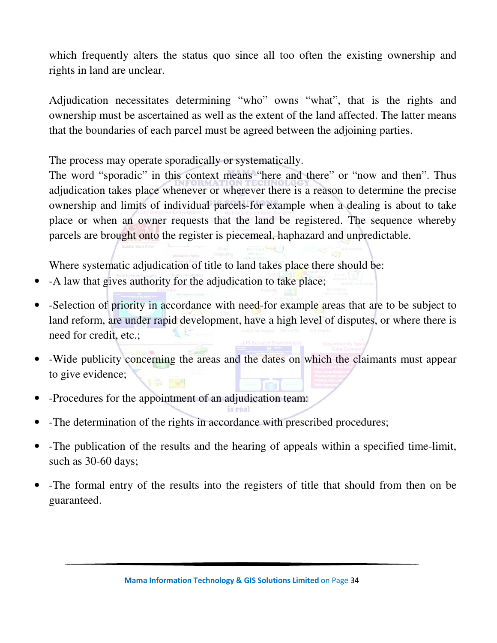which frequently alters the status quo since all too often the existing ownership and rights in land are unclear.

Adjudication necessitates determining "who" owns "what", that is the rights and ownership must be ascertained as well as the extent of the land affected. The latter means that the boundaries of each parcel must be agreed between the adjoining parties.

The process may operate sporadically or systematically.

The word "sporadic" in this context means "here and there" or "now and then". Thus adjudication takes place whenever or wherever there is a reason to determine the precise ownership and limits of individual parcels-for example when a dealing is about to take place or when an owner requests that the land be registered. The sequence whereby parcels are brought onto the register is piecemeal, haphazard and unpredictable.

Where systematic adjudication of title to land takes place there should be:

- -A law that gives authority for the adjudication to take place;
- -Selection of priority in accordance with need-for example areas that are to be subject to land reform, are under rapid development, have a high level of disputes, or where there is need for credit, etc.;
- -Wide publicity concerning the areas and the dates on which the claimants must appear to give evidence;
- -Procedures for the appointment of an adjudication team:
- -The determination of the rights in accordance with prescribed procedures;
- -The publication of the results and the hearing of appeals within a specified time-limit, such as 30-60 days;
- -The formal entry of the results into the registers of title that should from then on be guaranteed.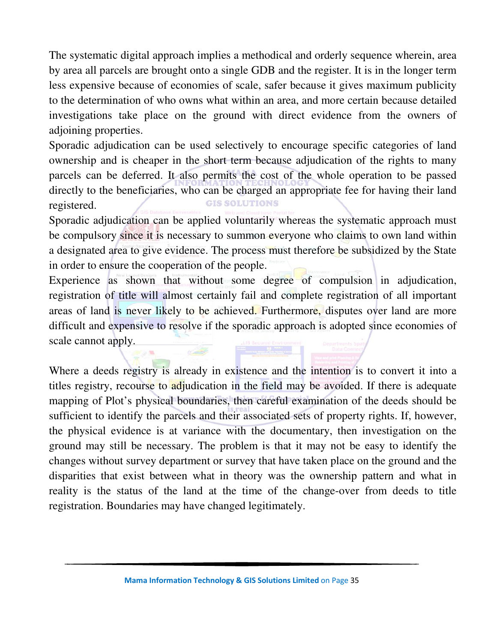The systematic digital approach implies a methodical and orderly sequence wherein, area by area all parcels are brought onto a single GDB and the register. It is in the longer term less expensive because of economies of scale, safer because it gives maximum publicity to the determination of who owns what within an area, and more certain because detailed investigations take place on the ground with direct evidence from the owners of adjoining properties.

Sporadic adjudication can be used selectively to encourage specific categories of land ownership and is cheaper in the short term because adjudication of the rights to many parcels can be deferred. It also permits the cost of the whole operation to be passed directly to the beneficiaries, who can be charged an appropriate fee for having their land **GIS SOLUTIONS** registered.

Sporadic adjudication can be applied voluntarily whereas the systematic approach must be compulsory since it is necessary to summon everyone who claims to own land within a designated area to give evidence. The process must therefore be subsidized by the State in order to ensure the cooperation of the people.

Experience as shown that without some degree of compulsion in adjudication, registration of title will almost certainly fail and complete registration of all important areas of land is never likely to be achieved. Furthermore, disputes over land are more difficult and expensive to resolve if the sporadic approach is adopted since economies of scale cannot apply.

Where a deeds registry is already in existence and the intention is to convert it into a titles registry, recourse to adjudication in the field may be avoided. If there is adequate mapping of Plot's physical boundaries, then careful examination of the deeds should be sufficient to identify the parcels and their associated sets of property rights. If, however, the physical evidence is at variance with the documentary, then investigation on the ground may still be necessary. The problem is that it may not be easy to identify the changes without survey department or survey that have taken place on the ground and the disparities that exist between what in theory was the ownership pattern and what in reality is the status of the land at the time of the change-over from deeds to title registration. Boundaries may have changed legitimately.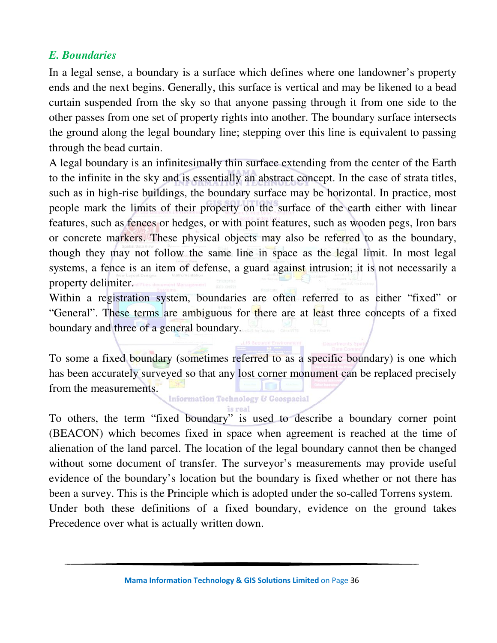#### *E. Boundaries*

In a legal sense, a boundary is a surface which defines where one landowner's property ends and the next begins. Generally, this surface is vertical and may be likened to a bead curtain suspended from the sky so that anyone passing through it from one side to the other passes from one set of property rights into another. The boundary surface intersects the ground along the legal boundary line; stepping over this line is equivalent to passing through the bead curtain.

A legal boundary is an infinitesimally thin surface extending from the center of the Earth to the infinite in the sky and is essentially an abstract concept. In the case of strata titles, such as in high-rise buildings, the boundary surface may be horizontal. In practice, most people mark the limits of their property on the surface of the earth either with linear features, such as fences or hedges, or with point features, such as wooden pegs, Iron bars or concrete markers. These physical objects may also be referred to as the boundary, though they may not follow the same line in space as the legal limit. In most legal systems, a fence is an item of defense, a guard against intrusion; it is not necessarily a property delimiter.

Within a registration system, boundaries are often referred to as either "fixed" or "General". These terms are ambiguous for there are at least three concepts of a fixed boundary and three of a general boundary.

To some a fixed boundary (sometimes referred to as a specific boundary) is one which has been accurately surveyed so that any lost corner monument can be replaced precisely from the measurements.

**Information Technology & Geospacial** 

To others, the term "fixed boundary" is used to describe a boundary corner point (BEACON) which becomes fixed in space when agreement is reached at the time of alienation of the land parcel. The location of the legal boundary cannot then be changed without some document of transfer. The surveyor's measurements may provide useful evidence of the boundary's location but the boundary is fixed whether or not there has been a survey. This is the Principle which is adopted under the so-called Torrens system. Under both these definitions of a fixed boundary, evidence on the ground takes Precedence over what is actually written down.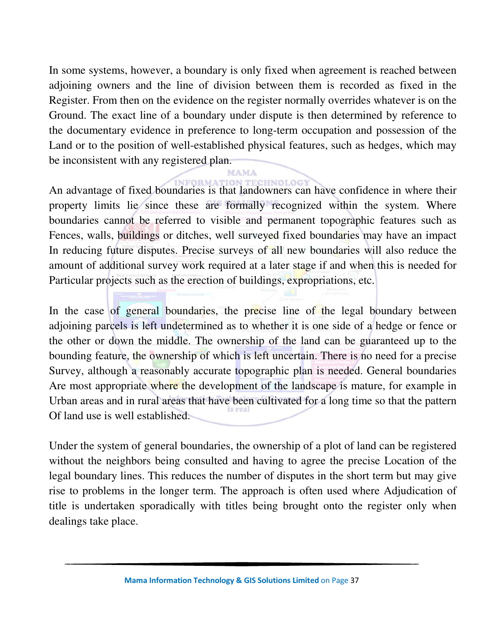In some systems, however, a boundary is only fixed when agreement is reached between adjoining owners and the line of division between them is recorded as fixed in the Register. From then on the evidence on the register normally overrides whatever is on the Ground. The exact line of a boundary under dispute is then determined by reference to the documentary evidence in preference to long-term occupation and possession of the Land or to the position of well-established physical features, such as hedges, which may be inconsistent with any registered plan.

An advantage of fixed boundaries is that landowners can have confidence in where their property limits lie since these are formally recognized within the system. Where boundaries cannot be referred to visible and permanent topographic features such as Fences, walls, buildings or ditches, well surveyed fixed boundaries may have an impact In reducing future disputes. Precise surveys of all new boundaries will also reduce the amount of additional survey work required at a later stage if and when this is needed for Particular projects such as the erection of buildings, expropriations, etc.

In the case of general boundaries, the precise line of the legal boundary between adjoining parcels is left undetermined as to whether it is one side of a hedge or fence or the other or down the middle. The ownership of the land can be guaranteed up to the bounding feature, the ownership of which is left uncertain. There is no need for a precise Survey, although a reasonably accurate topographic plan is needed. General boundaries Are most appropriate where the development of the landscape is mature, for example in Urban areas and in rural areas that have been cultivated for a long time so that the pattern Of land use is well established.

Under the system of general boundaries, the ownership of a plot of land can be registered without the neighbors being consulted and having to agree the precise Location of the legal boundary lines. This reduces the number of disputes in the short term but may give rise to problems in the longer term. The approach is often used where Adjudication of title is undertaken sporadically with titles being brought onto the register only when dealings take place.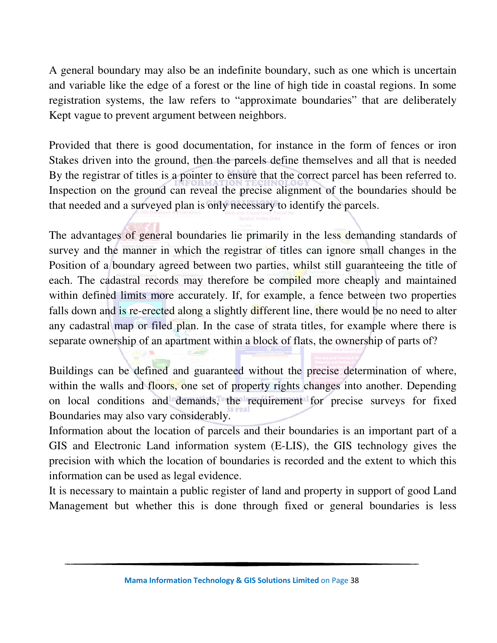A general boundary may also be an indefinite boundary, such as one which is uncertain and variable like the edge of a forest or the line of high tide in coastal regions. In some registration systems, the law refers to "approximate boundaries" that are deliberately Kept vague to prevent argument between neighbors.

Provided that there is good documentation, for instance in the form of fences or iron Stakes driven into the ground, then the parcels define themselves and all that is needed By the registrar of titles is a pointer to ensure that the correct parcel has been referred to. Inspection on the ground can reveal the precise alignment of the boundaries should be that needed and a surveyed plan is only necessary to identify the parcels.

The advantages of general boundaries lie primarily in the less demanding standards of survey and the manner in which the registrar of titles can ignore small changes in the Position of a boundary agreed between two parties, whilst still guaranteeing the title of each. The cadastral records may therefore be compiled more cheaply and maintained within defined limits more accurately. If, for example, a fence between two properties falls down and is re-erected along a slightly different line, there would be no need to alter any cadastral map or filed plan. In the case of strata titles, for example where there is separate ownership of an apartment within a block of flats, the ownership of parts of?

Buildings can be defined and guaranteed without the precise determination of where, within the walls and floors, one set of property rights changes into another. Depending on local conditions and demands, the requirement for precise surveys for fixed Boundaries may also vary considerably.

Information about the location of parcels and their boundaries is an important part of a GIS and Electronic Land information system (E-LIS), the GIS technology gives the precision with which the location of boundaries is recorded and the extent to which this information can be used as legal evidence.

It is necessary to maintain a public register of land and property in support of good Land Management but whether this is done through fixed or general boundaries is less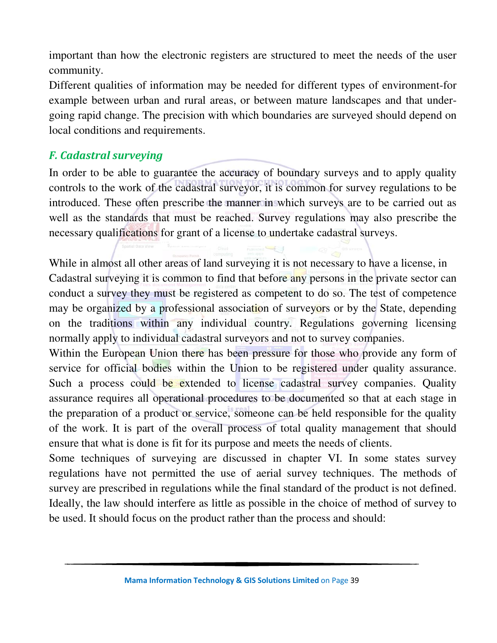important than how the electronic registers are structured to meet the needs of the user community.

Different qualities of information may be needed for different types of environment-for example between urban and rural areas, or between mature landscapes and that undergoing rapid change. The precision with which boundaries are surveyed should depend on local conditions and requirements.

## *F. Cadastral surveying*

In order to be able to guarantee the accuracy of boundary surveys and to apply quality controls to the work of the cadastral surveyor, it is common for survey regulations to be introduced. These often prescribe the manner in which surveys are to be carried out as well as the standards that must be reached. Survey regulations may also prescribe the necessary qualifications for grant of a license to undertake cadastral surveys.

While in almost all other areas of land surveying it is not necessary to have a license, in Cadastral surveying it is common to find that before any persons in the private sector can conduct a survey they must be registered as competent to do so. The test of competence may be organized by a professional association of surveyors or by the State, depending on the traditions within any individual country. Regulations governing licensing normally apply to individual cadastral surveyors and not to survey companies.

Within the European Union there has been pressure for those who provide any form of service for official bodies within the Union to be registered under quality assurance. Such a process could be extended to license cadastral survey companies. Quality assurance requires all operational procedures to be documented so that at each stage in the preparation of a product or service, someone can be held responsible for the quality of the work. It is part of the overall process of total quality management that should ensure that what is done is fit for its purpose and meets the needs of clients.

Some techniques of surveying are discussed in chapter VI. In some states survey regulations have not permitted the use of aerial survey techniques. The methods of survey are prescribed in regulations while the final standard of the product is not defined. Ideally, the law should interfere as little as possible in the choice of method of survey to be used. It should focus on the product rather than the process and should: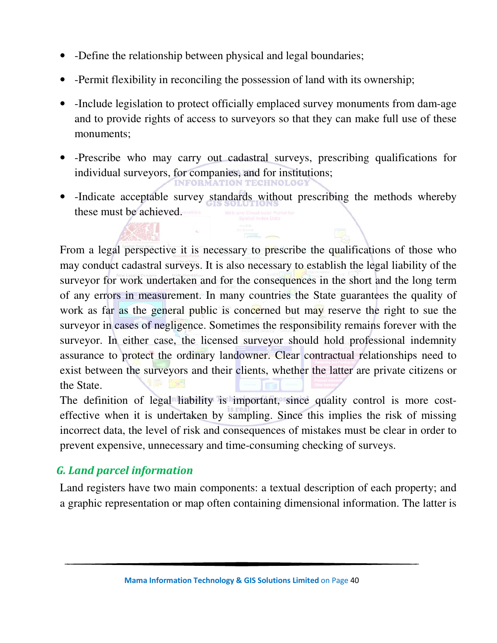- -Define the relationship between physical and legal boundaries;
- -Permit flexibility in reconciling the possession of land with its ownership;
- -Include legislation to protect officially emplaced survey monuments from dam-age and to provide rights of access to surveyors so that they can make full use of these monuments;
- -Prescribe who may carry out cadastral surveys, prescribing qualifications for individual surveyors, for companies, and for institutions;
- -Indicate acceptable survey standards without prescribing the methods whereby these must be achieved.

From a legal perspective it is necessary to prescribe the qualifications of those who may conduct cadastral surveys. It is also necessary to establish the legal liability of the surveyor for work undertaken and for the consequences in the short and the long term of any errors in measurement. In many countries the State guarantees the quality of work as far as the general public is concerned but may reserve the right to sue the surveyor in cases of negligence. Sometimes the responsibility remains forever with the surveyor. In either case, the licensed surveyor should hold professional indemnity assurance to protect the ordinary landowner. Clear contractual relationships need to exist between the surveyors and their clients, whether the latter are private citizens or the State.

The definition of legal liability is important, since quality control is more costeffective when it is undertaken by sampling. Since this implies the risk of missing incorrect data, the level of risk and consequences of mistakes must be clear in order to prevent expensive, unnecessary and time-consuming checking of surveys.

## *G. Land parcel information*

Land registers have two main components: a textual description of each property; and a graphic representation or map often containing dimensional information. The latter is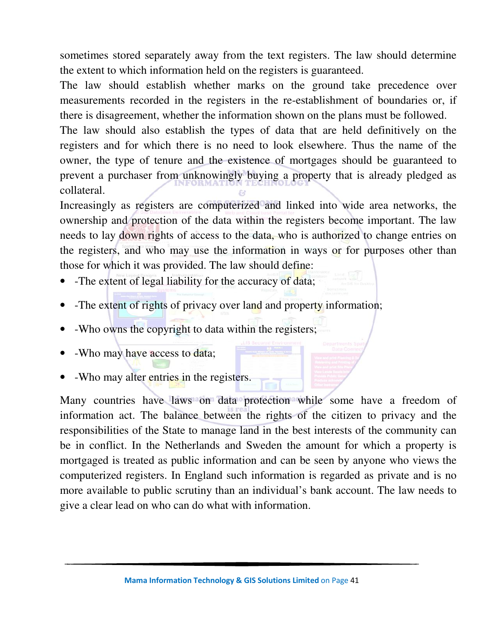sometimes stored separately away from the text registers. The law should determine the extent to which information held on the registers is guaranteed.

The law should establish whether marks on the ground take precedence over measurements recorded in the registers in the re-establishment of boundaries or, if there is disagreement, whether the information shown on the plans must be followed.

The law should also establish the types of data that are held definitively on the registers and for which there is no need to look elsewhere. Thus the name of the owner, the type of tenure and the existence of mortgages should be guaranteed to prevent a purchaser from unknowingly buying a property that is already pledged as collateral.

Increasingly as registers are computerized and linked into wide area networks, the ownership and protection of the data within the registers become important. The law needs to lay down rights of access to the data, who is authorized to change entries on the registers, and who may use the information in ways or for purposes other than those for which it was provided. The law should define:

- -The extent of legal liability for the accuracy of data;
- -The extent of rights of privacy over land and property information;
- -Who owns the copyright to data within the registers;
- -Who may have access to data;
- -Who may alter entries in the registers.

Many countries have laws on data protection while some have a freedom of information act. The balance between the rights of the citizen to privacy and the responsibilities of the State to manage land in the best interests of the community can be in conflict. In the Netherlands and Sweden the amount for which a property is mortgaged is treated as public information and can be seen by anyone who views the computerized registers. In England such information is regarded as private and is no more available to public scrutiny than an individual's bank account. The law needs to give a clear lead on who can do what with information.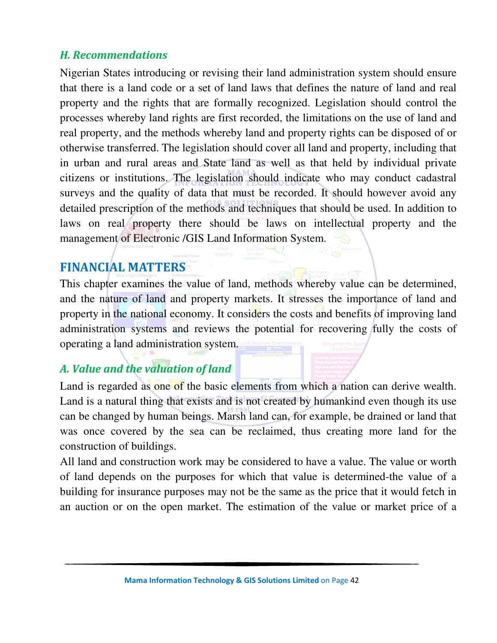## *H. Recommendations*

Nigerian States introducing or revising their land administration system should ensure that there is a land code or a set of land laws that defines the nature of land and real property and the rights that are formally recognized. Legislation should control the processes whereby land rights are first recorded, the limitations on the use of land and real property, and the methods whereby land and property rights can be disposed of or otherwise transferred. The legislation should cover all land and property, including that in urban and rural areas and State land as well as that held by individual private citizens or institutions. The legislation should indicate who may conduct cadastral surveys and the quality of data that must be recorded. It should however avoid any detailed prescription of the methods and techniques that should be used. In addition to laws on real property there should be laws on intellectual property and the management of Electronic /GIS Land Information System.

# **FINANCIAL MATTERS**

This chapter examines the value of land, methods whereby value can be determined, and the nature of land and property markets. It stresses the importance of land and property in the national economy. It considers the costs and benefits of improving land administration systems and reviews the potential for recovering fully the costs of operating a land administration system.

# *A. Value and the valuation of land*

Land is regarded as one of the basic elements from which a nation can derive wealth. Land is a natural thing that exists and is not created by humankind even though its use can be changed by human beings. Marsh land can, for example, be drained or land that was once covered by the sea can be reclaimed, thus creating more land for the construction of buildings.

All land and construction work may be considered to have a value. The value or worth of land depends on the purposes for which that value is determined-the value of a building for insurance purposes may not be the same as the price that it would fetch in an auction or on the open market. The estimation of the value or market price of a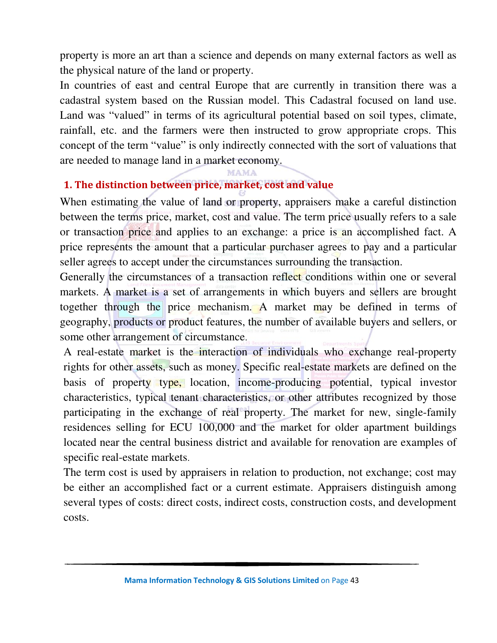property is more an art than a science and depends on many external factors as well as the physical nature of the land or property.

In countries of east and central Europe that are currently in transition there was a cadastral system based on the Russian model. This Cadastral focused on land use. Land was "valued" in terms of its agricultural potential based on soil types, climate, rainfall, etc. and the farmers were then instructed to grow appropriate crops. This concept of the term "value" is only indirectly connected with the sort of valuations that are needed to manage land in a market economy.

#### **MAMA**

### **1. The distinction between price, market, cost and value**

When estimating the value of land or property, appraisers make a careful distinction between the terms price, market, cost and value. The term price usually refers to a sale or transaction price and applies to an exchange: a price is an accomplished fact. A price represents the amount that a particular purchaser agrees to pay and a particular seller agrees to accept under the circumstances surrounding the transaction.

Generally the circumstances of a transaction reflect conditions within one or several markets. A market is a set of arrangements in which buyers and sellers are brought together through the price mechanism. A market may be defined in terms of geography, products or product features, the number of available buyers and sellers, or some other arrangement of circumstance.

A real-estate market is the interaction of individuals who exchange real-property rights for other assets, such as money. Specific real-estate markets are defined on the basis of property type, location, income-producing potential, typical investor characteristics, typical tenant characteristics, or other attributes recognized by those participating in the exchange of real property. The market for new, single-family residences selling for ECU 100,000 and the market for older apartment buildings located near the central business district and available for renovation are examples of specific real-estate markets.

The term cost is used by appraisers in relation to production, not exchange; cost may be either an accomplished fact or a current estimate. Appraisers distinguish among several types of costs: direct costs, indirect costs, construction costs, and development costs.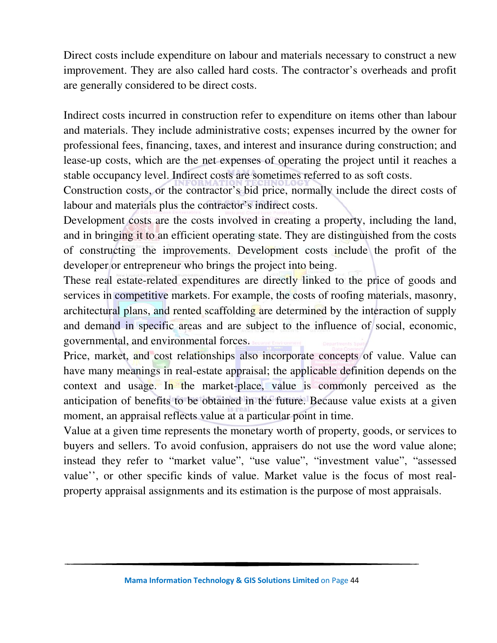Direct costs include expenditure on labour and materials necessary to construct a new improvement. They are also called hard costs. The contractor's overheads and profit are generally considered to be direct costs.

Indirect costs incurred in construction refer to expenditure on items other than labour and materials. They include administrative costs; expenses incurred by the owner for professional fees, financing, taxes, and interest and insurance during construction; and lease-up costs, which are the net expenses of operating the project until it reaches a stable occupancy level. Indirect costs are sometimes referred to as soft costs.

Construction costs, or the contractor's bid price, normally include the direct costs of labour and materials plus the contractor's indirect costs.

Development costs are the costs involved in creating a property, including the land, and in bringing it to an efficient operating state. They are distinguished from the costs of constructing the improvements. Development costs include the profit of the developer or entrepreneur who brings the project into being.

These real estate-related expenditures are directly linked to the price of goods and services in competitive markets. For example, the costs of roofing materials, masonry, architectural plans, and rented scaffolding are determined by the interaction of supply and demand in specific areas and are subject to the influence of social, economic, governmental, and environmental forces.

Price, market, and cost relationships also incorporate concepts of value. Value can have many meanings in real-estate appraisal; the applicable definition depends on the context and usage. In the market-place, value is commonly perceived as the anticipation of benefits to be obtained in the future. Because value exists at a given moment, an appraisal reflects value at a particular point in time.

Value at a given time represents the monetary worth of property, goods, or services to buyers and sellers. To avoid confusion, appraisers do not use the word value alone; instead they refer to "market value", "use value", "investment value", "assessed value'', or other specific kinds of value. Market value is the focus of most realproperty appraisal assignments and its estimation is the purpose of most appraisals.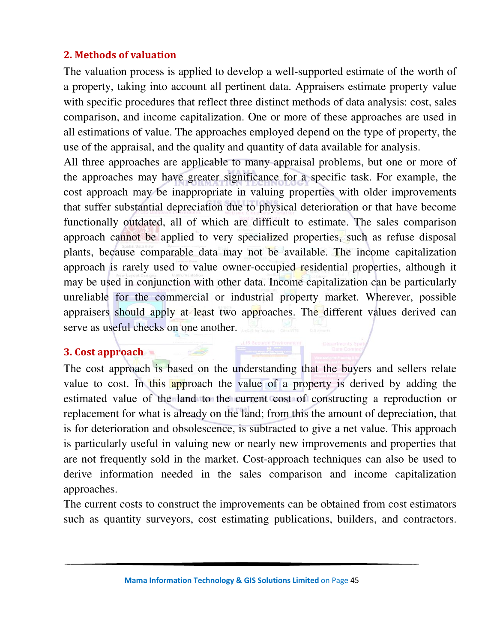### **2. Methods of valuation**

The valuation process is applied to develop a well-supported estimate of the worth of a property, taking into account all pertinent data. Appraisers estimate property value with specific procedures that reflect three distinct methods of data analysis: cost, sales comparison, and income capitalization. One or more of these approaches are used in all estimations of value. The approaches employed depend on the type of property, the use of the appraisal, and the quality and quantity of data available for analysis.

All three approaches are applicable to many appraisal problems, but one or more of the approaches may have greater significance for a specific task. For example, the cost approach may be inappropriate in valuing properties with older improvements that suffer substantial depreciation due to physical deterioration or that have become functionally outdated, all of which are difficult to estimate. The sales comparison approach cannot be applied to very specialized properties, such as refuse disposal plants, because comparable data may not be available. The income capitalization approach is rarely used to value owner-occupied residential properties, although it may be used in conjunction with other data. Income capitalization can be particularly unreliable for the commercial or industrial property market. Wherever, possible appraisers should apply at least two approaches. The different values derived can serve as useful checks on one another.

## **3. Cost approach**

The cost approach is based on the understanding that the buyers and sellers relate value to cost. In this approach the value of a property is derived by adding the estimated value of the land to the current cost of constructing a reproduction or replacement for what is already on the land; from this the amount of depreciation, that is for deterioration and obsolescence, is subtracted to give a net value. This approach is particularly useful in valuing new or nearly new improvements and properties that are not frequently sold in the market. Cost-approach techniques can also be used to derive information needed in the sales comparison and income capitalization approaches.

The current costs to construct the improvements can be obtained from cost estimators such as quantity surveyors, cost estimating publications, builders, and contractors.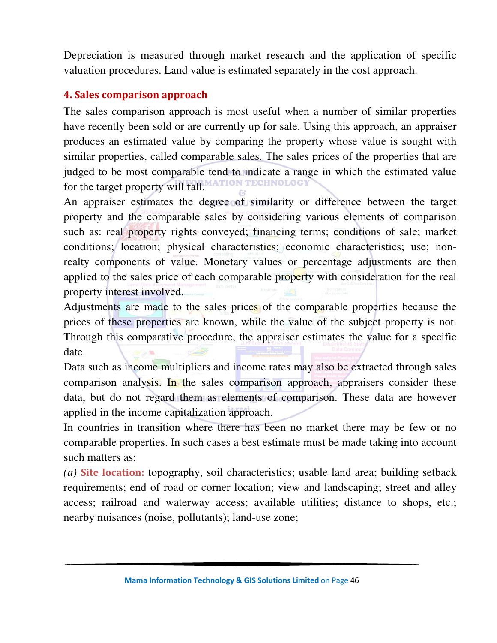Depreciation is measured through market research and the application of specific valuation procedures. Land value is estimated separately in the cost approach.

### **4. Sales comparison approach**

The sales comparison approach is most useful when a number of similar properties have recently been sold or are currently up for sale. Using this approach, an appraiser produces an estimated value by comparing the property whose value is sought with similar properties, called comparable sales. The sales prices of the properties that are judged to be most comparable tend to indicate a range in which the estimated value for the target property will fall. **FECHNOLOG** 

An appraiser estimates the degree of similarity or difference between the target property and the comparable sales by considering various elements of comparison such as: real property rights conveyed; financing terms; conditions of sale; market conditions; location; physical characteristics; economic characteristics; use; nonrealty components of value. Monetary values or percentage adjustments are then applied to the sales price of each comparable property with consideration for the real property interest involved.

Adjustments are made to the sales prices of the comparable properties because the prices of these properties are known, while the value of the subject property is not. Through this comparative procedure, the appraiser estimates the value for a specific date.

Data such as income multipliers and income rates may also be extracted through sales comparison analysis. In the sales comparison approach, appraisers consider these data, but do not regard them as elements of comparison. These data are however applied in the income capitalization approach.

In countries in transition where there has been no market there may be few or no comparable properties. In such cases a best estimate must be made taking into account such matters as:

*(a)* **Site location:** topography, soil characteristics; usable land area; building setback requirements; end of road or corner location; view and landscaping; street and alley access; railroad and waterway access; available utilities; distance to shops, etc.; nearby nuisances (noise, pollutants); land-use zone;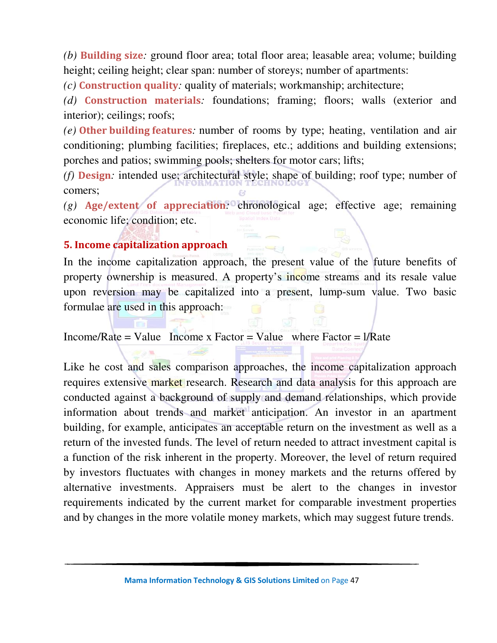*(b)* **Building size***:* ground floor area; total floor area; leasable area; volume; building height; ceiling height; clear span: number of storeys; number of apartments:

*(c)* **Construction quality***:* quality of materials; workmanship; architecture;

*(d)* **Construction materials***:* foundations; framing; floors; walls (exterior and interior); ceilings; roofs;

*(e)* **Other building features***:* number of rooms by type; heating, ventilation and air conditioning; plumbing facilities; fireplaces, etc.; additions and building extensions; porches and patios; swimming pools; shelters for motor cars; lifts;

*(f)* **Design***:* intended use; architectural style; shape of building; roof type; number of comers;

*(g)* **Age/extent of appreciation***:* chronological age; effective age; remaining economic life; condition; etc.

### **5. Income capitalization approach**

In the income capitalization approach, the present value of the future benefits of property ownership is measured. A property's income streams and its resale value upon reversion may be capitalized into a present, lump-sum value. Two basic formulae are used in this approach:

Income/Rate = Value Income x Factor = Value where Factor =  $1/R$ ate

Like he cost and sales comparison approaches, the income capitalization approach requires extensive market research. Research and data analysis for this approach are conducted against a background of supply and demand relationships, which provide information about trends and market anticipation. An investor in an apartment building, for example, anticipates an acceptable return on the investment as well as a return of the invested funds. The level of return needed to attract investment capital is a function of the risk inherent in the property. Moreover, the level of return required by investors fluctuates with changes in money markets and the returns offered by alternative investments. Appraisers must be alert to the changes in investor requirements indicated by the current market for comparable investment properties and by changes in the more volatile money markets, which may suggest future trends.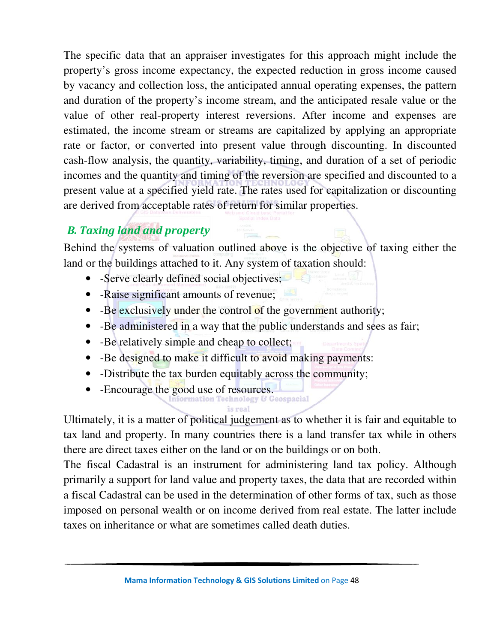The specific data that an appraiser investigates for this approach might include the property's gross income expectancy, the expected reduction in gross income caused by vacancy and collection loss, the anticipated annual operating expenses, the pattern and duration of the property's income stream, and the anticipated resale value or the value of other real-property interest reversions. After income and expenses are estimated, the income stream or streams are capitalized by applying an appropriate rate or factor, or converted into present value through discounting. In discounted cash-flow analysis, the quantity, variability, timing, and duration of a set of periodic incomes and the quantity and timing of the reversion are specified and discounted to a present value at a specified yield rate. The rates used for capitalization or discounting are derived from acceptable rates of return for similar properties.

# *B. Taxing land and property*

Behind the systems of valuation outlined above is the objective of taxing either the land or the buildings attached to it. Any system of taxation should:

- -Serve clearly defined social objectives;
- -Raise significant amounts of revenue;
- -Be exclusively under the control of the government authority;
- -Be administered in a way that the public understands and sees as fair;
- -Be relatively simple and cheap to collect;
- -Be designed to make it difficult to avoid making payments:
- -Distribute the tax burden equitably across the community;
- -Encourage the good use of resources.

Ultimately, it is a matter of political judgement as to whether it is fair and equitable to tax land and property. In many countries there is a land transfer tax while in others there are direct taxes either on the land or on the buildings or on both.

The fiscal Cadastral is an instrument for administering land tax policy. Although primarily a support for land value and property taxes, the data that are recorded within a fiscal Cadastral can be used in the determination of other forms of tax, such as those imposed on personal wealth or on income derived from real estate. The latter include taxes on inheritance or what are sometimes called death duties.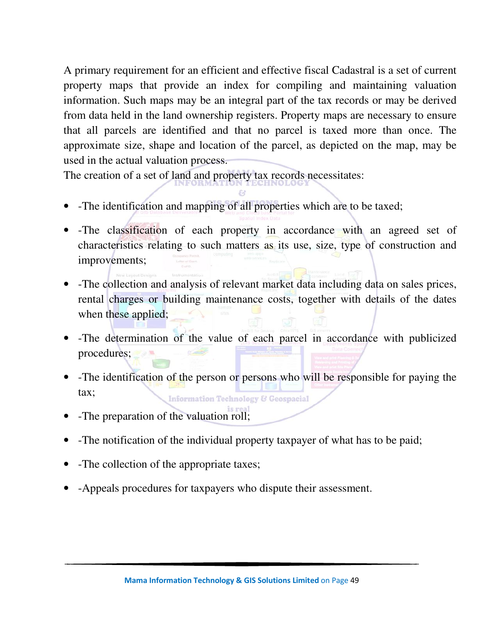A primary requirement for an efficient and effective fiscal Cadastral is a set of current property maps that provide an index for compiling and maintaining valuation information. Such maps may be an integral part of the tax records or may be derived from data held in the land ownership registers. Property maps are necessary to ensure that all parcels are identified and that no parcel is taxed more than once. The approximate size, shape and location of the parcel, as depicted on the map, may be used in the actual valuation process.

The creation of a set of land and property tax records necessitates:

- -The identification and mapping of all properties which are to be taxed;
- The classification of each property in accordance with an agreed set of characteristics relating to such matters as its use, size, type of construction and improvements;
- -The collection and analysis of relevant market data including data on sales prices, rental charges or building maintenance costs, together with details of the dates when these applied;
- -The determination of the value of each parcel in accordance with publicized procedures;
- -The identification of the person or persons who will be responsible for paying the tax; **Information Technology & Geospacial**
- -The preparation of the valuation roll;
- -The notification of the individual property taxpayer of what has to be paid;
- -The collection of the appropriate taxes;
- -Appeals procedures for taxpayers who dispute their assessment.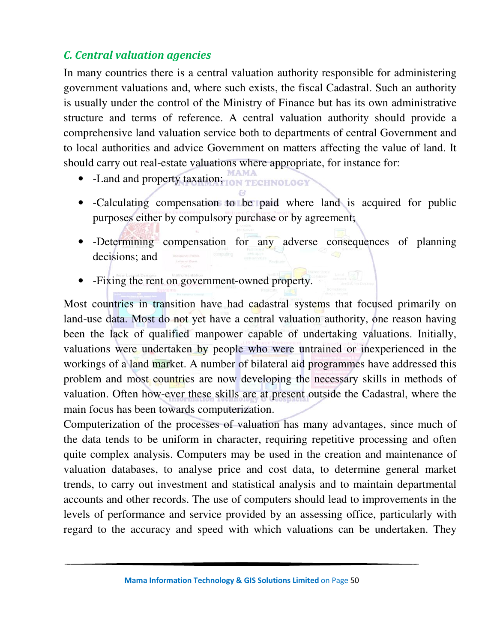## *C. Central valuation agencies*

In many countries there is a central valuation authority responsible for administering government valuations and, where such exists, the fiscal Cadastral. Such an authority is usually under the control of the Ministry of Finance but has its own administrative structure and terms of reference. A central valuation authority should provide a comprehensive land valuation service both to departments of central Government and to local authorities and advice Government on matters affecting the value of land. It should carry out real-estate valuations where appropriate, for instance for:

- -Land and property taxation; ON TECHNOLOGY
- -Calculating compensation to be paid where land is acquired for public purposes either by compulsory purchase or by agreement;
- -Determining compensation for any adverse consequences of planning decisions; and
- -Fixing the rent on government-owned property.

Most countries in transition have had cadastral systems that focused primarily on land-use data. Most do not yet have a central valuation authority, one reason having been the lack of qualified manpower capable of undertaking valuations. Initially, valuations were undertaken by people who were untrained or inexperienced in the workings of a land market. A number of bilateral aid programmes have addressed this problem and most countries are now developing the necessary skills in methods of valuation. Often how-ever these skills are at present outside the Cadastral, where the main focus has been towards computerization.

Computerization of the processes of valuation has many advantages, since much of the data tends to be uniform in character, requiring repetitive processing and often quite complex analysis. Computers may be used in the creation and maintenance of valuation databases, to analyse price and cost data, to determine general market trends, to carry out investment and statistical analysis and to maintain departmental accounts and other records. The use of computers should lead to improvements in the levels of performance and service provided by an assessing office, particularly with regard to the accuracy and speed with which valuations can be undertaken. They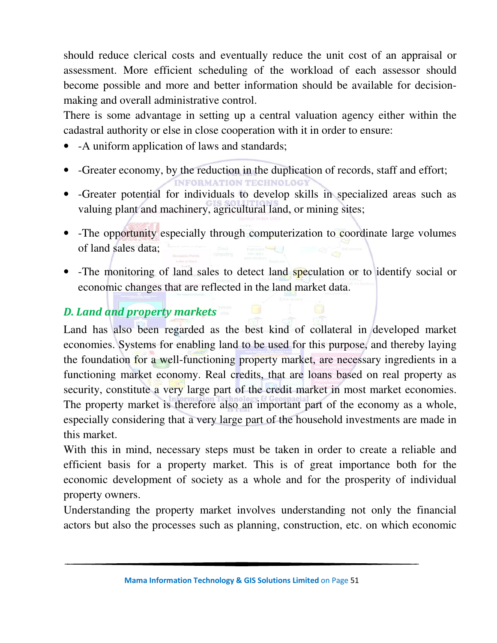should reduce clerical costs and eventually reduce the unit cost of an appraisal or assessment. More efficient scheduling of the workload of each assessor should become possible and more and better information should be available for decisionmaking and overall administrative control.

There is some advantage in setting up a central valuation agency either within the cadastral authority or else in close cooperation with it in order to ensure:

- - A uniform application of laws and standards;
- -Greater economy, by the reduction in the duplication of records, staff and effort; **MATION TECHNOL**
- -Greater potential for individuals to develop skills in specialized areas such as valuing plant and machinery, agricultural land, or mining sites;
- -The opportunity especially through computerization to coordinate large volumes of land sales data;
- -The monitoring of land sales to detect land speculation or to identify social or economic changes that are reflected in the land market data.

# *D. Land and property markets*

Land has also been regarded as the best kind of collateral in developed market economies. Systems for enabling land to be used for this purpose, and thereby laying the foundation for a well-functioning property market, are necessary ingredients in a functioning market economy. Real credits, that are loans based on real property as security, constitute a very large part of the credit market in most market economies. The property market is therefore also an important part of the economy as a whole, especially considering that a very large part of the household investments are made in this market.

With this in mind, necessary steps must be taken in order to create a reliable and efficient basis for a property market. This is of great importance both for the economic development of society as a whole and for the prosperity of individual property owners.

Understanding the property market involves understanding not only the financial actors but also the processes such as planning, construction, etc. on which economic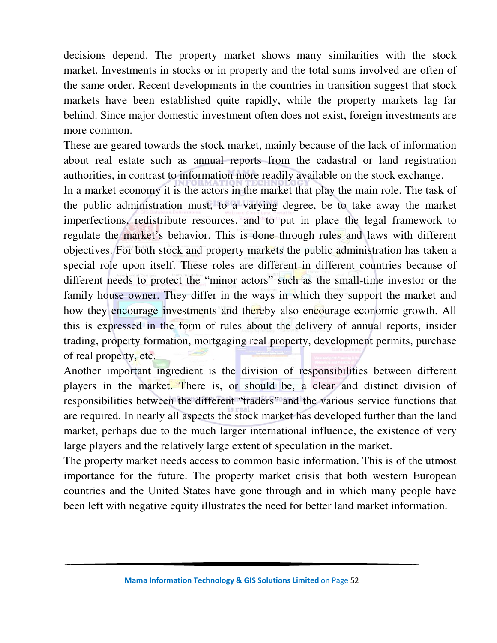decisions depend. The property market shows many similarities with the stock market. Investments in stocks or in property and the total sums involved are often of the same order. Recent developments in the countries in transition suggest that stock markets have been established quite rapidly, while the property markets lag far behind. Since major domestic investment often does not exist, foreign investments are more common.

These are geared towards the stock market, mainly because of the lack of information about real estate such as annual reports from the cadastral or land registration authorities, in contrast to information more readily available on the stock exchange.

In a market economy it is the actors in the market that play the main role. The task of the public administration must, to a varying degree, be to take away the market imperfections, redistribute resources, and to put in place the legal framework to regulate the market's behavior. This is done through rules and laws with different objectives. For both stock and property markets the public administration has taken a special role upon itself. These roles are different in different countries because of different needs to protect the "minor actors" such as the small-time investor or the family house owner. They differ in the ways in which they support the market and how they encourage investments and thereby also encourage economic growth. All this is expressed in the form of rules about the delivery of annual reports, insider trading, property formation, mortgaging real property, development permits, purchase of real property, etc.

Another important ingredient is the division of responsibilities between different players in the market. There is, or should be, a clear and distinct division of responsibilities between the different "traders" and the various service functions that are required. In nearly all aspects the stock market has developed further than the land market, perhaps due to the much larger international influence, the existence of very large players and the relatively large extent of speculation in the market.

The property market needs access to common basic information. This is of the utmost importance for the future. The property market crisis that both western European countries and the United States have gone through and in which many people have been left with negative equity illustrates the need for better land market information.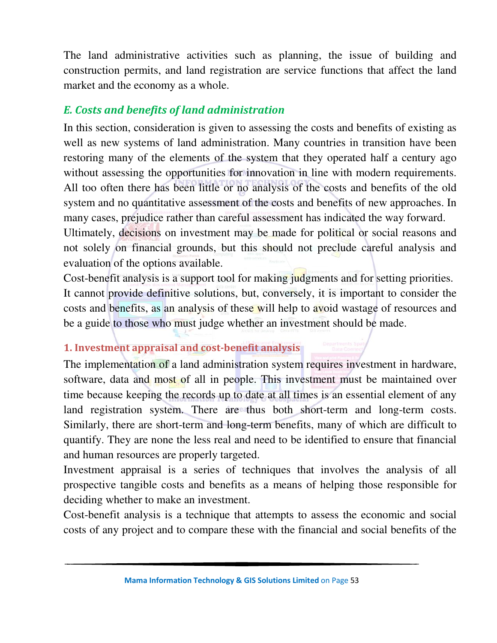The land administrative activities such as planning, the issue of building and construction permits, and land registration are service functions that affect the land market and the economy as a whole.

## *E. Costs and benefits of land administration*

In this section, consideration is given to assessing the costs and benefits of existing as well as new systems of land administration. Many countries in transition have been restoring many of the elements of the system that they operated half a century ago without assessing the opportunities for innovation in line with modern requirements. All too often there has been little or no analysis of the costs and benefits of the old system and no quantitative assessment of the costs and benefits of new approaches. In many cases, prejudice rather than careful assessment has indicated the way forward. Ultimately, decisions on investment may be made for political or social reasons and not solely on financial grounds, but this should not preclude careful analysis and

evaluation of the options available.

Cost-benefit analysis is a support tool for making judgments and for setting priorities. It cannot provide definitive solutions, but, conversely, it is important to consider the costs and benefits, as an analysis of these will help to avoid wastage of resources and be a guide to those who must judge whether an investment should be made.

## **1. Investment appraisal and cost-benefit analysis**

The implementation of a land administration system requires investment in hardware, software, data and most of all in people. This investment must be maintained over time because keeping the records up to date at all times is an essential element of any land registration system. There are thus both short-term and long-term costs. Similarly, there are short-term and long-term benefits, many of which are difficult to quantify. They are none the less real and need to be identified to ensure that financial and human resources are properly targeted.

Investment appraisal is a series of techniques that involves the analysis of all prospective tangible costs and benefits as a means of helping those responsible for deciding whether to make an investment.

Cost-benefit analysis is a technique that attempts to assess the economic and social costs of any project and to compare these with the financial and social benefits of the

**Mama Information Technology & GIS Solutions Limited** on Page 53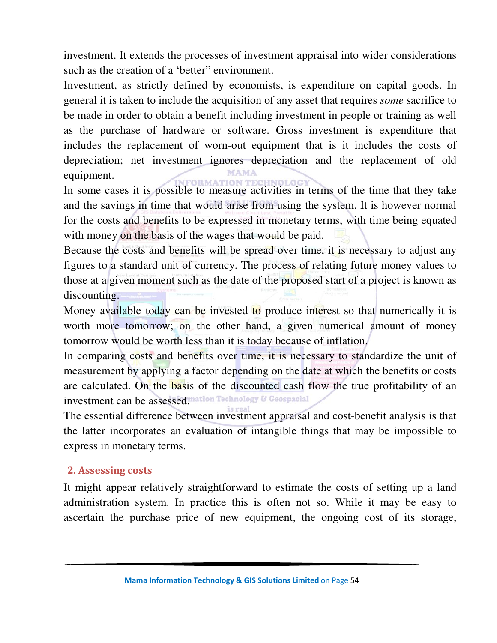investment. It extends the processes of investment appraisal into wider considerations such as the creation of a 'better" environment.

Investment, as strictly defined by economists, is expenditure on capital goods. In general it is taken to include the acquisition of any asset that requires *some* sacrifice to be made in order to obtain a benefit including investment in people or training as well as the purchase of hardware or software. Gross investment is expenditure that includes the replacement of worn-out equipment that is it includes the costs of depreciation; net investment ignores depreciation and the replacement of old equipment.

In some cases it is possible to measure activities in terms of the time that they take and the savings in time that would arise from using the system. It is however normal for the costs and benefits to be expressed in monetary terms, with time being equated with money on the basis of the wages that would be paid.

Because the costs and benefits will be spread over time, it is necessary to adjust any figures to a standard unit of currency. The process of relating future money values to those at a given moment such as the date of the proposed start of a project is known as discounting.

Money available today can be invested to produce interest so that numerically it is worth more tomorrow; on the other hand, a given numerical amount of money tomorrow would be worth less than it is today because of inflation.

In comparing costs and benefits over time, it is necessary to standardize the unit of measurement by applying a factor depending on the date at which the benefits or costs are calculated. On the basis of the discounted cash flow the true profitability of an investment can be assessed."ation Technology & Geospacial

The essential difference between investment appraisal and cost-benefit analysis is that the latter incorporates an evaluation of intangible things that may be impossible to express in monetary terms.

#### **2. Assessing costs**

It might appear relatively straightforward to estimate the costs of setting up a land administration system. In practice this is often not so. While it may be easy to ascertain the purchase price of new equipment, the ongoing cost of its storage,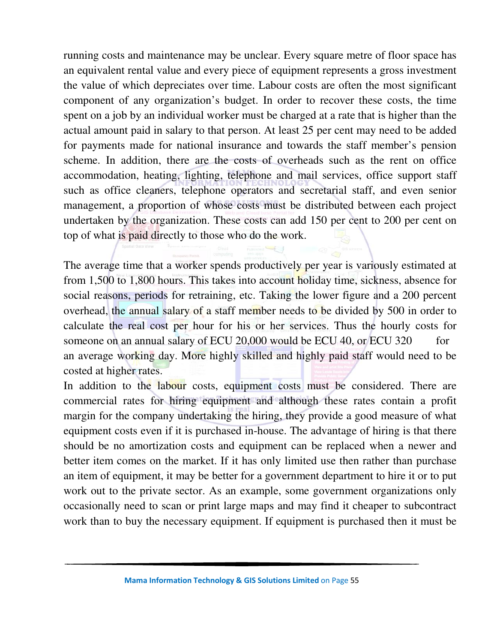running costs and maintenance may be unclear. Every square metre of floor space has an equivalent rental value and every piece of equipment represents a gross investment the value of which depreciates over time. Labour costs are often the most significant component of any organization's budget. In order to recover these costs, the time spent on a job by an individual worker must be charged at a rate that is higher than the actual amount paid in salary to that person. At least 25 per cent may need to be added for payments made for national insurance and towards the staff member's pension scheme. In addition, there are the costs of overheads such as the rent on office accommodation, heating, lighting, telephone and mail services, office support staff such as office cleaners, telephone operators and secretarial staff, and even senior management, a proportion of whose costs must be distributed between each project undertaken by the organization. These costs can add 150 per cent to 200 per cent on top of what is paid directly to those who do the work.

The average time that a worker spends productively per year is variously estimated at from 1,500 to 1,800 hours. This takes into account holiday time, sickness, absence for social reasons, periods for retraining, etc. Taking the lower figure and a 200 percent overhead, the annual salary of a staff member needs to be divided by 500 in order to calculate the real cost per hour for his or her services. Thus the hourly costs for someone on an annual salary of ECU 20,000 would be ECU 40, or ECU 320 for an average working day. More highly skilled and highly paid staff would need to be costed at higher rates.

In addition to the labour costs, equipment costs must be considered. There are commercial rates for hiring equipment and although these rates contain a profit margin for the company undertaking the hiring, they provide a good measure of what equipment costs even if it is purchased in-house. The advantage of hiring is that there should be no amortization costs and equipment can be replaced when a newer and better item comes on the market. If it has only limited use then rather than purchase an item of equipment, it may be better for a government department to hire it or to put work out to the private sector. As an example, some government organizations only occasionally need to scan or print large maps and may find it cheaper to subcontract work than to buy the necessary equipment. If equipment is purchased then it must be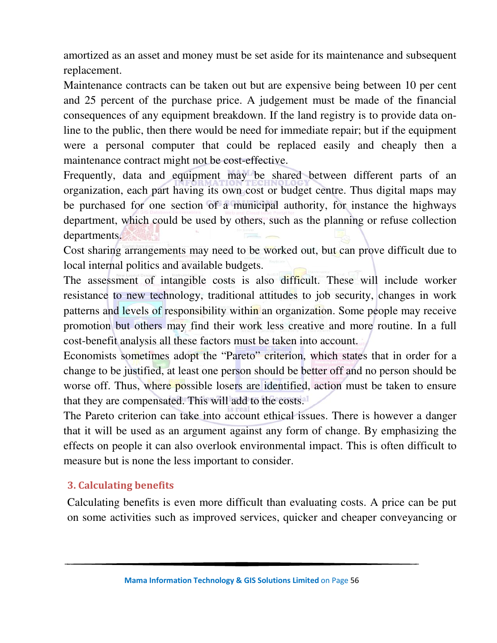amortized as an asset and money must be set aside for its maintenance and subsequent replacement.

Maintenance contracts can be taken out but are expensive being between 10 per cent and 25 percent of the purchase price. A judgement must be made of the financial consequences of any equipment breakdown. If the land registry is to provide data online to the public, then there would be need for immediate repair; but if the equipment were a personal computer that could be replaced easily and cheaply then a maintenance contract might not be cost-effective.

Frequently, data and equipment may be shared between different parts of an organization, each part having its own cost or budget centre. Thus digital maps may be purchased for one section of a municipal authority, for instance the highways department, which could be used by others, such as the planning or refuse collection departments.

Cost sharing arrangements may need to be worked out, but can prove difficult due to local internal politics and available budgets.

The assessment of intangible costs is also difficult. These will include worker resistance to new technology, traditional attitudes to job security, changes in work patterns and levels of responsibility within an organization. Some people may receive promotion but others may find their work less creative and more routine. In a full cost-benefit analysis all these factors must be taken into account.

Economists sometimes adopt the "Pareto" criterion, which states that in order for a change to be justified, at least one person should be better off and no person should be worse off. Thus, where possible losers are identified, action must be taken to ensure that they are compensated. This will add to the costs.

The Pareto criterion can take into account ethical issues. There is however a danger that it will be used as an argument against any form of change. By emphasizing the effects on people it can also overlook environmental impact. This is often difficult to measure but is none the less important to consider.

## **3. Calculating benefits**

Calculating benefits is even more difficult than evaluating costs. A price can be put on some activities such as improved services, quicker and cheaper conveyancing or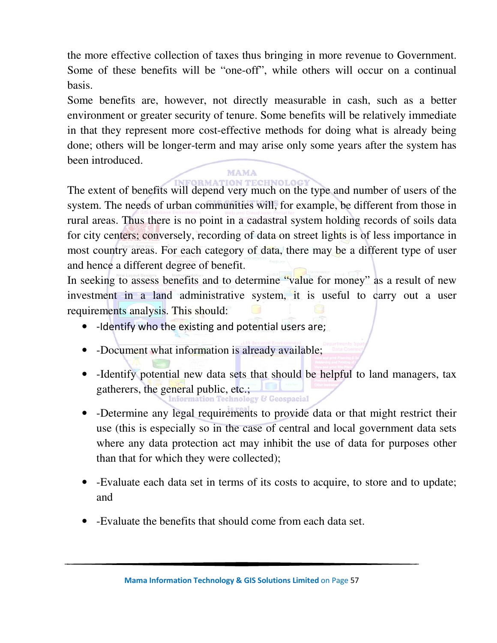the more effective collection of taxes thus bringing in more revenue to Government. Some of these benefits will be "one-off", while others will occur on a continual basis.

Some benefits are, however, not directly measurable in cash, such as a better environment or greater security of tenure. Some benefits will be relatively immediate in that they represent more cost-effective methods for doing what is already being done; others will be longer-term and may arise only some years after the system has been introduced.

The extent of benefits will depend very much on the type and number of users of the system. The needs of urban communities will, for example, be different from those in rural areas. Thus there is no point in a cadastral system holding records of soils data for city centers; conversely, recording of data on street lights is of less importance in most country areas. For each category of data, there may be a different type of user and hence a different degree of benefit.

In seeking to assess benefits and to determine "value for money" as a result of new investment in a land administrative system, it is useful to carry out a user requirements analysis. This should:

- -Identify who the existing and potential users are;
- -Document what information is already available;
- -Identify potential new data sets that should be helpful to land managers, tax gatherers, the general public, etc.; **the general public, etc.; Comparison**
- -Determine any legal requirements to provide data or that might restrict their use (this is especially so in the case of central and local government data sets where any data protection act may inhibit the use of data for purposes other than that for which they were collected);
- -Evaluate each data set in terms of its costs to acquire, to store and to update; and
- -Evaluate the benefits that should come from each data set.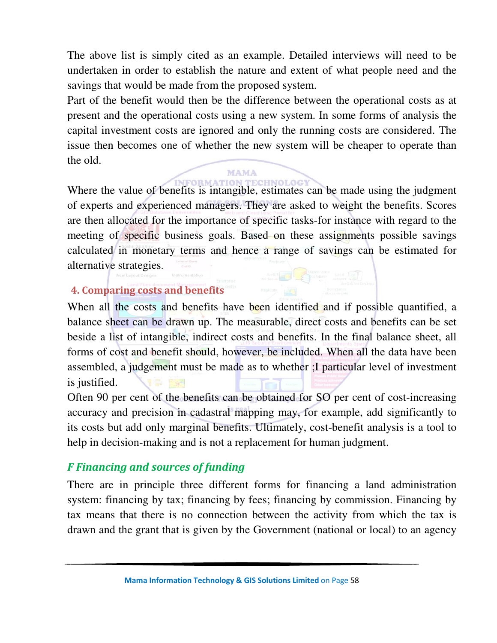The above list is simply cited as an example. Detailed interviews will need to be undertaken in order to establish the nature and extent of what people need and the savings that would be made from the proposed system.

Part of the benefit would then be the difference between the operational costs as at present and the operational costs using a new system. In some forms of analysis the capital investment costs are ignored and only the running costs are considered. The issue then becomes one of whether the new system will be cheaper to operate than the old.

## MAMA

Where the value of benefits is intangible, estimates can be made using the judgment of experts and experienced managers. They are asked to weight the benefits. Scores are then allocated for the importance of specific tasks-for instance with regard to the meeting of specific business goals. Based on these assignments possible savings calculated in monetary terms and hence a range of savings can be estimated for alternative strategies.

## **4. Comparing costs and benefits**

When all the costs and benefits have been identified and if possible quantified, a balance sheet can be drawn up. The measurable, direct costs and benefits can be set beside a list of intangible, indirect costs and benefits. In the final balance sheet, all forms of cost and benefit should, however, be included. When all the data have been assembled, a judgement must be made as to whether ;I particular level of investment is justified.

Often 90 per cent of the benefits can be obtained for SO per cent of cost-increasing accuracy and precision in cadastral mapping may, for example, add significantly to its costs but add only marginal benefits. Ultimately, cost-benefit analysis is a tool to help in decision-making and is not a replacement for human judgment.

## *F Financing and sources of funding*

There are in principle three different forms for financing a land administration system: financing by tax; financing by fees; financing by commission. Financing by tax means that there is no connection between the activity from which the tax is drawn and the grant that is given by the Government (national or local) to an agency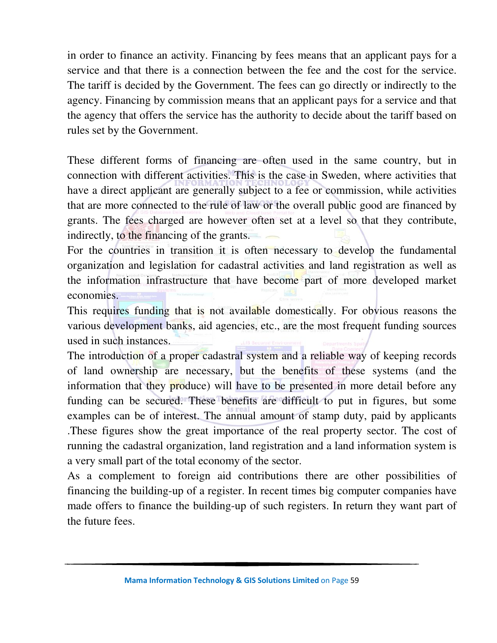in order to finance an activity. Financing by fees means that an applicant pays for a service and that there is a connection between the fee and the cost for the service. The tariff is decided by the Government. The fees can go directly or indirectly to the agency. Financing by commission means that an applicant pays for a service and that the agency that offers the service has the authority to decide about the tariff based on rules set by the Government.

These different forms of financing are often used in the same country, but in connection with different activities. This is the case in Sweden, where activities that have a direct applicant are generally subject to a fee or commission, while activities that are more connected to the rule of law or the overall public good are financed by grants. The fees charged are however often set at a level so that they contribute, indirectly, to the financing of the grants.

For the countries in transition it is often necessary to develop the fundamental organization and legislation for cadastral activities and land registration as well as the information infrastructure that have become part of more developed market economies.

This requires funding that is not available domestically. For obvious reasons the various development banks, aid agencies, etc., are the most frequent funding sources used in such instances.

The introduction of a proper cadastral system and a reliable way of keeping records of land ownership are necessary, but the benefits of these systems (and the information that they produce) will have to be presented in more detail before any funding can be secured. These benefits are difficult to put in figures, but some examples can be of interest. The annual amount of stamp duty, paid by applicants .These figures show the great importance of the real property sector. The cost of running the cadastral organization, land registration and a land information system is a very small part of the total economy of the sector.

As a complement to foreign aid contributions there are other possibilities of financing the building-up of a register. In recent times big computer companies have made offers to finance the building-up of such registers. In return they want part of the future fees.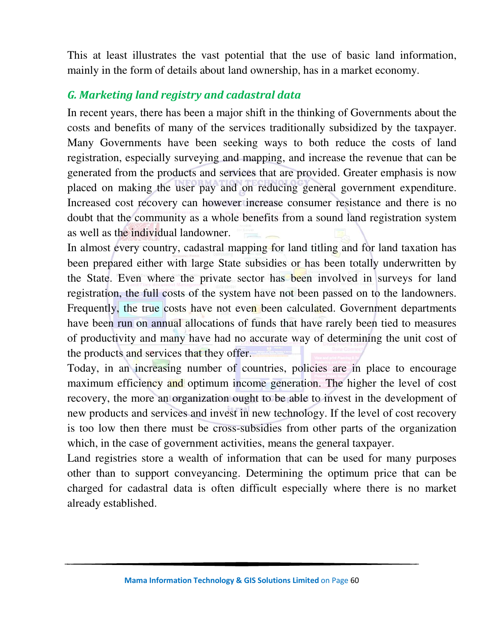This at least illustrates the vast potential that the use of basic land information, mainly in the form of details about land ownership, has in a market economy.

## *G. Marketing land registry and cadastral data*

In recent years, there has been a major shift in the thinking of Governments about the costs and benefits of many of the services traditionally subsidized by the taxpayer. Many Governments have been seeking ways to both reduce the costs of land registration, especially surveying and mapping, and increase the revenue that can be generated from the products and services that are provided. Greater emphasis is now placed on making the user pay and on reducing general government expenditure. Increased cost recovery can however increase consumer resistance and there is no doubt that the community as a whole benefits from a sound land registration system as well as the individual landowner.

In almost every country, cadastral mapping for land titling and for land taxation has been prepared either with large State subsidies or has been totally underwritten by the State. Even where the private sector has been involved in surveys for land registration, the full costs of the system have not been passed on to the landowners. Frequently, the true costs have not even been calculated. Government departments have been run on annual allocations of funds that have rarely been tied to measures of productivity and many have had no accurate way of determining the unit cost of the products and services that they offer.

Today, in an increasing number of countries, policies are in place to encourage maximum efficiency and optimum income generation. The higher the level of cost recovery, the more an organization ought to be able to invest in the development of new products and services and invest in new technology. If the level of cost recovery is too low then there must be cross-subsidies from other parts of the organization which, in the case of government activities, means the general taxpayer.

Land registries store a wealth of information that can be used for many purposes other than to support conveyancing. Determining the optimum price that can be charged for cadastral data is often difficult especially where there is no market already established.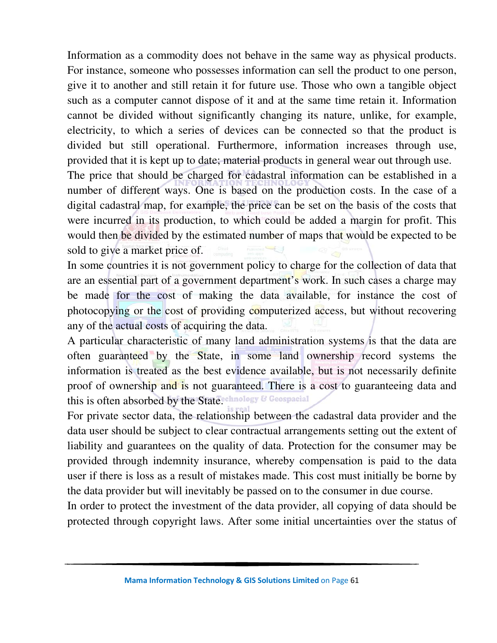Information as a commodity does not behave in the same way as physical products. For instance, someone who possesses information can sell the product to one person, give it to another and still retain it for future use. Those who own a tangible object such as a computer cannot dispose of it and at the same time retain it. Information cannot be divided without significantly changing its nature, unlike, for example, electricity, to which a series of devices can be connected so that the product is divided but still operational. Furthermore, information increases through use, provided that it is kept up to date; material products in general wear out through use. The price that should be charged for cadastral information can be established in a number of different ways. One is based on the production costs. In the case of a digital cadastral map, for example, the price can be set on the basis of the costs that were incurred in its production, to which could be added a margin for profit. This

would then be divided by the estimated number of maps that would be expected to be sold to give a market price of. In some countries it is not government policy to charge for the collection of data that

are an essential part of a government department's work. In such cases a charge may be made for the cost of making the data available, for instance the cost of photocopying or the cost of providing computerized access, but without recovering any of the actual costs of acquiring the data.

A particular characteristic of many land administration systems is that the data are often guaranteed by the State, in some land ownership record systems the information is treated as the best evidence available, but is not necessarily definite proof of ownership and is not guaranteed. There is a cost to guaranteeing data and this is often absorbed by the State. Chnology & Geospacial

For private sector data, the relationship between the cadastral data provider and the data user should be subject to clear contractual arrangements setting out the extent of liability and guarantees on the quality of data. Protection for the consumer may be provided through indemnity insurance, whereby compensation is paid to the data user if there is loss as a result of mistakes made. This cost must initially be borne by the data provider but will inevitably be passed on to the consumer in due course.

In order to protect the investment of the data provider, all copying of data should be protected through copyright laws. After some initial uncertainties over the status of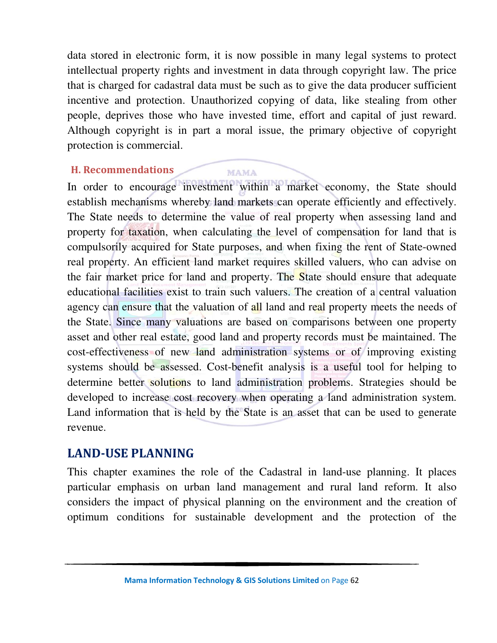data stored in electronic form, it is now possible in many legal systems to protect intellectual property rights and investment in data through copyright law. The price that is charged for cadastral data must be such as to give the data producer sufficient incentive and protection. Unauthorized copying of data, like stealing from other people, deprives those who have invested time, effort and capital of just reward. Although copyright is in part a moral issue, the primary objective of copyright protection is commercial.

#### **H. Recommendations**

**MAMA** 

In order to encourage investment within a market economy, the State should establish mechanisms whereby land markets can operate efficiently and effectively. The State needs to determine the value of real property when assessing land and property for taxation, when calculating the level of compensation for land that is compulsorily acquired for State purposes, and when fixing the rent of State-owned real property. An efficient land market requires skilled valuers, who can advise on the fair market price for land and property. The State should ensure that adequate educational facilities exist to train such valuers. The creation of a central valuation agency can ensure that the valuation of all land and real property meets the needs of the State. Since many valuations are based on comparisons between one property asset and other real estate, good land and property records must be maintained. The cost-effectiveness of new land administration systems or of improving existing systems should be assessed. Cost-benefit analysis is a useful tool for helping to determine better solutions to land administration problems. Strategies should be developed to increase cost recovery when operating a land administration system. Land information that is held by the State is an asset that can be used to generate revenue.

## **LAND-USE PLANNING**

This chapter examines the role of the Cadastral in land-use planning. It places particular emphasis on urban land management and rural land reform. It also considers the impact of physical planning on the environment and the creation of optimum conditions for sustainable development and the protection of the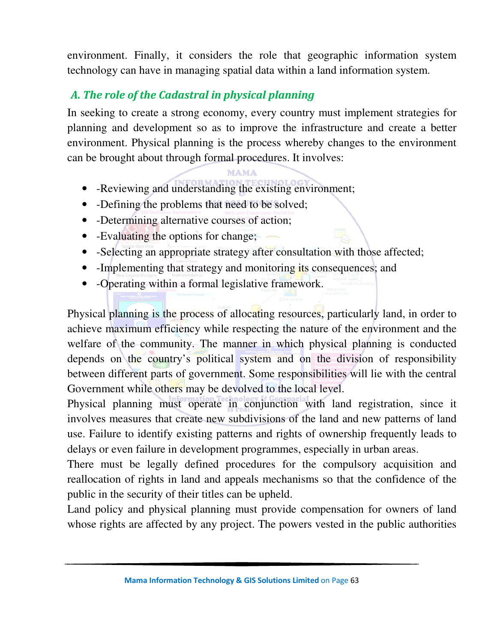environment. Finally, it considers the role that geographic information system technology can have in managing spatial data within a land information system.

# *A. The role of the Cadastral in physical planning*

In seeking to create a strong economy, every country must implement strategies for planning and development so as to improve the infrastructure and create a better environment. Physical planning is the process whereby changes to the environment can be brought about through formal procedures. It involves:

## MAMA

- -Reviewing and understanding the existing environment;
- -Defining the problems that need to be solved;
- -Determining alternative courses of action;
- -Evaluating the options for change;
- -Selecting an appropriate strategy after consultation with those affected;
- -Implementing that strategy and monitoring its consequences; and
- -Operating within a formal legislative framework.

Physical planning is the process of allocating resources, particularly land, in order to achieve maximum efficiency while respecting the nature of the environment and the welfare of the community. The manner in which physical planning is conducted depends on the country's political system and on the division of responsibility between different parts of government. Some responsibilities will lie with the central Government while others may be devolved to the local level.

Physical planning must operate in conjunction with land registration, since it involves measures that create new subdivisions of the land and new patterns of land use. Failure to identify existing patterns and rights of ownership frequently leads to delays or even failure in development programmes, especially in urban areas.

There must be legally defined procedures for the compulsory acquisition and reallocation of rights in land and appeals mechanisms so that the confidence of the public in the security of their titles can be upheld.

Land policy and physical planning must provide compensation for owners of land whose rights are affected by any project. The powers vested in the public authorities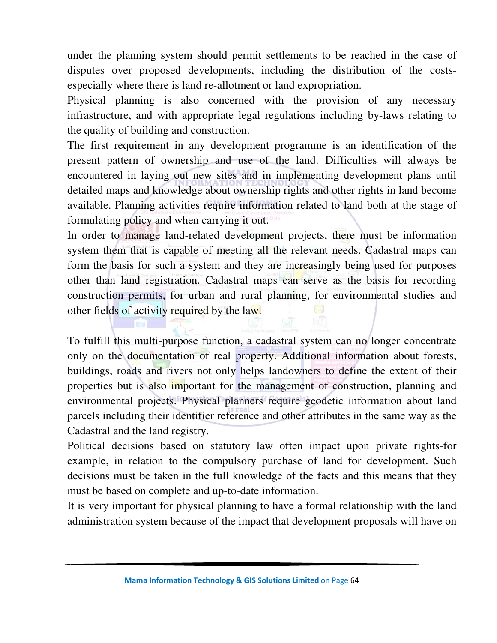under the planning system should permit settlements to be reached in the case of disputes over proposed developments, including the distribution of the costsespecially where there is land re-allotment or land expropriation.

Physical planning is also concerned with the provision of any necessary infrastructure, and with appropriate legal regulations including by-laws relating to the quality of building and construction.

The first requirement in any development programme is an identification of the present pattern of ownership and use of the land. Difficulties will always be encountered in laying out new sites and in implementing development plans until detailed maps and knowledge about ownership rights and other rights in land become available. Planning activities require information related to land both at the stage of formulating policy and when carrying it out.

In order to manage land-related development projects, there must be information system them that is capable of meeting all the relevant needs. Cadastral maps can form the basis for such a system and they are increasingly being used for purposes other than land registration. Cadastral maps can serve as the basis for recording construction permits, for urban and rural planning, for environmental studies and other fields of activity required by the law.

To fulfill this multi-purpose function, a cadastral system can no longer concentrate only on the documentation of real property. Additional information about forests, buildings, roads and rivers not only helps landowners to define the extent of their properties but is also important for the management of construction, planning and environmental projects. Physical planners require geodetic information about land parcels including their identifier reference and other attributes in the same way as the Cadastral and the land registry.

Political decisions based on statutory law often impact upon private rights-for example, in relation to the compulsory purchase of land for development. Such decisions must be taken in the full knowledge of the facts and this means that they must be based on complete and up-to-date information.

It is very important for physical planning to have a formal relationship with the land administration system because of the impact that development proposals will have on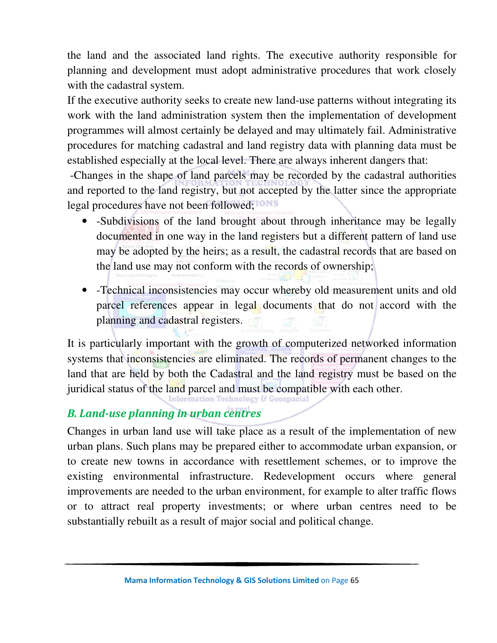the land and the associated land rights. The executive authority responsible for planning and development must adopt administrative procedures that work closely with the cadastral system.

If the executive authority seeks to create new land-use patterns without integrating its work with the land administration system then the implementation of development programmes will almost certainly be delayed and may ultimately fail. Administrative procedures for matching cadastral and land registry data with planning data must be established especially at the local level. There are always inherent dangers that:

 -Changes in the shape of land parcels may be recorded by the cadastral authorities and reported to the land registry, but not accepted by the latter since the appropriate legal procedures have not been followed;

- -Subdivisions of the land brought about through inheritance may be legally documented in one way in the land registers but a different pattern of land use may be adopted by the heirs; as a result, the cadastral records that are based on the land use may not conform with the records of ownership;
- -Technical inconsistencies may occur whereby old measurement units and old parcel references appear in legal documents that do not accord with the planning and cadastral registers.

It is particularly important with the growth of computerized networked information systems that inconsistencies are eliminated. The records of permanent changes to the land that are held by both the Cadastral and the land registry must be based on the juridical status of the land parcel and must be compatible with each other.<br>Information Technology & Geospacial

## *B. Land-use planning in urban centres*

Changes in urban land use will take place as a result of the implementation of new urban plans. Such plans may be prepared either to accommodate urban expansion, or to create new towns in accordance with resettlement schemes, or to improve the existing environmental infrastructure. Redevelopment occurs where general improvements are needed to the urban environment, for example to alter traffic flows or to attract real property investments; or where urban centres need to be substantially rebuilt as a result of major social and political change.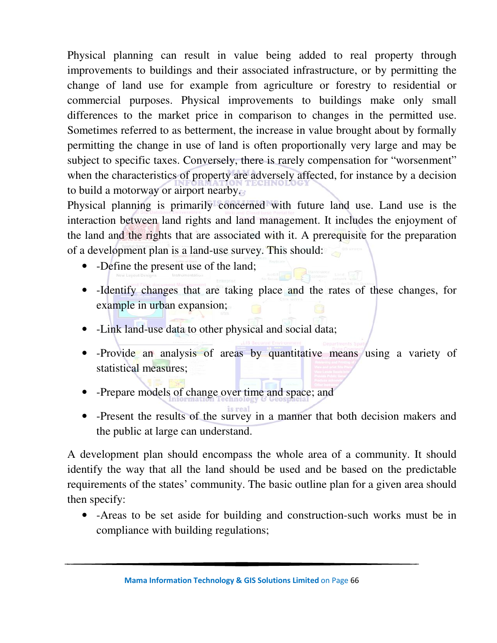Physical planning can result in value being added to real property through improvements to buildings and their associated infrastructure, or by permitting the change of land use for example from agriculture or forestry to residential or commercial purposes. Physical improvements to buildings make only small differences to the market price in comparison to changes in the permitted use. Sometimes referred to as betterment, the increase in value brought about by formally permitting the change in use of land is often proportionally very large and may be subject to specific taxes. Conversely, there is rarely compensation for "worsenment" when the characteristics of property are adversely affected, for instance by a decision to build a motorway or airport nearby.

Physical planning is primarily concerned with future land use. Land use is the interaction between land rights and land management. It includes the enjoyment of the land and the rights that are associated with it. A prerequisite for the preparation of a development plan is a land-use survey. This should:

- -Define the present use of the land;
- -Identify changes that are taking place and the rates of these changes, for example in urban expansion;
- -Link land-use data to other physical and social data;
- -Provide an analysis of areas by quantitative means using a variety of statistical measures;
- -Prepare models of change over time and space; and
- -Present the results of the survey in a manner that both decision makers and the public at large can understand.

A development plan should encompass the whole area of a community. It should identify the way that all the land should be used and be based on the predictable requirements of the states' community. The basic outline plan for a given area should then specify:

• -Areas to be set aside for building and construction-such works must be in compliance with building regulations;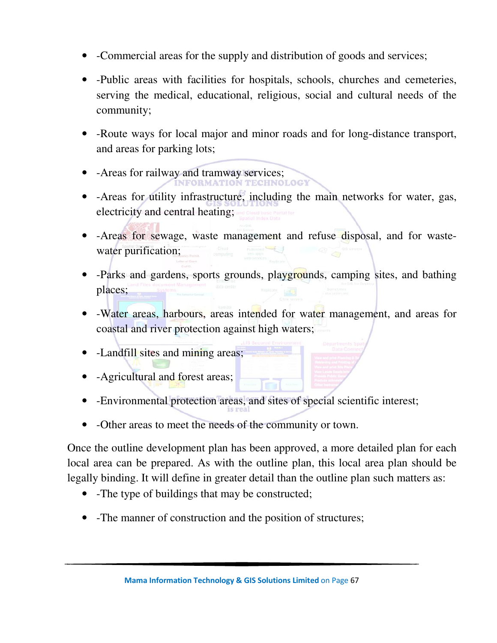- -Commercial areas for the supply and distribution of goods and services;
- -Public areas with facilities for hospitals, schools, churches and cemeteries, serving the medical, educational, religious, social and cultural needs of the community;
- -Route ways for local major and minor roads and for long-distance transport, and areas for parking lots;
- -Areas for railway and tramway services;
- -Areas for utility infrastructure, including the main networks for water, gas, electricity and central heating;
- -Areas for sewage, waste management and refuse disposal, and for wastewater purification;
- -Parks and gardens, sports grounds, playgrounds, camping sites, and bathing places;
- -Water areas, harbours, areas intended for water management, and areas for coastal and river protection against high waters;
- -Landfill sites and mining areas;
- -Agricultural and forest areas;
- -Environmental protection areas, and sites of special scientific interest;
- -Other areas to meet the needs of the community or town.

Once the outline development plan has been approved, a more detailed plan for each local area can be prepared. As with the outline plan, this local area plan should be legally binding. It will define in greater detail than the outline plan such matters as:

- -The type of buildings that may be constructed;
- -The manner of construction and the position of structures;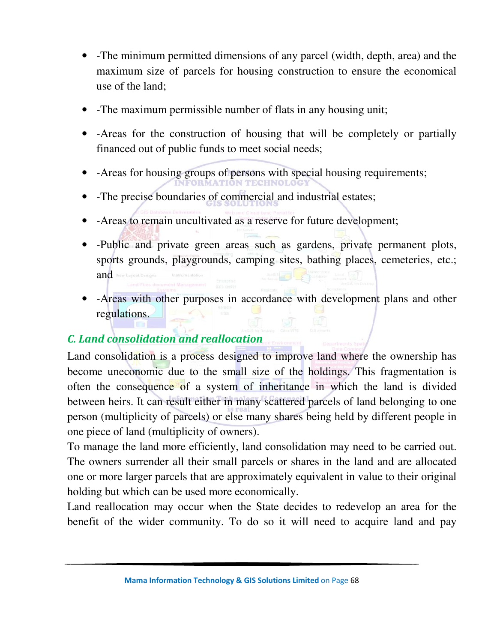- -The minimum permitted dimensions of any parcel (width, depth, area) and the maximum size of parcels for housing construction to ensure the economical use of the land;
- -The maximum permissible number of flats in any housing unit;
- -Areas for the construction of housing that will be completely or partially financed out of public funds to meet social needs;
- -Areas for housing groups of persons with special housing requirements;
- -The precise boundaries of commercial and industrial estates;
- -Areas to remain uncultivated as a reserve for future development;
- -Public and private green areas such as gardens, private permanent plots, sports grounds, playgrounds, camping sites, bathing places, cemeteries, etc.; and New Lay
- -Areas with other purposes in accordance with development plans and other regulations.

# *C. Land consolidation and reallocation*

Land consolidation is a process designed to improve land where the ownership has become uneconomic due to the small size of the holdings. This fragmentation is often the consequence of a system of inheritance in which the land is divided between heirs. It can result either in many scattered parcels of land belonging to one person (multiplicity of parcels) or else many shares being held by different people in one piece of land (multiplicity of owners).

To manage the land more efficiently, land consolidation may need to be carried out. The owners surrender all their small parcels or shares in the land and are allocated one or more larger parcels that are approximately equivalent in value to their original holding but which can be used more economically.

Land reallocation may occur when the State decides to redevelop an area for the benefit of the wider community. To do so it will need to acquire land and pay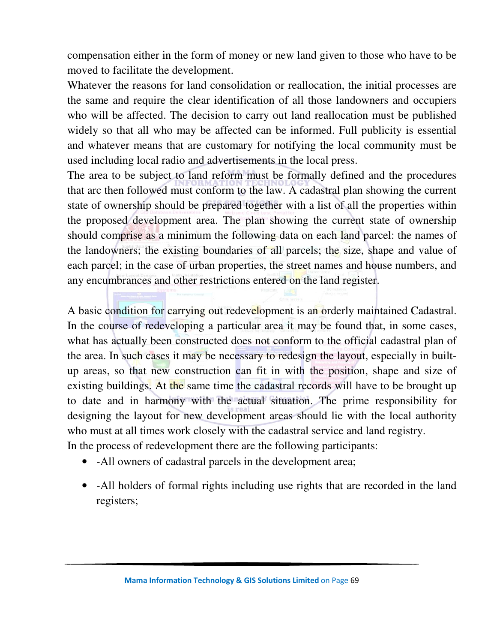compensation either in the form of money or new land given to those who have to be moved to facilitate the development.

Whatever the reasons for land consolidation or reallocation, the initial processes are the same and require the clear identification of all those landowners and occupiers who will be affected. The decision to carry out land reallocation must be published widely so that all who may be affected can be informed. Full publicity is essential and whatever means that are customary for notifying the local community must be used including local radio and advertisements in the local press.

The area to be subject to land reform must be formally defined and the procedures that arc then followed must conform to the law. A cadastral plan showing the current state of ownership should be prepared together with a list of all the properties within the proposed development area. The plan showing the current state of ownership should comprise as a minimum the following data on each land parcel: the names of the landowners; the existing boundaries of all parcels; the size, shape and value of each parcel; in the case of urban properties, the street names and house numbers, and any encumbrances and other restrictions entered on the land register.

A basic condition for carrying out redevelopment is an orderly maintained Cadastral. In the course of redeveloping a particular area it may be found that, in some cases, what has actually been constructed does not conform to the official cadastral plan of the area. In such cases it may be necessary to redesign the layout, especially in builtup areas, so that new construction can fit in with the position, shape and size of existing buildings. At the same time the cadastral records will have to be brought up to date and in harmony with the actual situation. The prime responsibility for designing the layout for new development areas should lie with the local authority who must at all times work closely with the cadastral service and land registry. In the process of redevelopment there are the following participants:

- -All owners of cadastral parcels in the development area;
- -All holders of formal rights including use rights that are recorded in the land registers;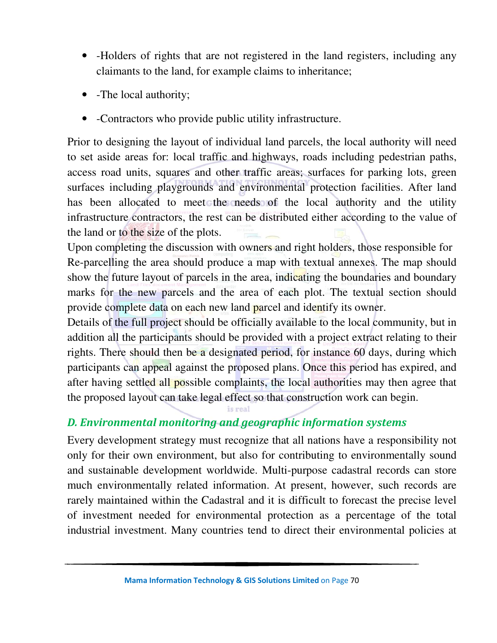- -Holders of rights that are not registered in the land registers, including any claimants to the land, for example claims to inheritance;
- -The local authority;
- -Contractors who provide public utility infrastructure.

Prior to designing the layout of individual land parcels, the local authority will need to set aside areas for: local traffic and highways, roads including pedestrian paths, access road units, squares and other traffic areas; surfaces for parking lots, green surfaces including playgrounds and environmental protection facilities. After land has been allocated to meet the needs of the local authority and the utility infrastructure contractors, the rest can be distributed either according to the value of the land or to the size of the plots.

Upon completing the discussion with owners and right holders, those responsible for Re-parcelling the area should produce a map with textual annexes. The map should show the future layout of parcels in the area, indicating the boundaries and boundary marks for the new parcels and the area of each plot. The textual section should provide complete data on each new land parcel and identify its owner.

Details of the full project should be officially available to the local community, but in addition all the participants should be provided with a project extract relating to their rights. There should then be a designated period, for instance 60 days, during which participants can appeal against the proposed plans. Once this period has expired, and after having settled all possible complaints, the local authorities may then agree that the proposed layout can take legal effect so that construction work can begin.

## *D. Environmental monitoring and geographic information systems*

Every development strategy must recognize that all nations have a responsibility not only for their own environment, but also for contributing to environmentally sound and sustainable development worldwide. Multi-purpose cadastral records can store much environmentally related information. At present, however, such records are rarely maintained within the Cadastral and it is difficult to forecast the precise level of investment needed for environmental protection as a percentage of the total industrial investment. Many countries tend to direct their environmental policies at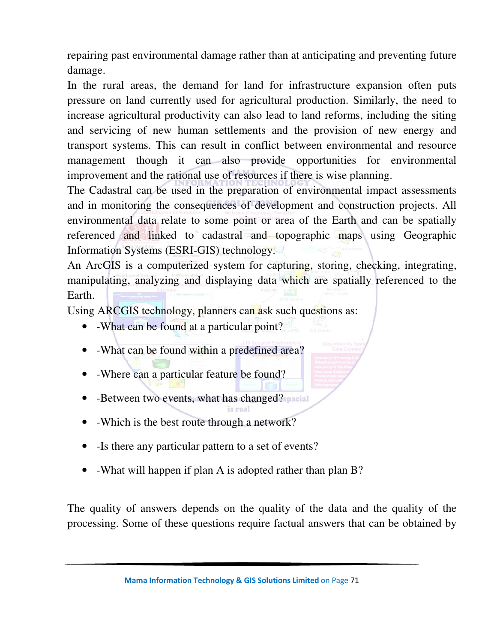repairing past environmental damage rather than at anticipating and preventing future damage.

In the rural areas, the demand for land for infrastructure expansion often puts pressure on land currently used for agricultural production. Similarly, the need to increase agricultural productivity can also lead to land reforms, including the siting and servicing of new human settlements and the provision of new energy and transport systems. This can result in conflict between environmental and resource management though it can also provide opportunities for environmental improvement and the rational use of resources if there is wise planning.

The Cadastral can be used in the preparation of environmental impact assessments and in monitoring the consequences of development and construction projects. All environmental data relate to some point or area of the Earth and can be spatially referenced and linked to cadastral and topographic maps using Geographic Information Systems (ESRI-GIS) technology.

An ArcGIS is a computerized system for capturing, storing, checking, integrating, manipulating, analyzing and displaying data which are spatially referenced to the Earth.

Using ARCGIS technology, planners can ask such questions as:

- -What can be found at a particular point?
- -What can be found within a predefined area?
- -Where can a particular feature be found?
- -Between two events, what has changed?
- -Which is the best route through a network?
- Is there any particular pattern to a set of events?
- -What will happen if plan A is adopted rather than plan B?

is real

The quality of answers depends on the quality of the data and the quality of the processing. Some of these questions require factual answers that can be obtained by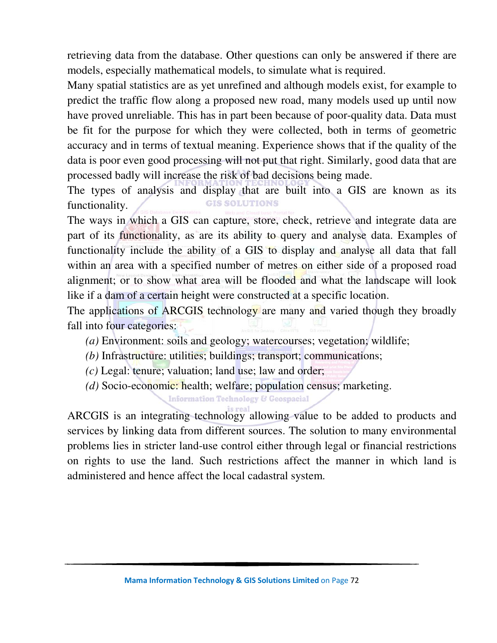retrieving data from the database. Other questions can only be answered if there are models, especially mathematical models, to simulate what is required.

Many spatial statistics are as yet unrefined and although models exist, for example to predict the traffic flow along a proposed new road, many models used up until now have proved unreliable. This has in part been because of poor-quality data. Data must be fit for the purpose for which they were collected, both in terms of geometric accuracy and in terms of textual meaning. Experience shows that if the quality of the data is poor even good processing will not put that right. Similarly, good data that are processed badly will increase the risk of bad decisions being made.

The types of analysis and display that are built into a GIS are known as its **GIS SOLUTIONS** functionality.

The ways in which a GIS can capture, store, check, retrieve and integrate data are part of its functionality, as are its ability to query and analyse data. Examples of functionality include the ability of a GIS to display and analyse all data that fall within an area with a specified number of metres on either side of a proposed road alignment; or to show what area will be flooded and what the landscape will look like if a dam of a certain height were constructed at a specific location.

The applications of ARCGIS technology are many and varied though they broadly fall into four categories:

- *(a)* Environment: soils and geology; watercourses; vegetation; wildlife;
- *(b)* Infrastructure: utilities; buildings; transport; communications;
- *(c)* Legal: tenure; valuation; land use; law and order;
- *(d)* Socio-economic: health; welfare; population census; marketing.

**Information Technology & Geospacial** 

ARCGIS is an integrating technology allowing value to be added to products and services by linking data from different sources. The solution to many environmental problems lies in stricter land-use control either through legal or financial restrictions on rights to use the land. Such restrictions affect the manner in which land is administered and hence affect the local cadastral system.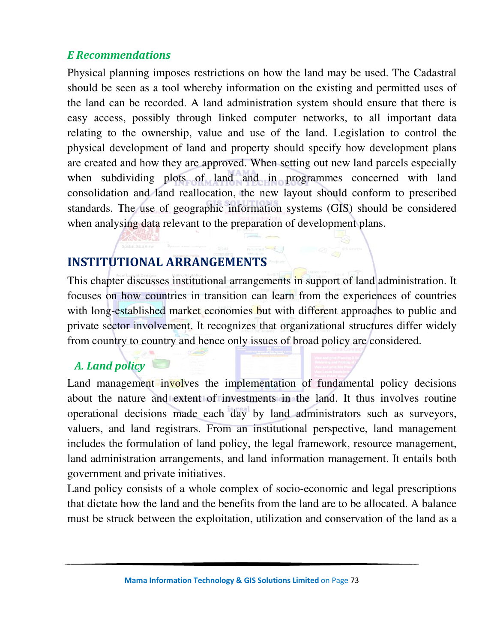#### *E Recommendations*

Physical planning imposes restrictions on how the land may be used. The Cadastral should be seen as a tool whereby information on the existing and permitted uses of the land can be recorded. A land administration system should ensure that there is easy access, possibly through linked computer networks, to all important data relating to the ownership, value and use of the land. Legislation to control the physical development of land and property should specify how development plans are created and how they are approved. When setting out new land parcels especially when subdividing plots of land and in programmes concerned with land consolidation and land reallocation, the new layout should conform to prescribed standards. The use of geographic information systems (GIS) should be considered when analysing data relevant to the preparation of development plans.

## **INSTITUTIONAL ARRANGEMENTS**

This chapter discusses institutional arrangements in support of land administration. It focuses on how countries in transition can learn from the experiences of countries with long-established market economies but with different approaches to public and private sector involvement. It recognizes that organizational structures differ widely from country to country and hence only issues of broad policy are considered.

## *A. Land policy*

Land management involves the implementation of fundamental policy decisions about the nature and extent of investments in the land. It thus involves routine operational decisions made each day by land administrators such as surveyors, valuers, and land registrars. From an institutional perspective, land management includes the formulation of land policy, the legal framework, resource management, land administration arrangements, and land information management. It entails both government and private initiatives.

Land policy consists of a whole complex of socio-economic and legal prescriptions that dictate how the land and the benefits from the land are to be allocated. A balance must be struck between the exploitation, utilization and conservation of the land as a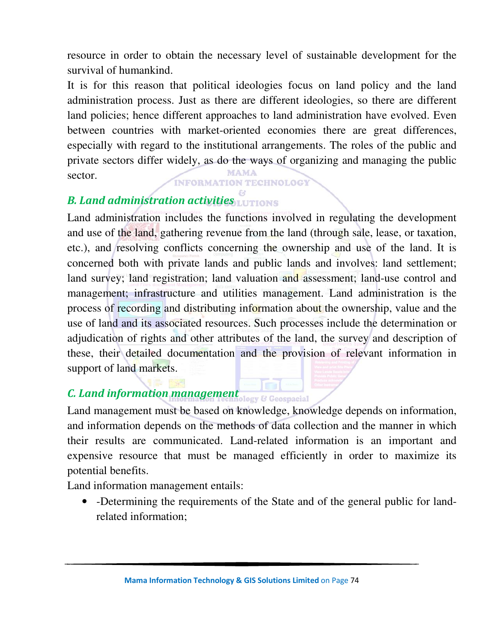resource in order to obtain the necessary level of sustainable development for the survival of humankind.

It is for this reason that political ideologies focus on land policy and the land administration process. Just as there are different ideologies, so there are different land policies; hence different approaches to land administration have evolved. Even between countries with market-oriented economies there are great differences, especially with regard to the institutional arrangements. The roles of the public and private sectors differ widely, as do the ways of organizing and managing the public MAMA sector.

**INFORMATION TECHNOLOGY** 

## *B. Land administration activities*

Land administration includes the functions involved in regulating the development and use of the land, gathering revenue from the land (through sale, lease, or taxation, etc.), and resolving conflicts concerning the ownership and use of the land. It is concerned both with private lands and public lands and involves: land settlement; land survey; land registration; land valuation and assessment; land-use control and management; infrastructure and utilities management. Land administration is the process of recording and distributing information about the ownership, value and the use of land and its associated resources. Such processes include the determination or adjudication of rights and other attributes of the land, the survey and description of these, their detailed documentation and the provision of relevant information in support of land markets.

# *<i>C. Land information management C. Land information management c* **Geospacial**

Land management must be based on knowledge, knowledge depends on information, and information depends on the methods of data collection and the manner in which their results are communicated. Land-related information is an important and expensive resource that must be managed efficiently in order to maximize its potential benefits.

Land information management entails:

• -Determining the requirements of the State and of the general public for landrelated information;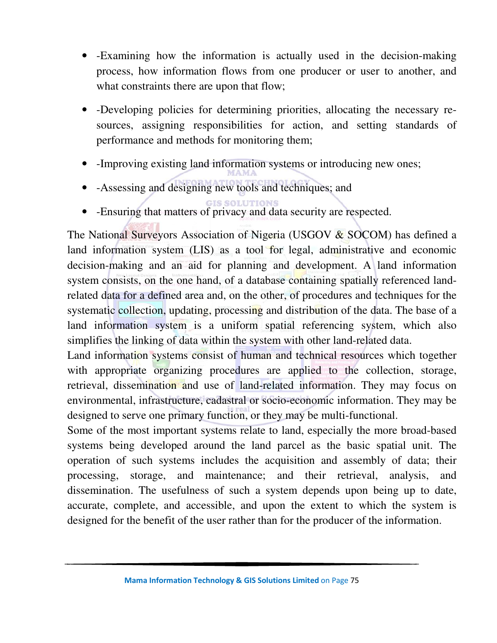- -Examining how the information is actually used in the decision-making process, how information flows from one producer or user to another, and what constraints there are upon that flow;
- -Developing policies for determining priorities, allocating the necessary resources, assigning responsibilities for action, and setting standards of performance and methods for monitoring them;
- -Improving existing land information systems or introducing new ones;
- -Assessing and designing new tools and techniques; and
	-
- -Ensuring that matters of privacy and data security are respected.

The National Surveyors Association of Nigeria (USGOV & SOCOM) has defined a land information system (LIS) as a tool for legal, administrative and economic decision-making and an aid for planning and development. A land information system consists, on the one hand, of a database containing spatially referenced landrelated data for a defined area and, on the other, of procedures and techniques for the systematic collection, updating, processing and distribution of the data. The base of a land information system is a uniform spatial referencing system, which also simplifies the linking of data within the system with other land-related data.

Land information systems consist of human and technical resources which together with appropriate organizing procedures are applied to the collection, storage, retrieval, dissemination and use of land-related information. They may focus on environmental, infrastructure, cadastral or socio-economic information. They may be designed to serve one primary function, or they may be multi-functional.

Some of the most important systems relate to land, especially the more broad-based systems being developed around the land parcel as the basic spatial unit. The operation of such systems includes the acquisition and assembly of data; their processing, storage, and maintenance; and their retrieval, analysis, and dissemination. The usefulness of such a system depends upon being up to date, accurate, complete, and accessible, and upon the extent to which the system is designed for the benefit of the user rather than for the producer of the information.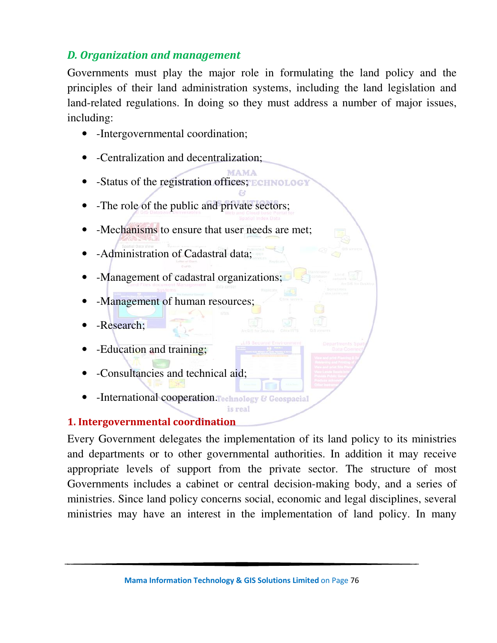## *D. Organization and management*

Governments must play the major role in formulating the land policy and the principles of their land administration systems, including the land legislation and land-related regulations. In doing so they must address a number of major issues, including:

- -Intergovernmental coordination;
- -Centralization and decentralization;
- -Status of the registration offices;
- -The role of the public and private sectors;
- -Mechanisms to ensure that user needs are met;
- -Administration of Cadastral data;
- -Management of cadastral organizations;
- -Management of human resources;
- -Research;
- -Education and training;
- -Consultancies and technical aid;
- **-International cooperation. Technology & Geospacial**

#### **1. Intergovernmental coordination**

Every Government delegates the implementation of its land policy to its ministries and departments or to other governmental authorities. In addition it may receive appropriate levels of support from the private sector. The structure of most Governments includes a cabinet or central decision-making body, and a series of ministries. Since land policy concerns social, economic and legal disciplines, several ministries may have an interest in the implementation of land policy. In many

is real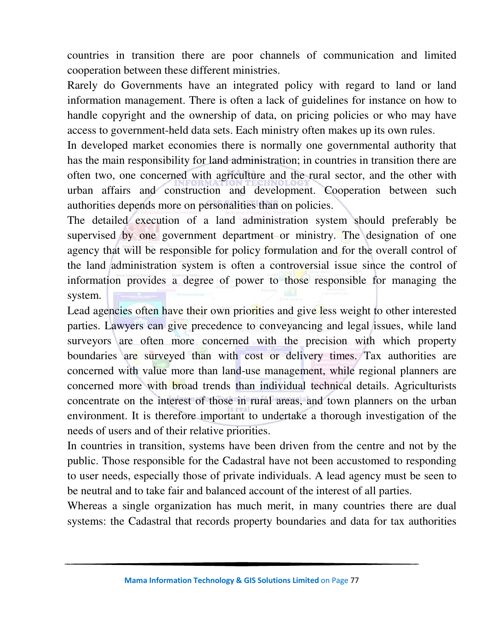countries in transition there are poor channels of communication and limited cooperation between these different ministries.

Rarely do Governments have an integrated policy with regard to land or land information management. There is often a lack of guidelines for instance on how to handle copyright and the ownership of data, on pricing policies or who may have access to government-held data sets. Each ministry often makes up its own rules.

In developed market economies there is normally one governmental authority that has the main responsibility for land administration; in countries in transition there are often two, one concerned with agriculture and the rural sector, and the other with urban affairs and construction and development. Cooperation between such authorities depends more on personalities than on policies.

The detailed execution of a land administration system should preferably be supervised by one government department or ministry. The designation of one agency that will be responsible for policy formulation and for the overall control of the land administration system is often a controversial issue since the control of information provides a degree of power to those responsible for managing the system.

Lead agencies often have their own priorities and give less weight to other interested parties. Lawyers can give precedence to conveyancing and legal issues, while land surveyors are often more concerned with the precision with which property boundaries are surveyed than with cost or delivery times. Tax authorities are concerned with value more than land-use management, while regional planners are concerned more with broad trends than individual technical details. Agriculturists concentrate on the interest of those in rural areas, and town planners on the urban environment. It is therefore important to undertake a thorough investigation of the needs of users and of their relative priorities.

In countries in transition, systems have been driven from the centre and not by the public. Those responsible for the Cadastral have not been accustomed to responding to user needs, especially those of private individuals. A lead agency must be seen to be neutral and to take fair and balanced account of the interest of all parties.

Whereas a single organization has much merit, in many countries there are dual systems: the Cadastral that records property boundaries and data for tax authorities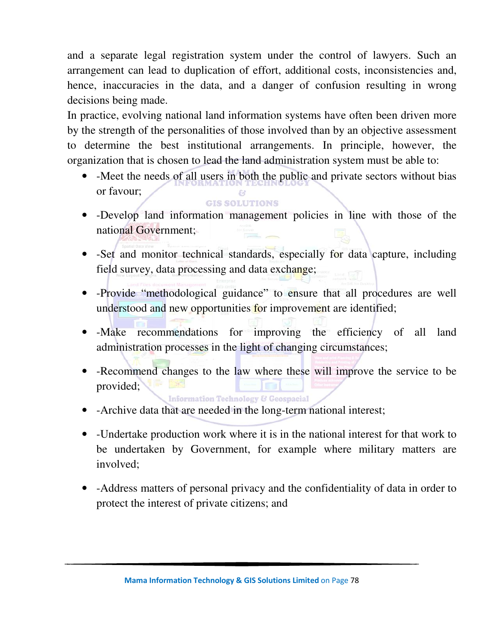and a separate legal registration system under the control of lawyers. Such an arrangement can lead to duplication of effort, additional costs, inconsistencies and, hence, inaccuracies in the data, and a danger of confusion resulting in wrong decisions being made.

In practice, evolving national land information systems have often been driven more by the strength of the personalities of those involved than by an objective assessment to determine the best institutional arrangements. In principle, however, the organization that is chosen to lead the land administration system must be able to:

• -Meet the needs of all users in both the public and private sectors without bias or favour;

**GIS SOLUTIONS** 

- -Develop land information management policies in line with those of the national Government;
- -Set and monitor technical standards, especially for data capture, including field survey, data processing and data exchange;
- -Provide "methodological guidance" to ensure that all procedures are well understood and new opportunities for improvement are identified;
- -Make recommendations for improving the efficiency of all land administration processes in the light of changing circumstances;
- -Recommend changes to the law where these will improve the service to be provided; 医治根 **Information Technology & Geospacial**
- -Archive data that are needed in the long-term national interest;
- -Undertake production work where it is in the national interest for that work to be undertaken by Government, for example where military matters are involved;
- -Address matters of personal privacy and the confidentiality of data in order to protect the interest of private citizens; and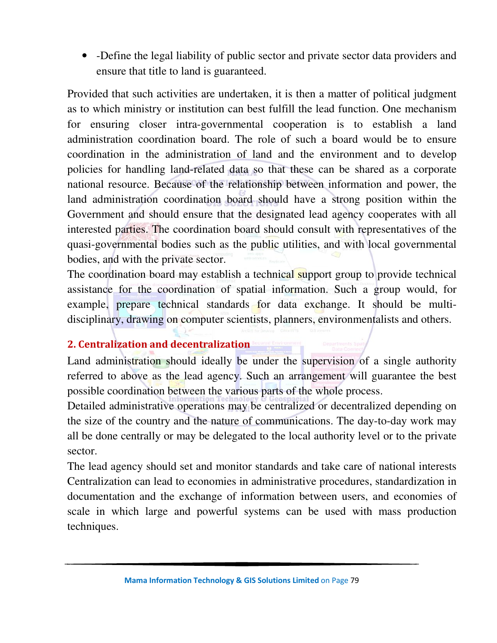• -Define the legal liability of public sector and private sector data providers and ensure that title to land is guaranteed.

Provided that such activities are undertaken, it is then a matter of political judgment as to which ministry or institution can best fulfill the lead function. One mechanism for ensuring closer intra-governmental cooperation is to establish a land administration coordination board. The role of such a board would be to ensure coordination in the administration of land and the environment and to develop policies for handling land-related data so that these can be shared as a corporate national resource. Because of the relationship between information and power, the land administration coordination board should have a strong position within the Government and should ensure that the designated lead agency cooperates with all interested parties. The coordination board should consult with representatives of the quasi-governmental bodies such as the public utilities, and with local governmental bodies, and with the private sector.

The coordination board may establish a technical support group to provide technical assistance for the coordination of spatial information. Such a group would, for example, prepare technical standards for data exchange. It should be multidisciplinary, drawing on computer scientists, planners, environmentalists and others.

#### **2. Centralization and decentralization**

Land administration should ideally be under the supervision of a single authority referred to above as the lead agency. Such an arrangement will guarantee the best possible coordination between the various parts of the whole process.

Detailed administrative operations may be centralized or decentralized depending on the size of the country and the nature of communications. The day-to-day work may all be done centrally or may be delegated to the local authority level or to the private sector.

The lead agency should set and monitor standards and take care of national interests Centralization can lead to economies in administrative procedures, standardization in documentation and the exchange of information between users, and economies of scale in which large and powerful systems can be used with mass production techniques.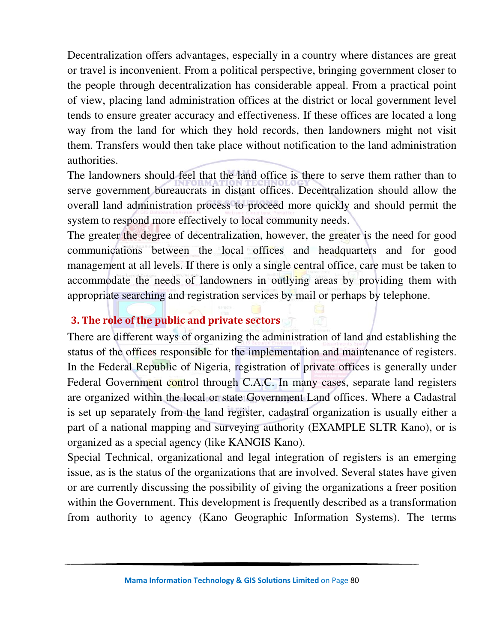Decentralization offers advantages, especially in a country where distances are great or travel is inconvenient. From a political perspective, bringing government closer to the people through decentralization has considerable appeal. From a practical point of view, placing land administration offices at the district or local government level tends to ensure greater accuracy and effectiveness. If these offices are located a long way from the land for which they hold records, then landowners might not visit them. Transfers would then take place without notification to the land administration authorities.

The landowners should feel that the land office is there to serve them rather than to serve government bureaucrats in distant offices. Decentralization should allow the overall land administration process to proceed more quickly and should permit the system to respond more effectively to local community needs.

The greater the degree of decentralization, however, the greater is the need for good communications between the local offices and headquarters and for good management at all levels. If there is only a single central office, care must be taken to accommodate the needs of landowners in outlying areas by providing them with appropriate searching and registration services by mail or perhaps by telephone.

#### **3. The role of the public and private sectors**

There are different ways of organizing the administration of land and establishing the status of the offices responsible for the implementation and maintenance of registers. In the Federal Republic of Nigeria, registration of private offices is generally under Federal Government control through C.A.C. In many cases, separate land registers are organized within the local or state Government Land offices. Where a Cadastral is set up separately from the land register, cadastral organization is usually either a part of a national mapping and surveying authority (EXAMPLE SLTR Kano), or is organized as a special agency (like KANGIS Kano).

Special Technical, organizational and legal integration of registers is an emerging issue, as is the status of the organizations that are involved. Several states have given or are currently discussing the possibility of giving the organizations a freer position within the Government. This development is frequently described as a transformation from authority to agency (Kano Geographic Information Systems). The terms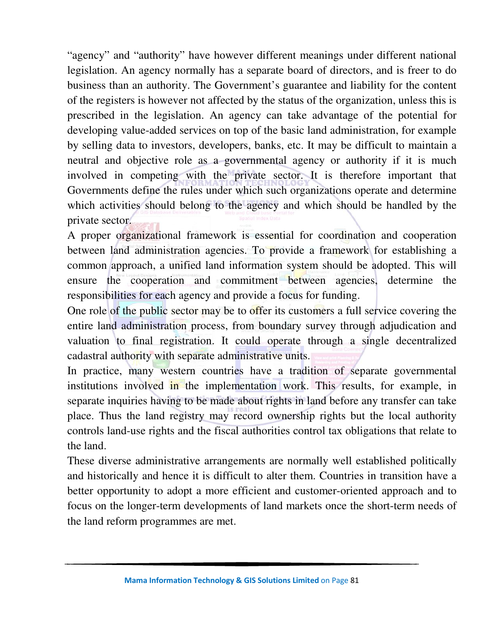"agency" and "authority" have however different meanings under different national legislation. An agency normally has a separate board of directors, and is freer to do business than an authority. The Government's guarantee and liability for the content of the registers is however not affected by the status of the organization, unless this is prescribed in the legislation. An agency can take advantage of the potential for developing value-added services on top of the basic land administration, for example by selling data to investors, developers, banks, etc. It may be difficult to maintain a neutral and objective role as a governmental agency or authority if it is much involved in competing with the private sector. It is therefore important that Governments define the rules under which such organizations operate and determine which activities should belong to the agency and which should be handled by the private sector.

A proper organizational framework is essential for coordination and cooperation between land administration agencies. To provide a framework for establishing a common approach, a unified land information system should be adopted. This will ensure the cooperation and commitment between agencies, determine the responsibilities for each agency and provide a focus for funding.

One role of the public sector may be to offer its customers a full service covering the entire land administration process, from boundary survey through adjudication and valuation to final registration. It could operate through a single decentralized cadastral authority with separate administrative units.

In practice, many western countries have a tradition of separate governmental institutions involved in the implementation work. This results, for example, in separate inquiries having to be made about rights in land before any transfer can take place. Thus the land registry may record ownership rights but the local authority controls land-use rights and the fiscal authorities control tax obligations that relate to the land.

These diverse administrative arrangements are normally well established politically and historically and hence it is difficult to alter them. Countries in transition have a better opportunity to adopt a more efficient and customer-oriented approach and to focus on the longer-term developments of land markets once the short-term needs of the land reform programmes are met.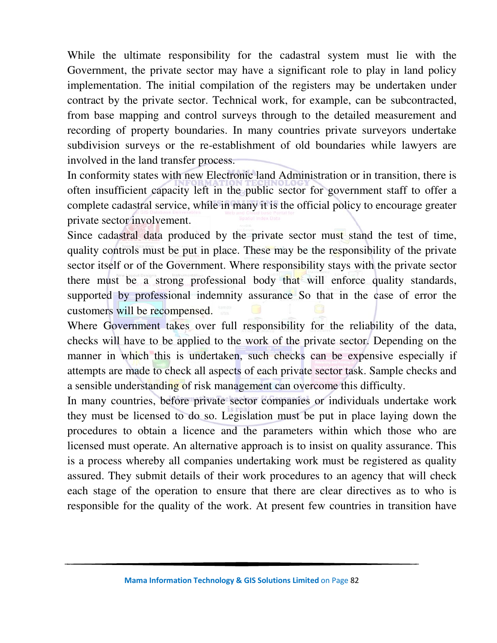While the ultimate responsibility for the cadastral system must lie with the Government, the private sector may have a significant role to play in land policy implementation. The initial compilation of the registers may be undertaken under contract by the private sector. Technical work, for example, can be subcontracted, from base mapping and control surveys through to the detailed measurement and recording of property boundaries. In many countries private surveyors undertake subdivision surveys or the re-establishment of old boundaries while lawyers are involved in the land transfer process.

In conformity states with new Electronic land Administration or in transition, there is often insufficient capacity left in the public sector for government staff to offer a complete cadastral service, while in many it is the official policy to encourage greater private sector involvement.

Since cadastral data produced by the private sector must stand the test of time, quality controls must be put in place. These may be the responsibility of the private sector itself or of the Government. Where responsibility stays with the private sector there must be a strong professional body that will enforce quality standards, supported by professional indemnity assurance So that in the case of error the customers will be recompensed.

Where Government takes over full responsibility for the reliability of the data, checks will have to be applied to the work of the private sector. Depending on the manner in which this is undertaken, such checks can be expensive especially if attempts are made to check all aspects of each private sector task. Sample checks and a sensible understanding of risk management can overcome this difficulty.

In many countries, before private sector companies or individuals undertake work they must be licensed to do so. Legislation must be put in place laying down the procedures to obtain a licence and the parameters within which those who are licensed must operate. An alternative approach is to insist on quality assurance. This is a process whereby all companies undertaking work must be registered as quality assured. They submit details of their work procedures to an agency that will check each stage of the operation to ensure that there are clear directives as to who is responsible for the quality of the work. At present few countries in transition have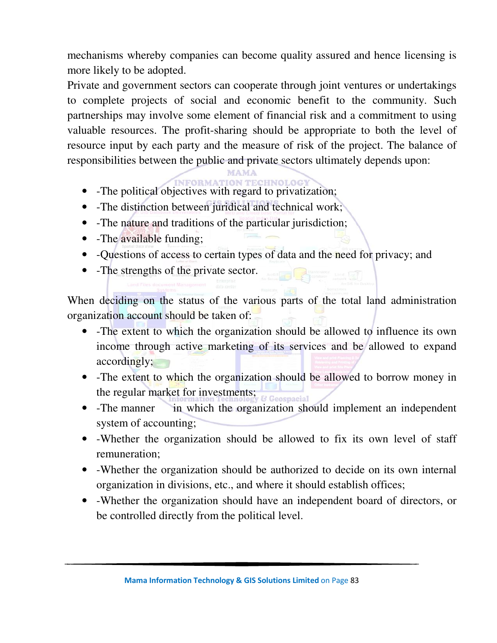mechanisms whereby companies can become quality assured and hence licensing is more likely to be adopted.

Private and government sectors can cooperate through joint ventures or undertakings to complete projects of social and economic benefit to the community. Such partnerships may involve some element of financial risk and a commitment to using valuable resources. The profit-sharing should be appropriate to both the level of resource input by each party and the measure of risk of the project. The balance of responsibilities between the public and private sectors ultimately depends upon:

- -The political objectives with regard to privatization;
- -The distinction between juridical and technical work;
- -The nature and traditions of the particular jurisdiction;
- -The available funding;
- -Questions of access to certain types of data and the need for privacy; and
- -The strengths of the private sector.

When deciding on the status of the various parts of the total land administration organization account should be taken of:

- -The extent to which the organization should be allowed to influence its own income through active marketing of its services and be allowed to expand accordingly;
- -The extent to which the organization should be allowed to borrow money in the regular market for investments;
- -The manner in which the organization should implement an independent system of accounting;
- -Whether the organization should be allowed to fix its own level of staff remuneration;
- -Whether the organization should be authorized to decide on its own internal organization in divisions, etc., and where it should establish offices;
- -Whether the organization should have an independent board of directors, or be controlled directly from the political level.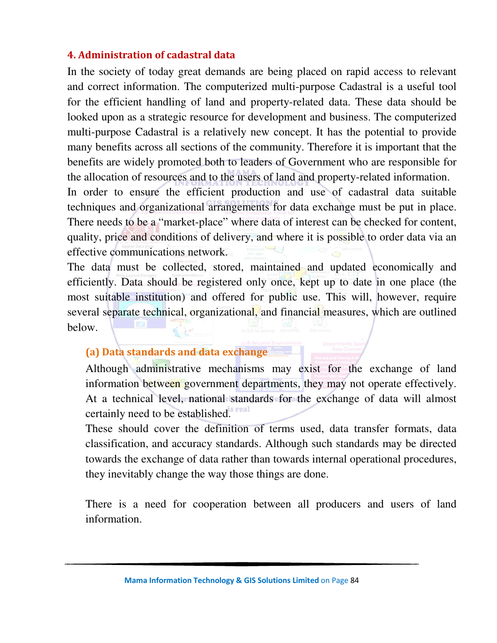#### **4. Administration of cadastral data**

In the society of today great demands are being placed on rapid access to relevant and correct information. The computerized multi-purpose Cadastral is a useful tool for the efficient handling of land and property-related data. These data should be looked upon as a strategic resource for development and business. The computerized multi-purpose Cadastral is a relatively new concept. It has the potential to provide many benefits across all sections of the community. Therefore it is important that the benefits are widely promoted both to leaders of Government who are responsible for the allocation of resources and to the users of land and property-related information.

In order to ensure the efficient production and use of cadastral data suitable techniques and organizational arrangements for data exchange must be put in place. There needs to be a "market-place" where data of interest can be checked for content, quality, price and conditions of delivery, and where it is possible to order data via an effective communications network.

The data must be collected, stored, maintained and updated economically and efficiently. Data should be registered only once, kept up to date in one place (the most suitable institution) and offered for public use. This will, however, require several separate technical, organizational, and financial measures, which are outlined below.

#### **(a) Data standards and data exchange**

Although administrative mechanisms may exist for the exchange of land information between government departments, they may not operate effectively. At a technical level, national standards for the exchange of data will almost certainly need to be established.

These should cover the definition of terms used, data transfer formats, data classification, and accuracy standards. Although such standards may be directed towards the exchange of data rather than towards internal operational procedures, they inevitably change the way those things are done.

There is a need for cooperation between all producers and users of land information.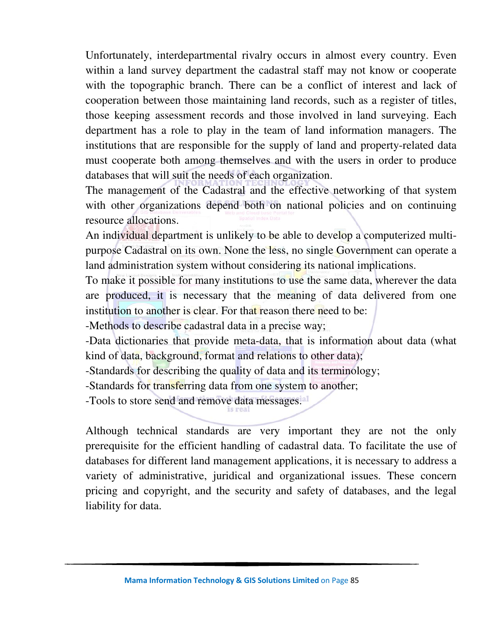Unfortunately, interdepartmental rivalry occurs in almost every country. Even within a land survey department the cadastral staff may not know or cooperate with the topographic branch. There can be a conflict of interest and lack of cooperation between those maintaining land records, such as a register of titles, those keeping assessment records and those involved in land surveying. Each department has a role to play in the team of land information managers. The institutions that are responsible for the supply of land and property-related data must cooperate both among themselves and with the users in order to produce databases that will suit the needs of each organization.

The management of the Cadastral and the effective networking of that system with other organizations depend both on national policies and on continuing resource allocations.

An individual department is unlikely to be able to develop a computerized multipurpose Cadastral on its own. None the less, no single Government can operate a land administration system without considering its national implications.

To make it possible for many institutions to use the same data, wherever the data are produced, it is necessary that the meaning of data delivered from one institution to another is clear. For that reason there need to be:

-Methods to describe cadastral data in a precise way;

-Data dictionaries that provide meta-data, that is information about data (what kind of data, background, format and relations to other data);

-Standards for describing the quality of data and its terminology;

-Standards for transferring data from one system to another;

-Tools to store send and remove data messages.

Although technical standards are very important they are not the only prerequisite for the efficient handling of cadastral data. To facilitate the use of databases for different land management applications, it is necessary to address a variety of administrative, juridical and organizational issues. These concern pricing and copyright, and the security and safety of databases, and the legal liability for data.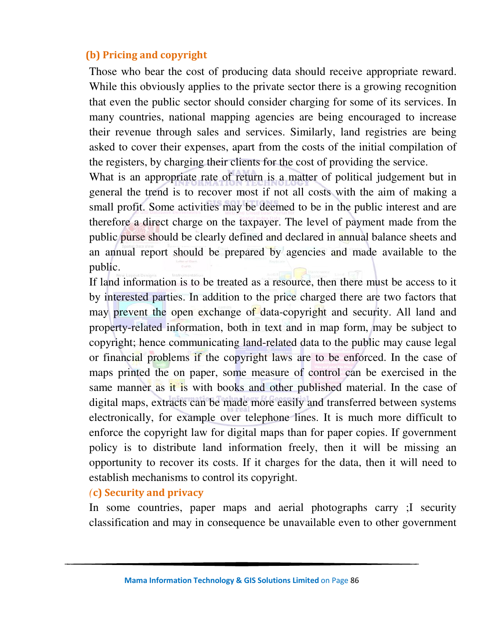#### **(b) Pricing and copyright**

Those who bear the cost of producing data should receive appropriate reward. While this obviously applies to the private sector there is a growing recognition that even the public sector should consider charging for some of its services. In many countries, national mapping agencies are being encouraged to increase their revenue through sales and services. Similarly, land registries are being asked to cover their expenses, apart from the costs of the initial compilation of the registers, by charging their clients for the cost of providing the service.

What is an appropriate rate of return is a matter of political judgement but in general the trend is to recover most if not all costs with the aim of making a small profit. Some activities may be deemed to be in the public interest and are therefore a direct charge on the taxpayer. The level of payment made from the public purse should be clearly defined and declared in annual balance sheets and an annual report should be prepared by agencies and made available to the public.

If land information is to be treated as a resource, then there must be access to it by interested parties. In addition to the price charged there are two factors that may prevent the open exchange of data-copyright and security. All land and property-related information, both in text and in map form, may be subject to copyright; hence communicating land-related data to the public may cause legal or financial problems if the copyright laws are to be enforced. In the case of maps printed the on paper, some measure of control can be exercised in the same manner as it is with books and other published material. In the case of digital maps, extracts can be made more easily and transferred between systems electronically, for example over telephone lines. It is much more difficult to enforce the copyright law for digital maps than for paper copies. If government policy is to distribute land information freely, then it will be missing an opportunity to recover its costs. If it charges for the data, then it will need to establish mechanisms to control its copyright.

#### *(***c) Security and privacy**

In some countries, paper maps and aerial photographs carry ;I security classification and may in consequence be unavailable even to other government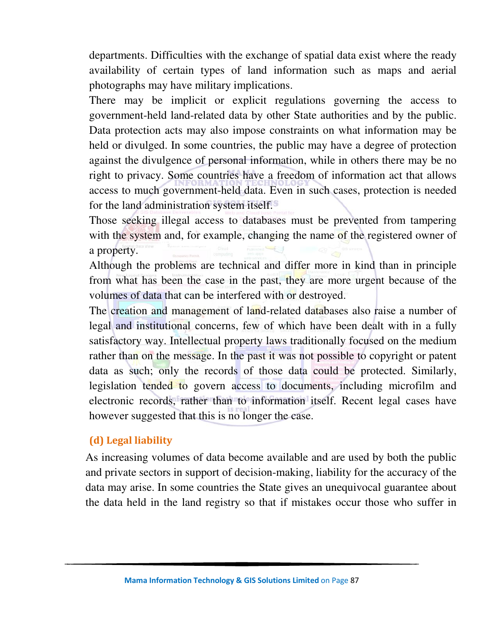departments. Difficulties with the exchange of spatial data exist where the ready availability of certain types of land information such as maps and aerial photographs may have military implications.

There may be implicit or explicit regulations governing the access to government-held land-related data by other State authorities and by the public. Data protection acts may also impose constraints on what information may be held or divulged. In some countries, the public may have a degree of protection against the divulgence of personal information, while in others there may be no right to privacy. Some countries have a freedom of information act that allows access to much government-held data. Even in such cases, protection is needed for the land administration system itself.

Those seeking illegal access to databases must be prevented from tampering with the system and, for example, changing the name of the registered owner of a property.

Although the problems are technical and differ more in kind than in principle from what has been the case in the past, they are more urgent because of the volumes of data that can be interfered with or destroyed.

The creation and management of land-related databases also raise a number of legal and institutional concerns, few of which have been dealt with in a fully satisfactory way. Intellectual property laws traditionally focused on the medium rather than on the message. In the past it was not possible to copyright or patent data as such; only the records of those data could be protected. Similarly, legislation tended to govern access to documents, including microfilm and electronic records, rather than to information itself. Recent legal cases have however suggested that this is no longer the case.

#### **(d) Legal liability**

As increasing volumes of data become available and are used by both the public and private sectors in support of decision-making, liability for the accuracy of the data may arise. In some countries the State gives an unequivocal guarantee about the data held in the land registry so that if mistakes occur those who suffer in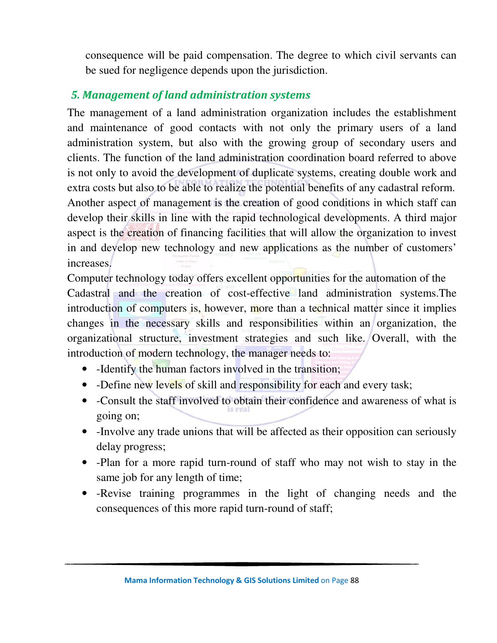consequence will be paid compensation. The degree to which civil servants can be sued for negligence depends upon the jurisdiction.

### *5. Management of land administration systems*

The management of a land administration organization includes the establishment and maintenance of good contacts with not only the primary users of a land administration system, but also with the growing group of secondary users and clients. The function of the land administration coordination board referred to above is not only to avoid the development of duplicate systems, creating double work and extra costs but also to be able to realize the potential benefits of any cadastral reform. Another aspect of management is the creation of good conditions in which staff can develop their skills in line with the rapid technological developments. A third major aspect is the creation of financing facilities that will allow the organization to invest in and develop new technology and new applications as the number of customers' increases.

Computer technology today offers excellent opportunities for the automation of the Cadastral and the creation of cost-effective land administration systems.The introduction of computers is, however, more than a technical matter since it implies changes in the necessary skills and responsibilities within an organization, the organizational structure, investment strategies and such like. Overall, with the introduction of modern technology, the manager needs to:

- -Identify the human factors involved in the transition;
- -Define new levels of skill and responsibility for each and every task;
- -Consult the staff involved to obtain their confidence and awareness of what is going on;
- Involve any trade unions that will be affected as their opposition can seriously delay progress;
- -Plan for a more rapid turn-round of staff who may not wish to stay in the same job for any length of time;
- -Revise training programmes in the light of changing needs and the consequences of this more rapid turn-round of staff;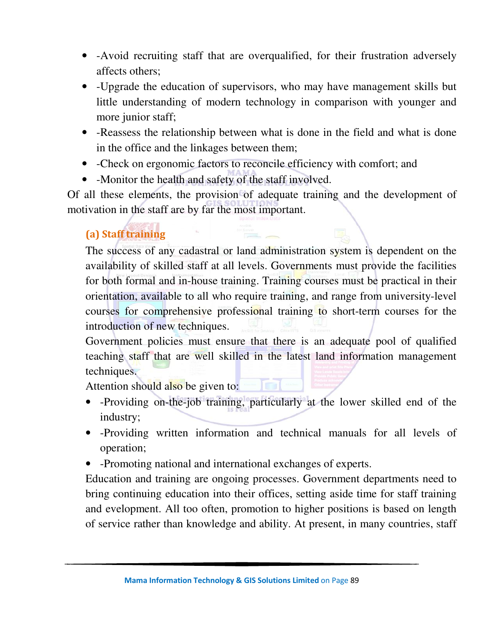- -Avoid recruiting staff that are overqualified, for their frustration adversely affects others;
- -Upgrade the education of supervisors, who may have management skills but little understanding of modern technology in comparison with younger and more junior staff;
- -Reassess the relationship between what is done in the field and what is done in the office and the linkages between them;
- -Check on ergonomic factors to reconcile efficiency with comfort; and
- -Monitor the health and safety of the staff involved.

Of all these elements, the provision of adequate training and the development of motivation in the staff are by far the most important.

## **(a) Staff training**

The success of any cadastral or land administration system is dependent on the availability of skilled staff at all levels. Governments must provide the facilities for both formal and in-house training. Training courses must be practical in their orientation, available to all who require training, and range from university-level courses for comprehensive professional training to short-term courses for the introduction of new techniques.

Government policies must ensure that there is an adequate pool of qualified teaching staff that are well skilled in the latest land information management techniques.

Attention should also be given to:

- -Providing on-the-job training, particularly at the lower skilled end of the industry;
- -Providing written information and technical manuals for all levels of operation;
- -Promoting national and international exchanges of experts.

Education and training are ongoing processes. Government departments need to bring continuing education into their offices, setting aside time for staff training and evelopment. All too often, promotion to higher positions is based on length of service rather than knowledge and ability. At present, in many countries, staff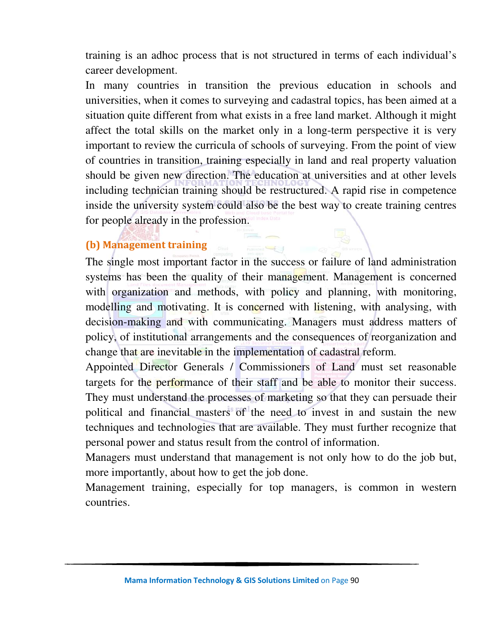training is an adhoc process that is not structured in terms of each individual's career development.

In many countries in transition the previous education in schools and universities, when it comes to surveying and cadastral topics, has been aimed at a situation quite different from what exists in a free land market. Although it might affect the total skills on the market only in a long-term perspective it is very important to review the curricula of schools of surveying. From the point of view of countries in transition, training especially in land and real property valuation should be given new direction. The education at universities and at other levels including technician training should be restructured. A rapid rise in competence inside the university system could also be the best way to create training centres for people already in the profession.

#### **(b) Management training**

The single most important factor in the success or failure of land administration systems has been the quality of their management. Management is concerned with organization and methods, with policy and planning, with monitoring, modelling and motivating. It is concerned with listening, with analysing, with decision-making and with communicating. Managers must address matters of policy, of institutional arrangements and the consequences of reorganization and change that are inevitable in the implementation of cadastral reform.

**Bullialand** 

Appointed Director Generals / Commissioners of Land must set reasonable targets for the performance of their staff and be able to monitor their success. They must understand the processes of marketing so that they can persuade their political and financial masters of the need to invest in and sustain the new techniques and technologies that are available. They must further recognize that personal power and status result from the control of information.

Managers must understand that management is not only how to do the job but, more importantly, about how to get the job done.

Management training, especially for top managers, is common in western countries.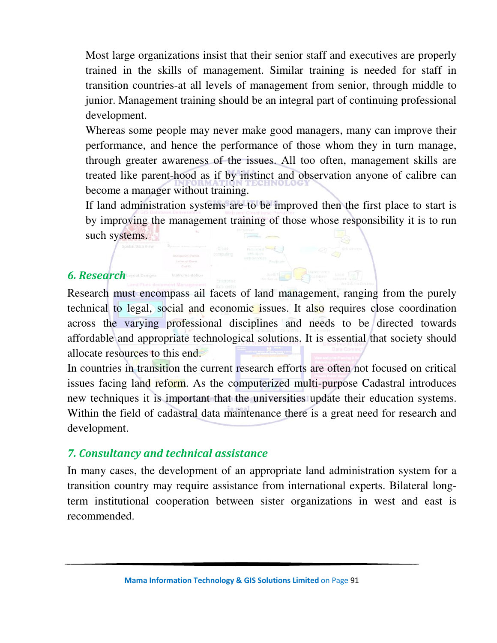Most large organizations insist that their senior staff and executives are properly trained in the skills of management. Similar training is needed for staff in transition countries-at all levels of management from senior, through middle to junior. Management training should be an integral part of continuing professional development.

Whereas some people may never make good managers, many can improve their performance, and hence the performance of those whom they in turn manage, through greater awareness of the issues. All too often, management skills are treated like parent-hood as if by instinct and observation anyone of calibre can become a manager without training.

If land administration systems are to be improved then the first place to start is by improving the management training of those whose responsibility it is to run such systems.

#### *6. Research*

Research must encompass ail facets of land management, ranging from the purely technical to legal, social and economic issues. It also requires close coordination across the varying professional disciplines and needs to be directed towards affordable and appropriate technological solutions. It is essential that society should allocate resources to this end.

In countries in transition the current research efforts are often not focused on critical issues facing land reform. As the computerized multi-purpose Cadastral introduces new techniques it is important that the universities update their education systems. Within the field of cadastral data maintenance there is a great need for research and development.

#### *7. Consultancy and technical assistance*

In many cases, the development of an appropriate land administration system for a transition country may require assistance from international experts. Bilateral longterm institutional cooperation between sister organizations in west and east is recommended.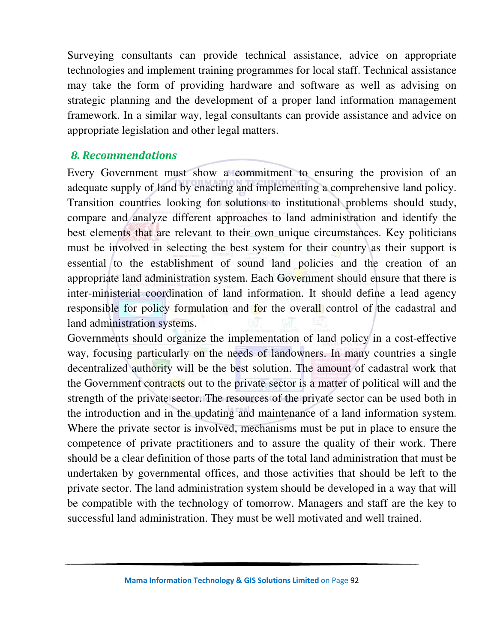Surveying consultants can provide technical assistance, advice on appropriate technologies and implement training programmes for local staff. Technical assistance may take the form of providing hardware and software as well as advising on strategic planning and the development of a proper land information management framework. In a similar way, legal consultants can provide assistance and advice on appropriate legislation and other legal matters.

#### *8. Recommendations*

Every Government must show a commitment to ensuring the provision of an adequate supply of land by enacting and implementing a comprehensive land policy. Transition countries looking for solutions to institutional problems should study, compare and analyze different approaches to land administration and identify the best elements that are relevant to their own unique circumstances. Key politicians must be involved in selecting the best system for their country as their support is essential to the establishment of sound land policies and the creation of an appropriate land administration system. Each Government should ensure that there is inter-ministerial coordination of land information. It should define a lead agency responsible for policy formulation and for the overall control of the cadastral and land administration systems.

Governments should organize the implementation of land policy in a cost-effective way, focusing particularly on the needs of landowners. In many countries a single decentralized authority will be the best solution. The amount of cadastral work that the Government contracts out to the private sector is a matter of political will and the strength of the private sector. The resources of the private sector can be used both in the introduction and in the updating and maintenance of a land information system. Where the private sector is involved, mechanisms must be put in place to ensure the competence of private practitioners and to assure the quality of their work. There should be a clear definition of those parts of the total land administration that must be undertaken by governmental offices, and those activities that should be left to the private sector. The land administration system should be developed in a way that will be compatible with the technology of tomorrow. Managers and staff are the key to successful land administration. They must be well motivated and well trained.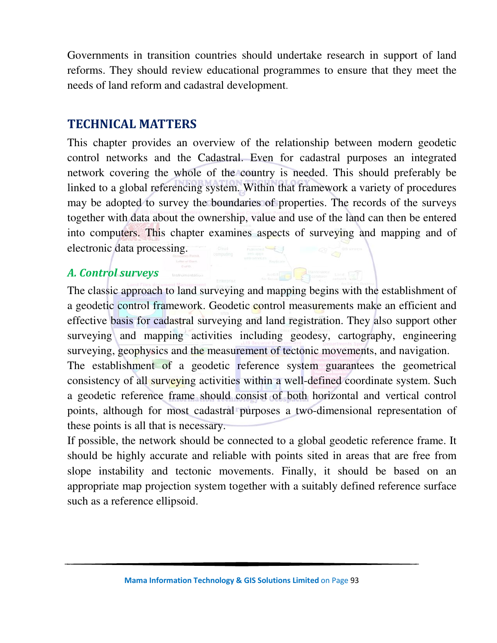Governments in transition countries should undertake research in support of land reforms. They should review educational programmes to ensure that they meet the needs of land reform and cadastral development.

## **TECHNICAL MATTERS**

This chapter provides an overview of the relationship between modern geodetic control networks and the Cadastral. Even for cadastral purposes an integrated network covering the whole of the country is needed. This should preferably be linked to a global referencing system. Within that framework a variety of procedures may be adopted to survey the boundaries of properties. The records of the surveys together with data about the ownership, value and use of the land can then be entered into computers. This chapter examines aspects of surveying and mapping and of electronic data processing.

## *A. Control surveys*

The classic approach to land surveying and mapping begins with the establishment of a geodetic control framework. Geodetic control measurements make an efficient and effective basis for cadastral surveying and land registration. They also support other surveying and mapping activities including geodesy, cartography, engineering surveying, geophysics and the measurement of tectonic movements, and navigation.

The establishment of a geodetic reference system guarantees the geometrical consistency of all surveying activities within a well-defined coordinate system. Such a geodetic reference frame should consist of both horizontal and vertical control points, although for most cadastral purposes a two-dimensional representation of these points is all that is necessary.

If possible, the network should be connected to a global geodetic reference frame. It should be highly accurate and reliable with points sited in areas that are free from slope instability and tectonic movements. Finally, it should be based on an appropriate map projection system together with a suitably defined reference surface such as a reference ellipsoid.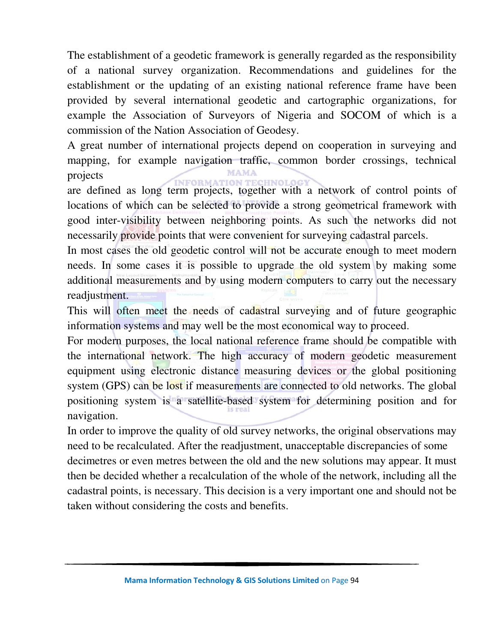The establishment of a geodetic framework is generally regarded as the responsibility of a national survey organization. Recommendations and guidelines for the establishment or the updating of an existing national reference frame have been provided by several international geodetic and cartographic organizations, for example the Association of Surveyors of Nigeria and SOCOM of which is a commission of the Nation Association of Geodesy.

A great number of international projects depend on cooperation in surveying and mapping, for example navigation traffic, common border crossings, technical projects

are defined as long term projects, together with a network of control points of locations of which can be selected to provide a strong geometrical framework with good inter-visibility between neighboring points. As such the networks did not necessarily provide points that were convenient for surveying cadastral parcels.

In most cases the old geodetic control will not be accurate enough to meet modern needs. In some cases it is possible to upgrade the old system by making some additional measurements and by using modern computers to carry out the necessary readjustment.

This will often meet the needs of cadastral surveying and of future geographic information systems and may well be the most economical way to proceed.

For modern purposes, the local national reference frame should be compatible with the international network. The high accuracy of modern geodetic measurement equipment using electronic distance measuring devices or the global positioning system (GPS) can be lost if measurements are connected to old networks. The global positioning system is a satellite-based system for determining position and for navigation.

In order to improve the quality of old survey networks, the original observations may need to be recalculated. After the readjustment, unacceptable discrepancies of some decimetres or even metres between the old and the new solutions may appear. It must then be decided whether a recalculation of the whole of the network, including all the cadastral points, is necessary. This decision is a very important one and should not be taken without considering the costs and benefits.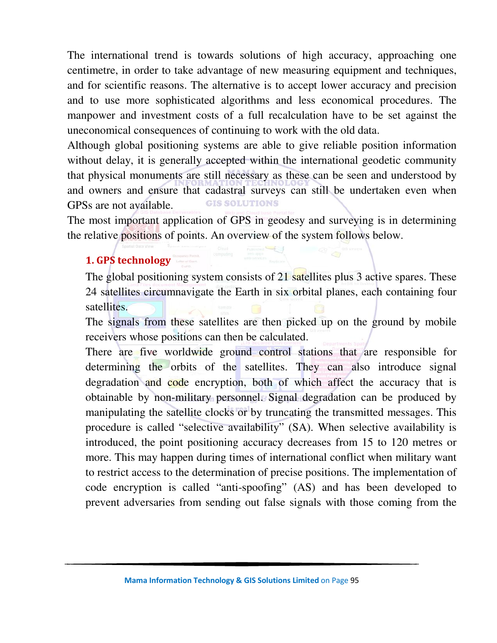The international trend is towards solutions of high accuracy, approaching one centimetre, in order to take advantage of new measuring equipment and techniques, and for scientific reasons. The alternative is to accept lower accuracy and precision and to use more sophisticated algorithms and less economical procedures. The manpower and investment costs of a full recalculation have to be set against the uneconomical consequences of continuing to work with the old data.

Although global positioning systems are able to give reliable position information without delay, it is generally accepted within the international geodetic community that physical monuments are still necessary as these can be seen and understood by and owners and ensure that cadastral surveys can still be undertaken even when **GIS SOLUTIONS** GPSs are not available.

The most important application of GPS in geodesy and surveying is in determining the relative positions of points. An overview of the system follows below.

#### **1. GPS technology**

The global positioning system consists of 21 satellites plus 3 active spares. These 24 satellites circumnavigate the Earth in six orbital planes, each containing four satellites.

The signals from these satellites are then picked up on the ground by mobile receivers whose positions can then be calculated.

There are five worldwide ground control stations that are responsible for determining the orbits of the satellites. They can also introduce signal degradation and code encryption, both of which affect the accuracy that is obtainable by non-military personnel. Signal degradation can be produced by manipulating the satellite clocks or by truncating the transmitted messages. This procedure is called "selective availability" (SA). When selective availability is introduced, the point positioning accuracy decreases from 15 to 120 metres or more. This may happen during times of international conflict when military want to restrict access to the determination of precise positions. The implementation of code encryption is called "anti-spoofing" (AS) and has been developed to prevent adversaries from sending out false signals with those coming from the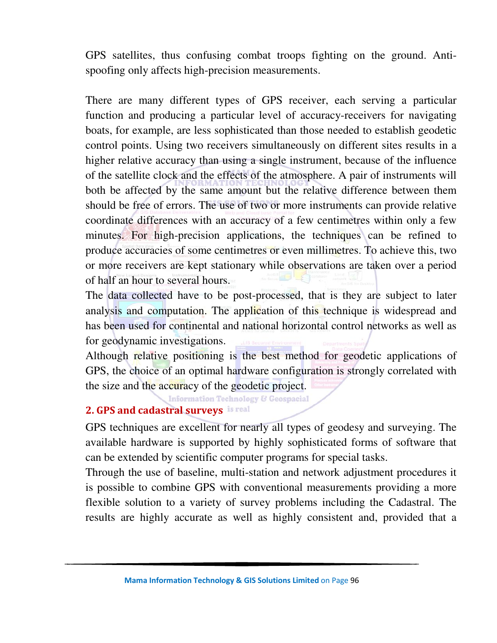GPS satellites, thus confusing combat troops fighting on the ground. Antispoofing only affects high-precision measurements.

There are many different types of GPS receiver, each serving a particular function and producing a particular level of accuracy-receivers for navigating boats, for example, are less sophisticated than those needed to establish geodetic control points. Using two receivers simultaneously on different sites results in a higher relative accuracy than using a single instrument, because of the influence of the satellite clock and the effects of the atmosphere. A pair of instruments will both be affected by the same amount but the relative difference between them should be free of errors. The use of two or more instruments can provide relative coordinate differences with an accuracy of a few centimetres within only a few minutes. For high-precision applications, the techniques can be refined to produce accuracies of some centimetres or even millimetres. To achieve this, two or more receivers are kept stationary while observations are taken over a period of half an hour to several hours.

The data collected have to be post-processed, that is they are subject to later analysis and computation. The application of this technique is widespread and has been used for continental and national horizontal control networks as well as for geodynamic investigations.

Although relative positioning is the best method for geodetic applications of GPS, the choice of an optimal hardware configuration is strongly correlated with the size and the accuracy of the geodetic project.

**Information Technology & Geospacial** 

#### **2. GPS and cadastral surveys**

GPS techniques are excellent for nearly all types of geodesy and surveying. The available hardware is supported by highly sophisticated forms of software that can be extended by scientific computer programs for special tasks.

Through the use of baseline, multi-station and network adjustment procedures it is possible to combine GPS with conventional measurements providing a more flexible solution to a variety of survey problems including the Cadastral. The results are highly accurate as well as highly consistent and, provided that a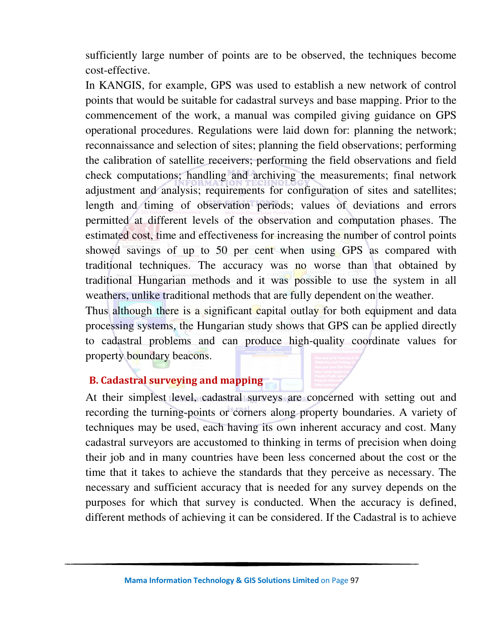sufficiently large number of points are to be observed, the techniques become cost-effective.

In KANGIS, for example, GPS was used to establish a new network of control points that would be suitable for cadastral surveys and base mapping. Prior to the commencement of the work, a manual was compiled giving guidance on GPS operational procedures. Regulations were laid down for: planning the network; reconnaissance and selection of sites; planning the field observations; performing the calibration of satellite receivers; performing the field observations and field check computations; handling and archiving the measurements; final network adjustment and analysis; requirements for configuration of sites and satellites; length and timing of observation periods; values of deviations and errors permitted at different levels of the observation and computation phases. The estimated cost, time and effectiveness for increasing the number of control points showed savings of up to 50 per cent when using GPS as compared with traditional techniques. The accuracy was no worse than that obtained by traditional Hungarian methods and it was possible to use the system in all weathers, unlike traditional methods that are fully dependent on the weather.

Thus although there is a significant capital outlay for both equipment and data processing systems, the Hungarian study shows that GPS can be applied directly to cadastral problems and can produce high-quality coordinate values for property boundary beacons.

#### **B. Cadastral surveying and mapping**

At their simplest level, cadastral surveys are concerned with setting out and recording the turning-points or corners along property boundaries. A variety of techniques may be used, each having its own inherent accuracy and cost. Many cadastral surveyors are accustomed to thinking in terms of precision when doing their job and in many countries have been less concerned about the cost or the time that it takes to achieve the standards that they perceive as necessary. The necessary and sufficient accuracy that is needed for any survey depends on the purposes for which that survey is conducted. When the accuracy is defined, different methods of achieving it can be considered. If the Cadastral is to achieve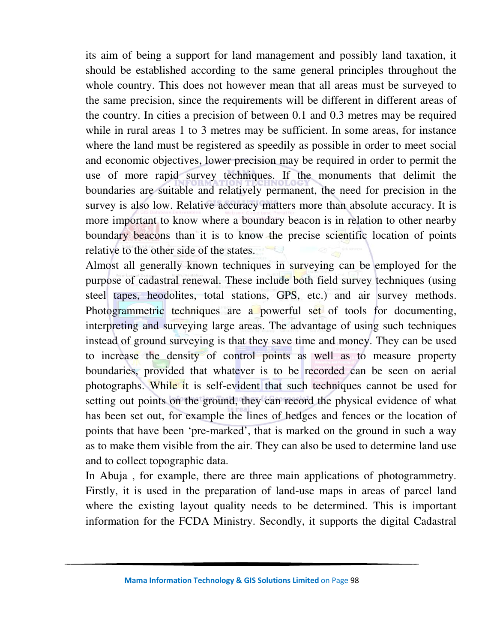its aim of being a support for land management and possibly land taxation, it should be established according to the same general principles throughout the whole country. This does not however mean that all areas must be surveyed to the same precision, since the requirements will be different in different areas of the country. In cities a precision of between 0.1 and 0.3 metres may be required while in rural areas 1 to 3 metres may be sufficient. In some areas, for instance where the land must be registered as speedily as possible in order to meet social and economic objectives, lower precision may be required in order to permit the use of more rapid survey techniques. If the monuments that delimit the boundaries are suitable and relatively permanent, the need for precision in the survey is also low. Relative accuracy matters more than absolute accuracy. It is more important to know where a boundary beacon is in relation to other nearby boundary beacons than it is to know the precise scientific location of points relative to the other side of the states.

Almost all generally known techniques in surveying can be employed for the purpose of cadastral renewal. These include both field survey techniques (using steel tapes, heodolites, total stations, GPS, etc.) and air survey methods. Photogrammetric techniques are a powerful set of tools for documenting, interpreting and surveying large areas. The advantage of using such techniques instead of ground surveying is that they save time and money. They can be used to increase the density of control points as well as to measure property boundaries, provided that whatever is to be recorded can be seen on aerial photographs. While it is self-evident that such techniques cannot be used for setting out points on the ground, they can record the physical evidence of what has been set out, for example the lines of hedges and fences or the location of points that have been 'pre-marked', that is marked on the ground in such a way as to make them visible from the air. They can also be used to determine land use and to collect topographic data.

In Abuja , for example, there are three main applications of photogrammetry. Firstly, it is used in the preparation of land-use maps in areas of parcel land where the existing layout quality needs to be determined. This is important information for the FCDA Ministry. Secondly, it supports the digital Cadastral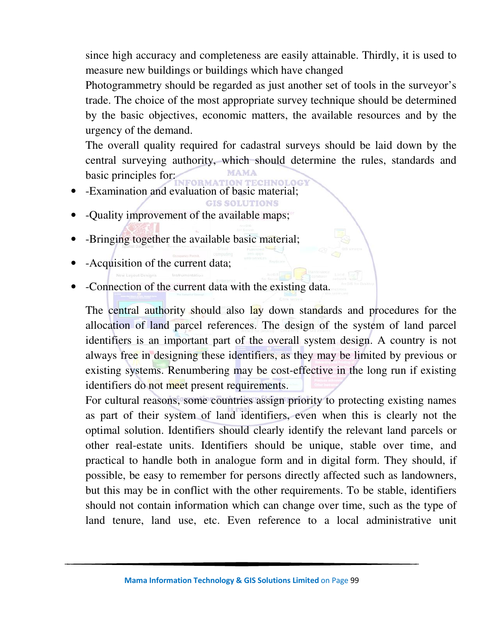since high accuracy and completeness are easily attainable. Thirdly, it is used to measure new buildings or buildings which have changed

Photogrammetry should be regarded as just another set of tools in the surveyor's trade. The choice of the most appropriate survey technique should be determined by the basic objectives, economic matters, the available resources and by the urgency of the demand.

The overall quality required for cadastral surveys should be laid down by the central surveying authority, which should determine the rules, standards and basic principles for:

**GIS SOLUTIONS** 

- -Examination and evaluation of basic material;
- -Quality improvement of the available maps;
- -Bringing together the available basic material;
- -Acquisition of the current data;
- -Connection of the current data with the existing data.

The central authority should also lay down standards and procedures for the allocation of land parcel references. The design of the system of land parcel identifiers is an important part of the overall system design. A country is not always free in designing these identifiers, as they may be limited by previous or existing systems. Renumbering may be cost-effective in the long run if existing identifiers do not meet present requirements.

For cultural reasons, some countries assign priority to protecting existing names as part of their system of land identifiers, even when this is clearly not the optimal solution. Identifiers should clearly identify the relevant land parcels or other real-estate units. Identifiers should be unique, stable over time, and practical to handle both in analogue form and in digital form. They should, if possible, be easy to remember for persons directly affected such as landowners, but this may be in conflict with the other requirements. To be stable, identifiers should not contain information which can change over time, such as the type of land tenure, land use, etc. Even reference to a local administrative unit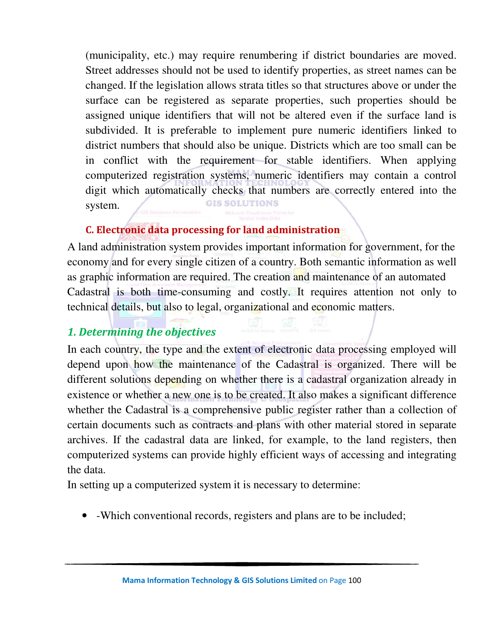(municipality, etc.) may require renumbering if district boundaries are moved. Street addresses should not be used to identify properties, as street names can be changed. If the legislation allows strata titles so that structures above or under the surface can be registered as separate properties, such properties should be assigned unique identifiers that will not be altered even if the surface land is subdivided. It is preferable to implement pure numeric identifiers linked to district numbers that should also be unique. Districts which are too small can be in conflict with the requirement for stable identifiers. When applying computerized registration systems, numeric identifiers may contain a control digit which automatically checks that numbers are correctly entered into the **GIS SOLUTIONS** system.

### **C. Electronic data processing for land administration**

A land administration system provides important information for government, for the economy and for every single citizen of a country. Both semantic information as well as graphic information are required. The creation and maintenance of an automated Cadastral is both time-consuming and costly. It requires attention not only to technical details, but also to legal, organizational and economic matters.

## *1. Determining the objectives*

In each country, the type and the extent of electronic data processing employed will depend upon how the maintenance of the Cadastral is organized. There will be different solutions depending on whether there is a cadastral organization already in existence or whether a new one is to be created. It also makes a significant difference whether the Cadastral is a comprehensive public register rather than a collection of certain documents such as contracts and plans with other material stored in separate archives. If the cadastral data are linked, for example, to the land registers, then computerized systems can provide highly efficient ways of accessing and integrating the data.

In setting up a computerized system it is necessary to determine:

• -Which conventional records, registers and plans are to be included;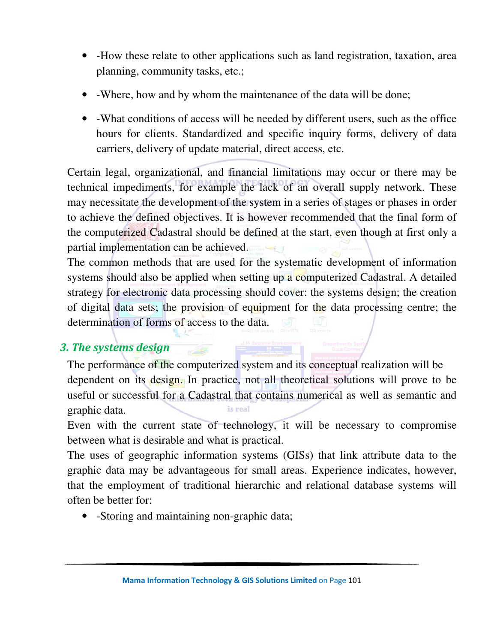- -How these relate to other applications such as land registration, taxation, area planning, community tasks, etc.;
- -Where, how and by whom the maintenance of the data will be done;
- -What conditions of access will be needed by different users, such as the office hours for clients. Standardized and specific inquiry forms, delivery of data carriers, delivery of update material, direct access, etc.

Certain legal, organizational, and financial limitations may occur or there may be technical impediments, for example the lack of an overall supply network. These may necessitate the development of the system in a series of stages or phases in order to achieve the defined objectives. It is however recommended that the final form of the computerized Cadastral should be defined at the start, even though at first only a partial implementation can be achieved.

The common methods that are used for the systematic development of information systems should also be applied when setting up a computerized Cadastral. A detailed strategy for electronic data processing should cover: the systems design; the creation of digital data sets; the provision of equipment for the data processing centre; the determination of forms of access to the data.

## *3. The systems design*

The performance of the computerized system and its conceptual realization will be dependent on its design. In practice, not all theoretical solutions will prove to be useful or successful for a Cadastral that contains numerical as well as semantic and is real graphic data.

Even with the current state of technology, it will be necessary to compromise between what is desirable and what is practical.

The uses of geographic information systems (GISs) that link attribute data to the graphic data may be advantageous for small areas. Experience indicates, however, that the employment of traditional hierarchic and relational database systems will often be better for:

• -Storing and maintaining non-graphic data;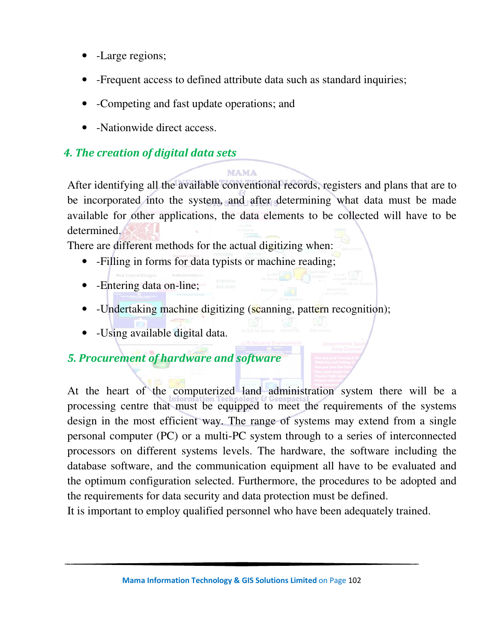- -Large regions;
- -Frequent access to defined attribute data such as standard inquiries;

**MAMA** 

- -Competing and fast update operations; and
- -Nationwide direct access.

## *4. The creation of digital data sets*

After identifying all the available conventional records, registers and plans that are to be incorporated into the system, and after determining what data must be made available for other applications, the data elements to be collected will have to be determined.

There are different methods for the actual digitizing when:

- -Filling in forms for data typists or machine reading;
- -Entering data on-line;
- -Undertaking machine digitizing (scanning, pattern recognition);
- -Using available digital data.

## *5. Procurement of hardware and software*

At the heart of the computerized land administration system there will be a processing centre that must be equipped to meet the requirements of the systems design in the most efficient way. The range of systems may extend from a single personal computer (PC) or a multi-PC system through to a series of interconnected processors on different systems levels. The hardware, the software including the database software, and the communication equipment all have to be evaluated and the optimum configuration selected. Furthermore, the procedures to be adopted and the requirements for data security and data protection must be defined.

It is important to employ qualified personnel who have been adequately trained.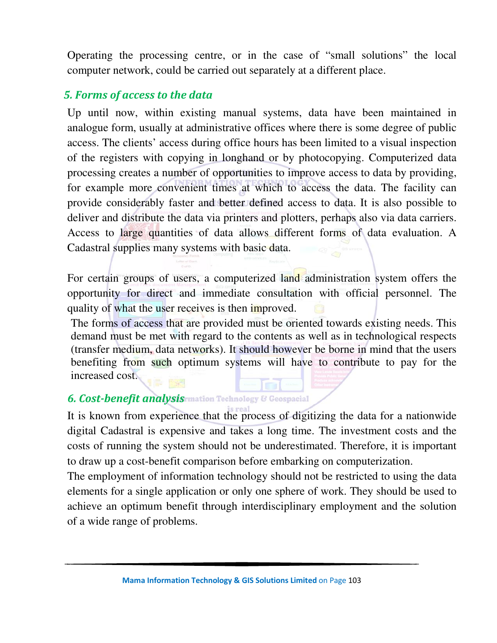Operating the processing centre, or in the case of "small solutions" the local computer network, could be carried out separately at a different place.

### *5. Forms of access to the data*

Up until now, within existing manual systems, data have been maintained in analogue form, usually at administrative offices where there is some degree of public access. The clients' access during office hours has been limited to a visual inspection of the registers with copying in longhand or by photocopying. Computerized data processing creates a number of opportunities to improve access to data by providing, for example more convenient times at which to access the data. The facility can provide considerably faster and better defined access to data. It is also possible to deliver and distribute the data via printers and plotters, perhaps also via data carriers. Access to large quantities of data allows different forms of data evaluation. A Cadastral supplies many systems with basic data.

For certain groups of users, a computerized land administration system offers the opportunity for direct and immediate consultation with official personnel. The quality of what the user receives is then improved.

The forms of access that are provided must be oriented towards existing needs. This demand must be met with regard to the contents as well as in technological respects (transfer medium, data networks). It should however be borne in mind that the users benefiting from such optimum systems will have to contribute to pay for the increased cost.

#### **6. Cost-benefit analysis mation Technology & Geospacial**

It is known from experience that the process of digitizing the data for a nationwide digital Cadastral is expensive and takes a long time. The investment costs and the costs of running the system should not be underestimated. Therefore, it is important to draw up a cost-benefit comparison before embarking on computerization.

The employment of information technology should not be restricted to using the data elements for a single application or only one sphere of work. They should be used to achieve an optimum benefit through interdisciplinary employment and the solution of a wide range of problems.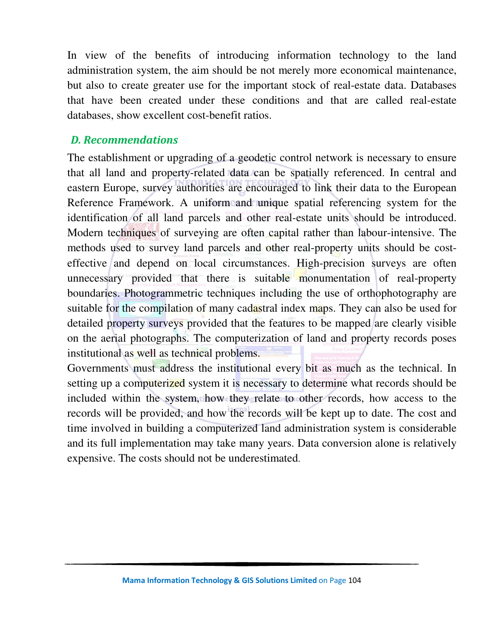In view of the benefits of introducing information technology to the land administration system, the aim should be not merely more economical maintenance, but also to create greater use for the important stock of real-estate data. Databases that have been created under these conditions and that are called real-estate databases, show excellent cost-benefit ratios.

#### *D. Recommendations*

The establishment or upgrading of a geodetic control network is necessary to ensure that all land and property-related data can be spatially referenced. In central and eastern Europe, survey authorities are encouraged to link their data to the European Reference Framework. A uniform and unique spatial referencing system for the identification of all land parcels and other real-estate units should be introduced. Modern techniques of surveying are often capital rather than labour-intensive. The methods used to survey land parcels and other real-property units should be costeffective and depend on local circumstances. High-precision surveys are often unnecessary provided that there is suitable monumentation of real-property boundaries. Photogrammetric techniques including the use of orthophotography are suitable for the compilation of many cadastral index maps. They can also be used for detailed property surveys provided that the features to be mapped are clearly visible on the aerial photographs. The computerization of land and property records poses institutional as well as technical problems.

Governments must address the institutional every bit as much as the technical. In setting up a computerized system it is necessary to determine what records should be included within the system, how they relate to other records, how access to the records will be provided, and how the records will be kept up to date. The cost and time involved in building a computerized land administration system is considerable and its full implementation may take many years. Data conversion alone is relatively expensive. The costs should not be underestimated.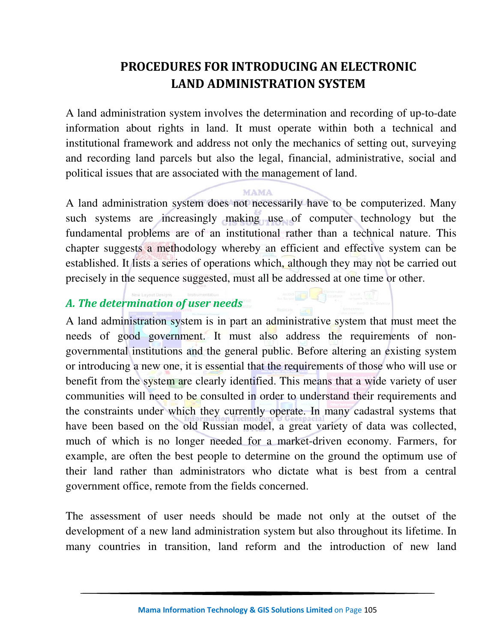## **PROCEDURES FOR INTRODUCING AN ELECTRONIC LAND ADMINISTRATION SYSTEM**

A land administration system involves the determination and recording of up-to-date information about rights in land. It must operate within both a technical and institutional framework and address not only the mechanics of setting out, surveying and recording land parcels but also the legal, financial, administrative, social and political issues that are associated with the management of land.

#### **MAMA**

A land administration system does not necessarily have to be computerized. Many such systems are increasingly making use of computer technology but the fundamental problems are of an institutional rather than a technical nature. This chapter suggests a methodology whereby an efficient and effective system can be established. It lists a series of operations which, although they may not be carried out precisely in the sequence suggested, must all be addressed at one time or other.

#### *A. The determination of user needs*

A land administration system is in part an administrative system that must meet the needs of good government. It must also address the requirements of nongovernmental institutions and the general public. Before altering an existing system or introducing a new one, it is essential that the requirements of those who will use or benefit from the system are clearly identified. This means that a wide variety of user communities will need to be consulted in order to understand their requirements and the constraints under which they currently operate. In many cadastral systems that have been based on the old Russian model, a great variety of data was collected, much of which is no longer needed for a market-driven economy. Farmers, for example, are often the best people to determine on the ground the optimum use of their land rather than administrators who dictate what is best from a central government office, remote from the fields concerned.

The assessment of user needs should be made not only at the outset of the development of a new land administration system but also throughout its lifetime. In many countries in transition, land reform and the introduction of new land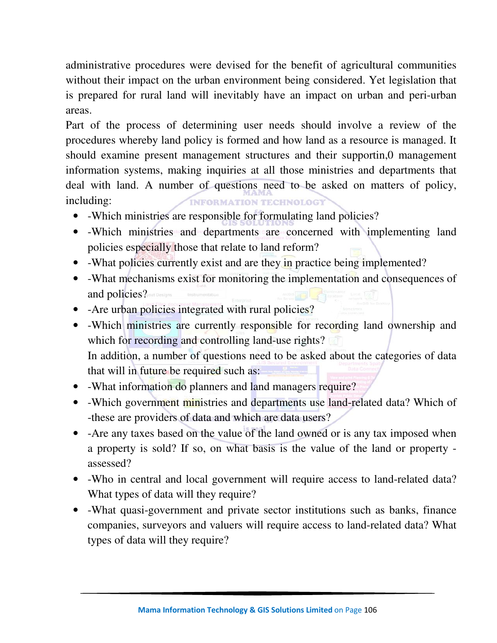administrative procedures were devised for the benefit of agricultural communities without their impact on the urban environment being considered. Yet legislation that is prepared for rural land will inevitably have an impact on urban and peri-urban areas.

Part of the process of determining user needs should involve a review of the procedures whereby land policy is formed and how land as a resource is managed. It should examine present management structures and their supportin,0 management information systems, making inquiries at all those ministries and departments that deal with land. A number of questions need to be asked on matters of policy, including: **INFORMATION TECHNOLOGY** 

- -Which ministries are responsible for formulating land policies?
- -Which ministries and departments are concerned with implementing land policies especially those that relate to land reform?
- -What policies currently exist and are they in practice being implemented?
- -What mechanisms exist for monitoring the implementation and consequences of and policies?
- - Are urban policies integrated with rural policies?
- -Which ministries are currently responsible for recording land ownership and which for recording and controlling land-use rights? In addition, a number of questions need to be asked about the categories of data that will in future be required such as:
- -What information do planners and land managers require?
- -Which government ministries and departments use land-related data? Which of -these are providers of data and which are data users?
- -Are any taxes based on the value of the land owned or is any tax imposed when a property is sold? If so, on what basis is the value of the land or property assessed?
- -Who in central and local government will require access to land-related data? What types of data will they require?
- -What quasi-government and private sector institutions such as banks, finance companies, surveyors and valuers will require access to land-related data? What types of data will they require?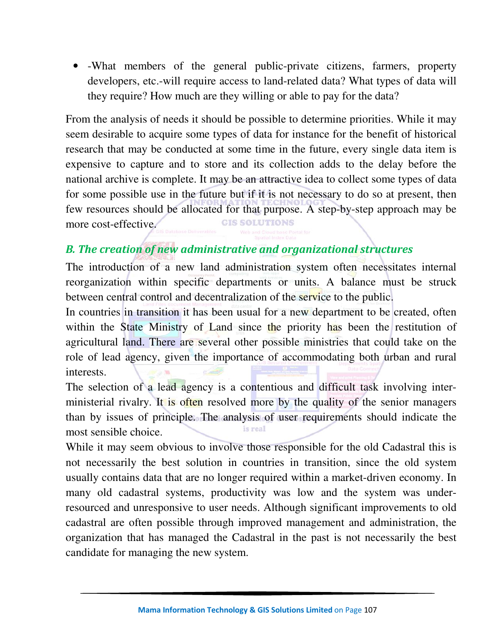• -What members of the general public-private citizens, farmers, property developers, etc.-will require access to land-related data? What types of data will they require? How much are they willing or able to pay for the data?

From the analysis of needs it should be possible to determine priorities. While it may seem desirable to acquire some types of data for instance for the benefit of historical research that may be conducted at some time in the future, every single data item is expensive to capture and to store and its collection adds to the delay before the national archive is complete. It may be an attractive idea to collect some types of data for some possible use in the future but if it is not necessary to do so at present, then few resources should be allocated for that purpose. A step-by-step approach may be more cost-effective. **GIS SOLUTIONS** 

## *B. The creation of new administrative and organizational structures*

The introduction of a new land administration system often necessitates internal reorganization within specific departments or units. A balance must be struck between central control and decentralization of the service to the public.

In countries in transition it has been usual for a new department to be created, often within the State Ministry of Land since the priority has been the restitution of agricultural land. There are several other possible ministries that could take on the role of lead agency, given the importance of accommodating both urban and rural interests.

The selection of a lead agency is a contentious and difficult task involving interministerial rivalry. It is often resolved more by the quality of the senior managers than by issues of principle. The analysis of user requirements should indicate the is real most sensible choice.

While it may seem obvious to involve those responsible for the old Cadastral this is not necessarily the best solution in countries in transition, since the old system usually contains data that are no longer required within a market-driven economy. In many old cadastral systems, productivity was low and the system was underresourced and unresponsive to user needs. Although significant improvements to old cadastral are often possible through improved management and administration, the organization that has managed the Cadastral in the past is not necessarily the best candidate for managing the new system.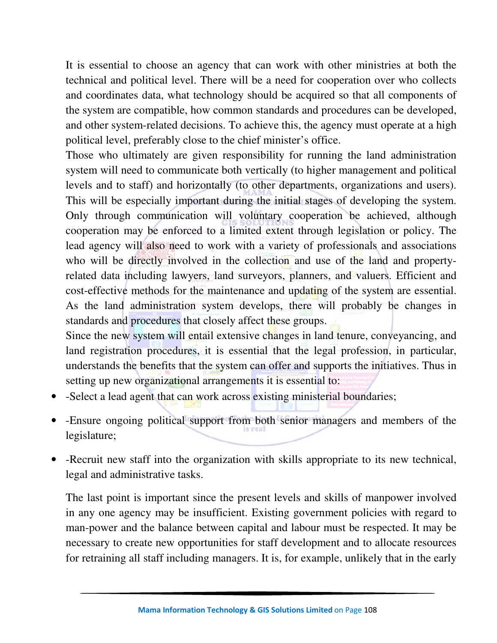It is essential to choose an agency that can work with other ministries at both the technical and political level. There will be a need for cooperation over who collects and coordinates data, what technology should be acquired so that all components of the system are compatible, how common standards and procedures can be developed, and other system-related decisions. To achieve this, the agency must operate at a high political level, preferably close to the chief minister's office.

Those who ultimately are given responsibility for running the land administration system will need to communicate both vertically (to higher management and political levels and to staff) and horizontally (to other departments, organizations and users). This will be especially important during the initial stages of developing the system. Only through communication will voluntary cooperation be achieved, although cooperation may be enforced to a limited extent through legislation or policy. The lead agency will also need to work with a variety of professionals and associations who will be directly involved in the collection and use of the land and propertyrelated data including lawyers, land surveyors, planners, and valuers. Efficient and cost-effective methods for the maintenance and updating of the system are essential. As the land administration system develops, there will probably be changes in standards and procedures that closely affect these groups.

Since the new system will entail extensive changes in land tenure, conveyancing, and land registration procedures, it is essential that the legal profession, in particular, understands the benefits that the system can offer and supports the initiatives. Thus in setting up new organizational arrangements it is essential to:

- -Select a lead agent that can work across existing ministerial boundaries;
- -Ensure ongoing political support from both senior managers and members of the legislature;
- -Recruit new staff into the organization with skills appropriate to its new technical, legal and administrative tasks.

The last point is important since the present levels and skills of manpower involved in any one agency may be insufficient. Existing government policies with regard to man-power and the balance between capital and labour must be respected. It may be necessary to create new opportunities for staff development and to allocate resources for retraining all staff including managers. It is, for example, unlikely that in the early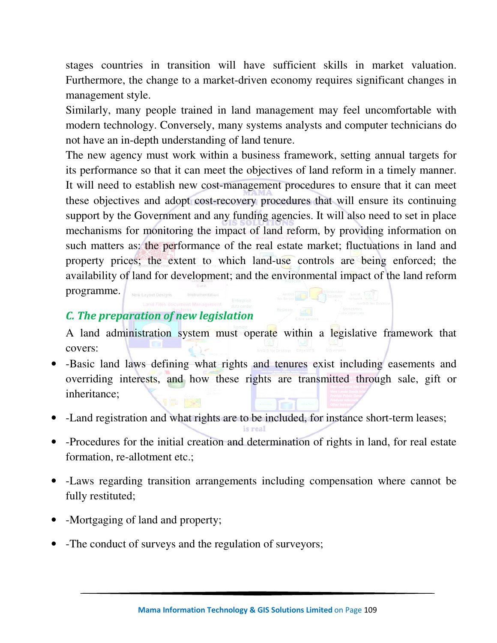stages countries in transition will have sufficient skills in market valuation. Furthermore, the change to a market-driven economy requires significant changes in management style.

Similarly, many people trained in land management may feel uncomfortable with modern technology. Conversely, many systems analysts and computer technicians do not have an in-depth understanding of land tenure.

The new agency must work within a business framework, setting annual targets for its performance so that it can meet the objectives of land reform in a timely manner. It will need to establish new cost-management procedures to ensure that it can meet these objectives and adopt cost-recovery procedures that will ensure its continuing support by the Government and any funding agencies. It will also need to set in place mechanisms for monitoring the impact of land reform, by providing information on such matters as: the performance of the real estate market; fluctuations in land and property prices; the extent to which land-use controls are being enforced; the availability of land for development; and the environmental impact of the land reform programme.

# *C. The preparation of new legislation*

A land administration system must operate within a legislative framework that covers:

- -Basic land laws defining what rights and tenures exist including easements and overriding interests, and how these rights are transmitted through sale, gift or inheritance;
- -Land registration and what rights are to be included, for instance short-term leases;
- -Procedures for the initial creation and determination of rights in land, for real estate formation, re-allotment etc.;
- -Laws regarding transition arrangements including compensation where cannot be fully restituted;
- -Mortgaging of land and property;
- -The conduct of surveys and the regulation of surveyors;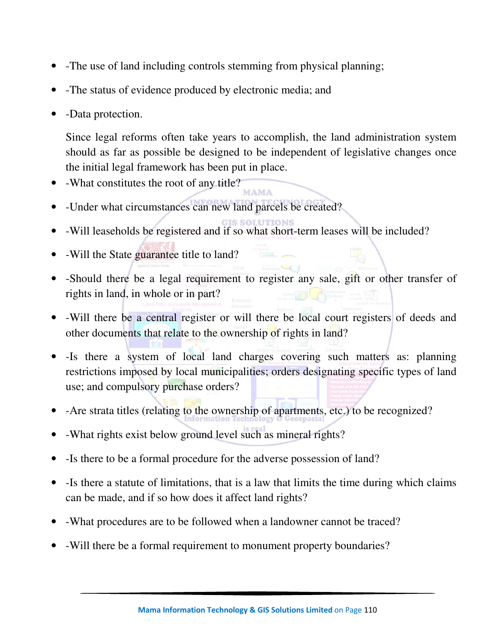- -The use of land including controls stemming from physical planning;
- -The status of evidence produced by electronic media; and
- -Data protection.

Since legal reforms often take years to accomplish, the land administration system should as far as possible be designed to be independent of legislative changes once the initial legal framework has been put in place.

- -What constitutes the root of any title?
- -Under what circumstances can new land parcels be created?
- -Will leaseholds be registered and if so what short-term leases will be included?
- -Will the State guarantee title to land?
- -Should there be a legal requirement to register any sale, gift or other transfer of rights in land, in whole or in part?
- -Will there be a central register or will there be local court registers of deeds and other documents that relate to the ownership of rights in land?
- -Is there a system of local land charges covering such matters as: planning restrictions imposed by local municipalities; orders designating specific types of land use; and compulsory purchase orders?
- -Are strata titles (relating to the ownership of apartments, etc.) to be recognized?
- -What rights exist below ground level such as mineral rights?
- Is there to be a formal procedure for the adverse possession of land?
- Is there a statute of limitations, that is a law that limits the time during which claims can be made, and if so how does it affect land rights?
- -What procedures are to be followed when a landowner cannot be traced?
- -Will there be a formal requirement to monument property boundaries?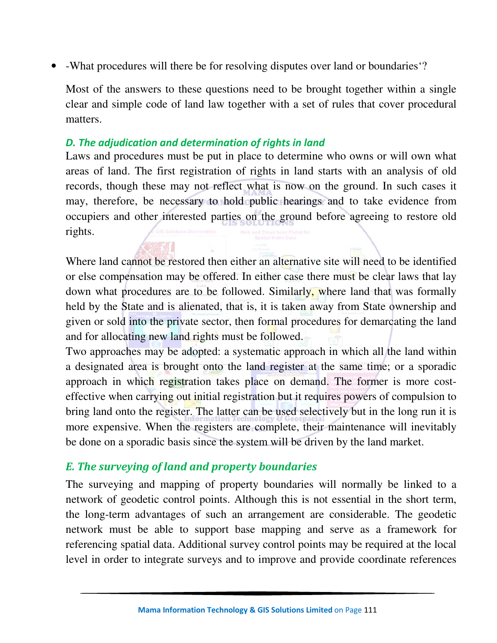• -What procedures will there be for resolving disputes over land or boundaries'?

Most of the answers to these questions need to be brought together within a single clear and simple code of land law together with a set of rules that cover procedural matters.

## *D. The adjudication and determination of rights in land*

Laws and procedures must be put in place to determine who owns or will own what areas of land. The first registration of rights in land starts with an analysis of old records, though these may not reflect what is now on the ground. In such cases it may, therefore, be necessary to hold public hearings and to take evidence from occupiers and other interested parties on the ground before agreeing to restore old rights.

Where land cannot be restored then either an alternative site will need to be identified or else compensation may be offered. In either case there must be clear laws that lay down what procedures are to be followed. Similarly, where land that was formally held by the State and is alienated, that is, it is taken away from State ownership and given or sold into the private sector, then formal procedures for demarcating the land and for allocating new land rights must be followed.

Two approaches may be adopted: a systematic approach in which all the land within a designated area is brought onto the land register at the same time; or a sporadic approach in which registration takes place on demand. The former is more costeffective when carrying out initial registration but it requires powers of compulsion to bring land onto the register. The latter can be used selectively but in the long run it is more expensive. When the registers are complete, their maintenance will inevitably be done on a sporadic basis since the system will be driven by the land market.

## *E. The surveying of land and property boundaries*

The surveying and mapping of property boundaries will normally be linked to a network of geodetic control points. Although this is not essential in the short term, the long-term advantages of such an arrangement are considerable. The geodetic network must be able to support base mapping and serve as a framework for referencing spatial data. Additional survey control points may be required at the local level in order to integrate surveys and to improve and provide coordinate references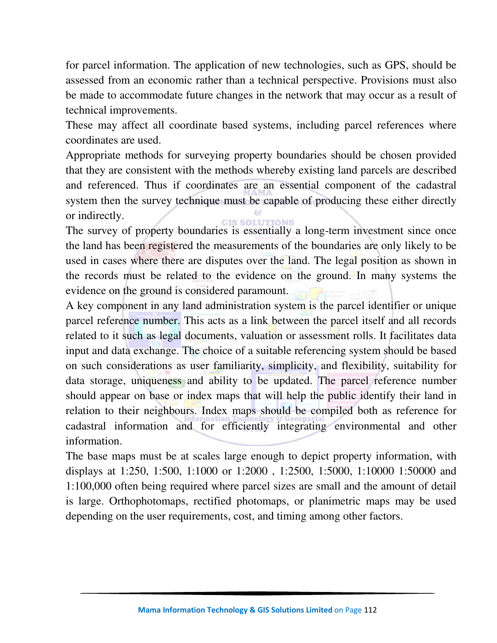for parcel information. The application of new technologies, such as GPS, should be assessed from an economic rather than a technical perspective. Provisions must also be made to accommodate future changes in the network that may occur as a result of technical improvements.

These may affect all coordinate based systems, including parcel references where coordinates are used.

Appropriate methods for surveying property boundaries should be chosen provided that they are consistent with the methods whereby existing land parcels are described and referenced. Thus if coordinates are an essential component of the cadastral system then the survey technique must be capable of producing these either directly or indirectly.

The survey of property boundaries is essentially a long-term investment since once the land has been registered the measurements of the boundaries are only likely to be used in cases where there are disputes over the land. The legal position as shown in the records must be related to the evidence on the ground. In many systems the evidence on the ground is considered paramount.

A key component in any land administration system is the parcel identifier or unique parcel reference number. This acts as a link between the parcel itself and all records related to it such as legal documents, valuation or assessment rolls. It facilitates data input and data exchange. The choice of a suitable referencing system should be based on such considerations as user familiarity, simplicity, and flexibility, suitability for data storage, uniqueness and ability to be updated. The parcel reference number should appear on base or index maps that will help the public identify their land in relation to their neighbours. Index maps should be compiled both as reference for cadastral information and for efficiently integrating environmental and other information.

The base maps must be at scales large enough to depict property information, with displays at 1:250, 1:500, 1:1000 or 1:2000 , 1:2500, 1:5000, 1:10000 1:50000 and 1:100,000 often being required where parcel sizes are small and the amount of detail is large. Orthophotomaps, rectified photomaps, or planimetric maps may be used depending on the user requirements, cost, and timing among other factors.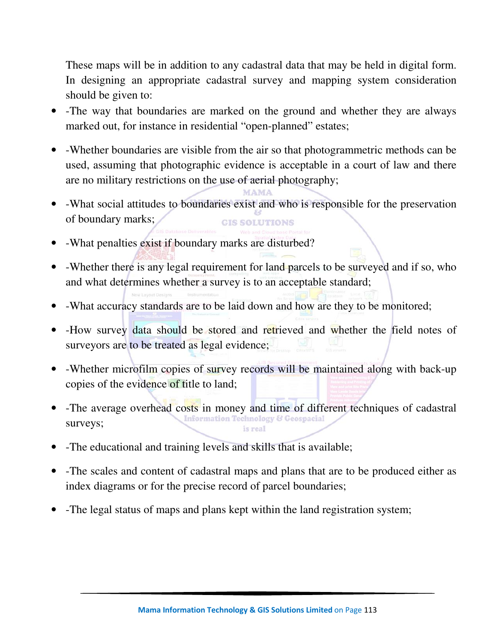These maps will be in addition to any cadastral data that may be held in digital form. In designing an appropriate cadastral survey and mapping system consideration should be given to:

- -The way that boundaries are marked on the ground and whether they are always marked out, for instance in residential "open-planned" estates;
- -Whether boundaries are visible from the air so that photogrammetric methods can be used, assuming that photographic evidence is acceptable in a court of law and there are no military restrictions on the use of aerial photography;
- -What social attitudes to boundaries exist and who is responsible for the preservation of boundary marks; **GIS SOLUTIONS**

MAMA

- -What penalties exist if boundary marks are disturbed?
- -Whether there is any legal requirement for land parcels to be surveyed and if so, who and what determines whether a survey is to an acceptable standard;
- -What accuracy standards are to be laid down and how are they to be monitored;
- -How survey data should be stored and retrieved and whether the field notes of surveyors are to be treated as legal evidence;
- -Whether microfilm copies of survey records will be maintained along with back-up copies of the evidence of title to land;
- -The average overhead costs in money and time of different techniques of cadastral surveys; is real
- -The educational and training levels and skills that is available;
- -The scales and content of cadastral maps and plans that are to be produced either as index diagrams or for the precise record of parcel boundaries;
- -The legal status of maps and plans kept within the land registration system;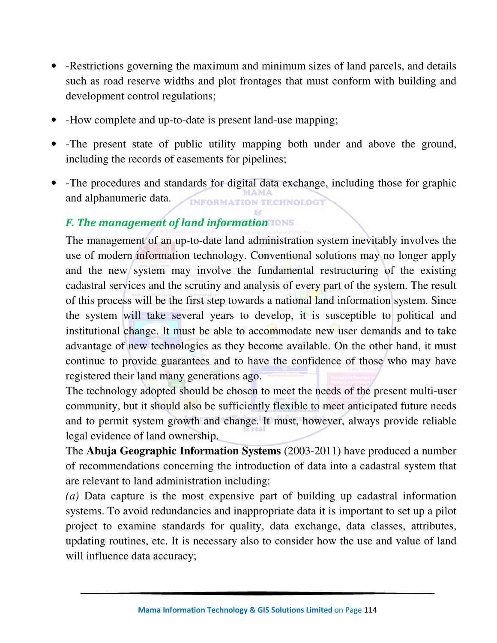- -Restrictions governing the maximum and minimum sizes of land parcels, and details such as road reserve widths and plot frontages that must conform with building and development control regulations;
- -How complete and up-to-date is present land-use mapping;
- -The present state of public utility mapping both under and above the ground, including the records of easements for pipelines;
- -The procedures and standards for digital data exchange, including those for graphic and alphanumeric data. **INFORMATION TECHNOLOGY**

# *F. The management of land information*

The management of an up-to-date land administration system inevitably involves the use of modern information technology. Conventional solutions may no longer apply and the new system may involve the fundamental restructuring of the existing cadastral services and the scrutiny and analysis of every part of the system. The result of this process will be the first step towards a national land information system. Since the system will take several years to develop, it is susceptible to political and institutional change. It must be able to accommodate new user demands and to take advantage of new technologies as they become available. On the other hand, it must continue to provide guarantees and to have the confidence of those who may have registered their land many generations ago.

The technology adopted should be chosen to meet the needs of the present multi-user community, but it should also be sufficiently flexible to meet anticipated future needs and to permit system growth and change. It must, however, always provide reliable legal evidence of land ownership.

The **Abuja Geographic Information Systems** (2003-2011) have produced a number of recommendations concerning the introduction of data into a cadastral system that are relevant to land administration including:

*(a)* Data capture is the most expensive part of building up cadastral information systems. To avoid redundancies and inappropriate data it is important to set up a pilot project to examine standards for quality, data exchange, data classes, attributes, updating routines, etc. It is necessary also to consider how the use and value of land will influence data accuracy;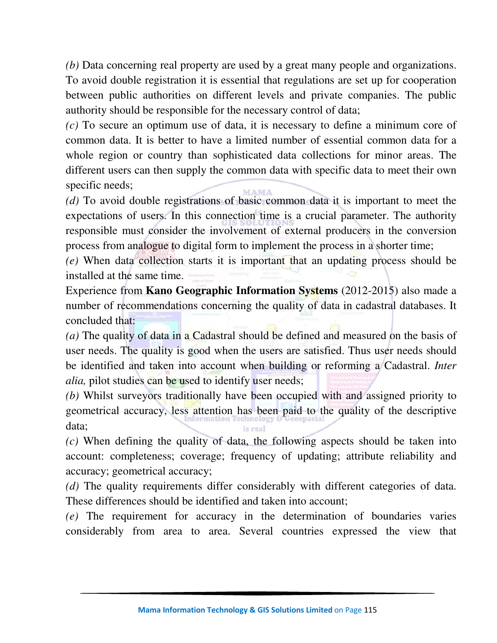*(b)* Data concerning real property are used by a great many people and organizations. To avoid double registration it is essential that regulations are set up for cooperation between public authorities on different levels and private companies. The public authority should be responsible for the necessary control of data;

*(c)* To secure an optimum use of data, it is necessary to define a minimum core of common data. It is better to have a limited number of essential common data for a whole region or country than sophisticated data collections for minor areas. The different users can then supply the common data with specific data to meet their own specific needs;

*(d)* To avoid double registrations of basic common data it is important to meet the expectations of users. In this connection time is a crucial parameter. The authority responsible must consider the involvement of external producers in the conversion process from analogue to digital form to implement the process in a shorter time;

*(e)* When data collection starts it is important that an updating process should be installed at the same time.

Experience from **Kano Geographic Information Systems** (2012-2015) also made a number of recommendations concerning the quality of data in cadastral databases. It concluded that:

*(a)* The quality of data in a Cadastral should be defined and measured on the basis of user needs. The quality is good when the users are satisfied. Thus user needs should be identified and taken into account when building or reforming a Cadastral. *Inter alia*, pilot studies can be used to identify user needs;

*(b)* Whilst surveyors traditionally have been occupied with and assigned priority to geometrical accuracy, less attention has been paid to the quality of the descriptive data;

*(c)* When defining the quality of data, the following aspects should be taken into account: completeness; coverage; frequency of updating; attribute reliability and accuracy; geometrical accuracy;

*(d)* The quality requirements differ considerably with different categories of data. These differences should be identified and taken into account;

*(e)* The requirement for accuracy in the determination of boundaries varies considerably from area to area. Several countries expressed the view that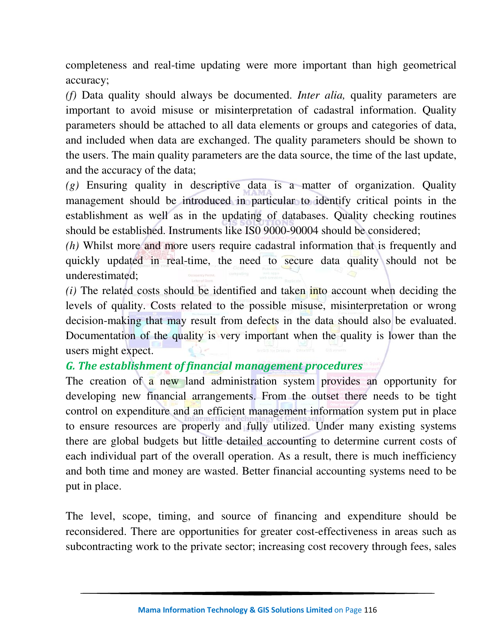completeness and real-time updating were more important than high geometrical accuracy;

*(f)* Data quality should always be documented. *Inter alia,* quality parameters are important to avoid misuse or misinterpretation of cadastral information. Quality parameters should be attached to all data elements or groups and categories of data, and included when data are exchanged. The quality parameters should be shown to the users. The main quality parameters are the data source, the time of the last update, and the accuracy of the data;

*(g)* Ensuring quality in descriptive data is a matter of organization. Quality management should be introduced in particular to identify critical points in the establishment as well as in the updating of databases. Quality checking routines should be established. Instruments like IS0 9000-90004 should be considered;

*(h)* Whilst more and more users require cadastral information that is frequently and quickly updated in real-time, the need to secure data quality should not be underestimated;

*(i)* The related costs should be identified and taken into account when deciding the levels of quality. Costs related to the possible misuse, misinterpretation or wrong decision-making that may result from defects in the data should also be evaluated. Documentation of the quality is very important when the quality is lower than the users might expect.

# *G. The establishment of financial management procedures*

The creation of a new land administration system provides an opportunity for developing new financial arrangements. From the outset there needs to be tight control on expenditure and an efficient management information system put in place to ensure resources are properly and fully utilized. Under many existing systems there are global budgets but little detailed accounting to determine current costs of each individual part of the overall operation. As a result, there is much inefficiency and both time and money are wasted. Better financial accounting systems need to be put in place.

The level, scope, timing, and source of financing and expenditure should be reconsidered. There are opportunities for greater cost-effectiveness in areas such as subcontracting work to the private sector; increasing cost recovery through fees, sales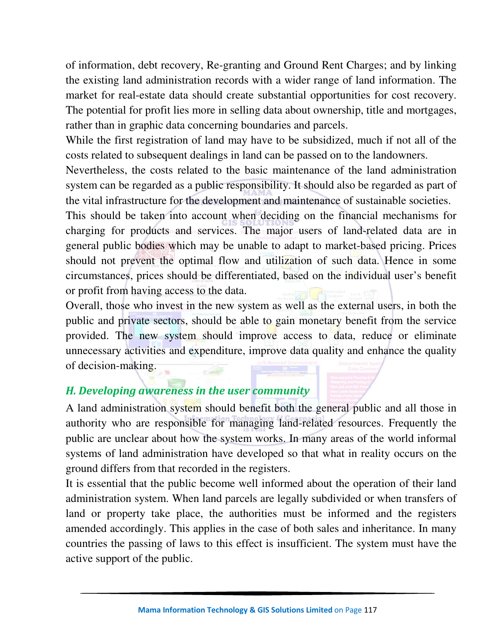of information, debt recovery, Re-granting and Ground Rent Charges; and by linking the existing land administration records with a wider range of land information. The market for real-estate data should create substantial opportunities for cost recovery. The potential for profit lies more in selling data about ownership, title and mortgages, rather than in graphic data concerning boundaries and parcels.

While the first registration of land may have to be subsidized, much if not all of the costs related to subsequent dealings in land can be passed on to the landowners.

Nevertheless, the costs related to the basic maintenance of the land administration system can be regarded as a public responsibility. It should also be regarded as part of the vital infrastructure for the development and maintenance of sustainable societies.

This should be taken into account when deciding on the financial mechanisms for charging for products and services. The major users of land-related data are in general public bodies which may be unable to adapt to market-based pricing. Prices should not prevent the optimal flow and utilization of such data. Hence in some circumstances, prices should be differentiated, based on the individual user's benefit or profit from having access to the data.

Overall, those who invest in the new system as well as the external users, in both the public and private sectors, should be able to gain monetary benefit from the service provided. The new system should improve access to data, reduce or eliminate unnecessary activities and expenditure, improve data quality and enhance the quality of decision-making.

# *H. Developing awareness in the user community*

A land administration system should benefit both the general public and all those in authority who are responsible for managing land-related resources. Frequently the public are unclear about how the system works. In many areas of the world informal systems of land administration have developed so that what in reality occurs on the ground differs from that recorded in the registers.

It is essential that the public become well informed about the operation of their land administration system. When land parcels are legally subdivided or when transfers of land or property take place, the authorities must be informed and the registers amended accordingly. This applies in the case of both sales and inheritance. In many countries the passing of laws to this effect is insufficient. The system must have the active support of the public.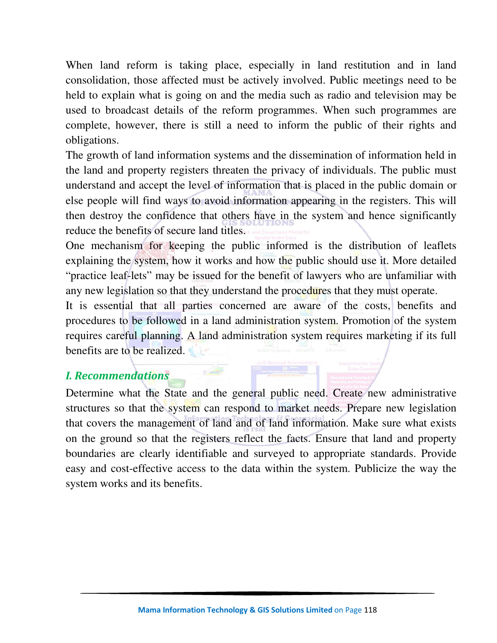When land reform is taking place, especially in land restitution and in land consolidation, those affected must be actively involved. Public meetings need to be held to explain what is going on and the media such as radio and television may be used to broadcast details of the reform programmes. When such programmes are complete, however, there is still a need to inform the public of their rights and obligations.

The growth of land information systems and the dissemination of information held in the land and property registers threaten the privacy of individuals. The public must understand and accept the level of information that is placed in the public domain or else people will find ways to avoid information appearing in the registers. This will then destroy the confidence that others have in the system and hence significantly reduce the benefits of secure land titles.

One mechanism for keeping the public informed is the distribution of leaflets explaining the system, how it works and how the public should use it. More detailed "practice leaf-lets" may be issued for the benefit of lawyers who are unfamiliar with any new legislation so that they understand the procedures that they must operate.

It is essential that all parties concerned are aware of the costs, benefits and procedures to be followed in a land administration system. Promotion of the system requires careful planning. A land administration system requires marketing if its full benefits are to be realized.

# *I. Recommendations*

Determine what the State and the general public need. Create new administrative structures so that the system can respond to market needs. Prepare new legislation that covers the management of land and of land information. Make sure what exists on the ground so that the registers reflect the facts. Ensure that land and property boundaries are clearly identifiable and surveyed to appropriate standards. Provide easy and cost-effective access to the data within the system. Publicize the way the system works and its benefits.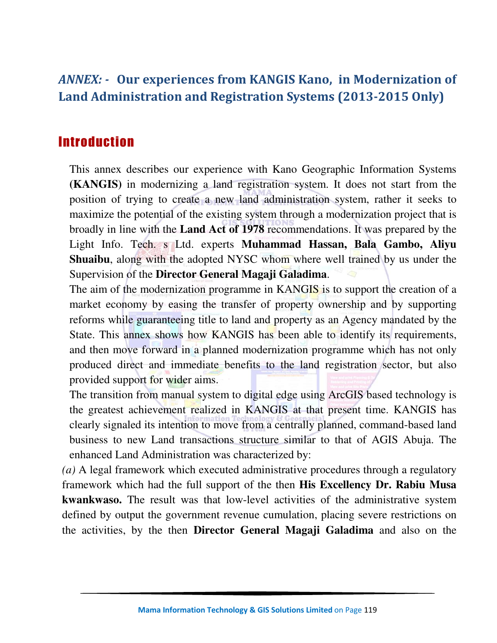# *ANNEX: -* **Our experiences from KANGIS Kano, in Modernization of Land Administration and Registration Systems (2013-2015 Only)**

# Introduction

This annex describes our experience with Kano Geographic Information Systems **(KANGIS)** in modernizing a land registration system. It does not start from the position of trying to create a new land administration system, rather it seeks to maximize the potential of the existing system through a modernization project that is broadly in line with the **Land Act of 1978** recommendations. It was prepared by the Light Info. Tech. s Ltd. experts **Muhammad Hassan, Bala Gambo, Aliyu Shuaibu**, along with the adopted NYSC whom where well trained by us under the Supervision of the **Director General Magaji Galadima**.

The aim of the modernization programme in KANGIS is to support the creation of a market economy by easing the transfer of property ownership and by supporting reforms while guaranteeing title to land and property as an Agency mandated by the State. This annex shows how KANGIS has been able to identify its requirements, and then move forward in a planned modernization programme which has not only produced direct and immediate benefits to the land registration sector, but also provided support for wider aims.

The transition from manual system to digital edge using ArcGIS based technology is the greatest achievement realized in KANGIS at that present time. KANGIS has clearly signaled its intention to move from a centrally planned, command-based land business to new Land transactions structure similar to that of AGIS Abuja. The enhanced Land Administration was characterized by:

*(a)* A legal framework which executed administrative procedures through a regulatory framework which had the full support of the then **His Excellency Dr. Rabiu Musa kwankwaso.** The result was that low-level activities of the administrative system defined by output the government revenue cumulation, placing severe restrictions on the activities, by the then **Director General Magaji Galadima** and also on the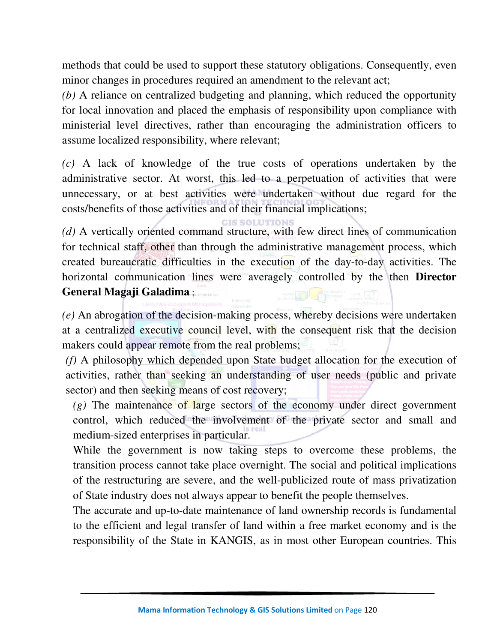methods that could be used to support these statutory obligations. Consequently, even minor changes in procedures required an amendment to the relevant act;

*(b)* A reliance on centralized budgeting and planning, which reduced the opportunity for local innovation and placed the emphasis of responsibility upon compliance with ministerial level directives, rather than encouraging the administration officers to assume localized responsibility, where relevant;

*(c)* A lack of knowledge of the true costs of operations undertaken by the administrative sector. At worst, this led to a perpetuation of activities that were unnecessary, or at best activities were undertaken without due regard for the costs/benefits of those activities and of their financial implications;

#### **CIS SOLUTIONS**

*(d)* A vertically oriented command structure, with few direct lines of communication for technical staff, other than through the administrative management process, which created bureaucratic difficulties in the execution of the day-to-day activities. The horizontal communication lines were averagely controlled by the then **Director General Magaji Galadima** ;

*(e)* An abrogation of the decision-making process, whereby decisions were undertaken at a centralized executive council level, with the consequent risk that the decision makers could appear remote from the real problems;

*(f)* A philosophy which depended upon State budget allocation for the execution of activities, rather than seeking an understanding of user needs (public and private sector) and then seeking means of cost recovery;

 $(g)$  The maintenance of large sectors of the economy under direct government control, which reduced the involvement of the private sector and small and medium-sized enterprises in particular.

While the government is now taking steps to overcome these problems, the transition process cannot take place overnight. The social and political implications of the restructuring are severe, and the well-publicized route of mass privatization of State industry does not always appear to benefit the people themselves.

The accurate and up-to-date maintenance of land ownership records is fundamental to the efficient and legal transfer of land within a free market economy and is the responsibility of the State in KANGIS, as in most other European countries. This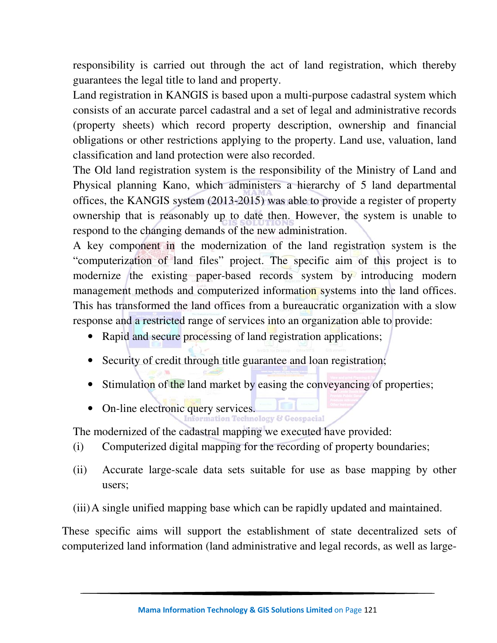responsibility is carried out through the act of land registration, which thereby guarantees the legal title to land and property.

Land registration in KANGIS is based upon a multi-purpose cadastral system which consists of an accurate parcel cadastral and a set of legal and administrative records (property sheets) which record property description, ownership and financial obligations or other restrictions applying to the property. Land use, valuation, land classification and land protection were also recorded.

The Old land registration system is the responsibility of the Ministry of Land and Physical planning Kano, which administers a hierarchy of 5 land departmental offices, the KANGIS system (2013-2015) was able to provide a register of property ownership that is reasonably up to date then. However, the system is unable to respond to the changing demands of the new administration.

A key component in the modernization of the land registration system is the "computerization of land files" project. The specific aim of this project is to modernize the existing paper-based records system by introducing modern management methods and computerized information systems into the land offices. This has transformed the land offices from a bureaucratic organization with a slow response and a restricted range of services into an organization able to provide:

- Rapid and secure processing of land registration applications;
- Security of credit through title guarantee and loan registration;
- Stimulation of the land market by easing the conveyancing of properties;
- On-line electronic query services.

The modernized of the cadastral mapping we executed have provided:

- (i) Computerized digital mapping for the recording of property boundaries;
- (ii) Accurate large-scale data sets suitable for use as base mapping by other users;
- (iii)A single unified mapping base which can be rapidly updated and maintained.

These specific aims will support the establishment of state decentralized sets of computerized land information (land administrative and legal records, as well as large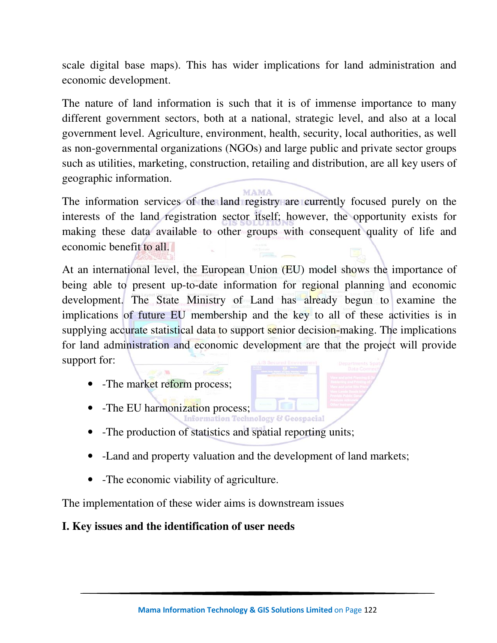scale digital base maps). This has wider implications for land administration and economic development.

The nature of land information is such that it is of immense importance to many different government sectors, both at a national, strategic level, and also at a local government level. Agriculture, environment, health, security, local authorities, as well as non-governmental organizations (NGOs) and large public and private sector groups such as utilities, marketing, construction, retailing and distribution, are all key users of geographic information.

**MAMA** The information services of the land registry are currently focused purely on the interests of the land registration sector itself; however, the opportunity exists for making these data available to other groups with consequent quality of life and economic benefit to all.

At an international level, the European Union (EU) model shows the importance of being able to present up-to-date information for regional planning and economic development. The State Ministry of Land has already begun to examine the implications of future EU membership and the key to all of these activities is in supplying accurate statistical data to support senior decision-making. The implications for land administration and economic development are that the project will provide support for:

- -The market reform process;
- -The EU harmonization process;
- -The production of statistics and spatial reporting units;
- -Land and property valuation and the development of land markets;
- -The economic viability of agriculture.

The implementation of these wider aims is downstream issues

# **I. Key issues and the identification of user needs**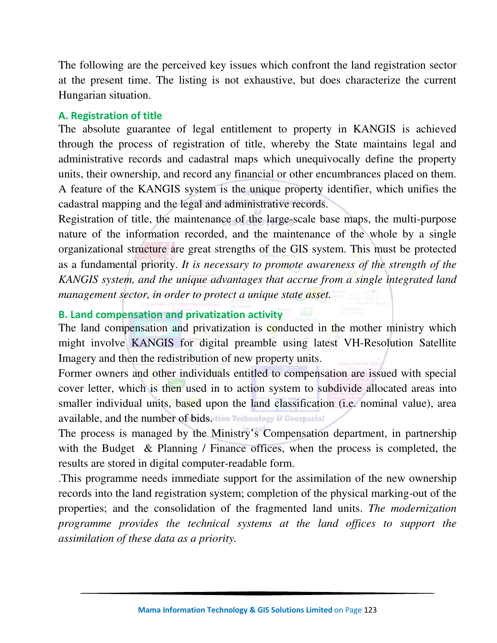The following are the perceived key issues which confront the land registration sector at the present time. The listing is not exhaustive, but does characterize the current Hungarian situation.

#### **A. Registration of title**

The absolute guarantee of legal entitlement to property in KANGIS is achieved through the process of registration of title, whereby the State maintains legal and administrative records and cadastral maps which unequivocally define the property units, their ownership, and record any financial or other encumbrances placed on them. A feature of the KANGIS system is the unique property identifier, which unifies the cadastral mapping and the legal and administrative records.

Registration of title, the maintenance of the large-scale base maps, the multi-purpose nature of the information recorded, and the maintenance of the whole by a single organizational structure are great strengths of the GIS system. This must be protected as a fundamental priority. *It is necessary to promote awareness of the strength of the KANGIS system, and the unique advantages that accrue from a single integrated land management sector, in order to protect a unique state asset.* 

### **B. Land compensation and privatization activity**

The land compensation and privatization is conducted in the mother ministry which might involve KANGIS for digital preamble using latest VH-Resolution Satellite Imagery and then the redistribution of new property units.

Former owners and other individuals entitled to compensation are issued with special cover letter, which is then used in to action system to subdivide allocated areas into smaller individual units, based upon the land classification (i.e. nominal value), area available, and the number of bids, tion Technology & Geospacial

The process is managed by the Ministry's Compensation department, in partnership with the Budget & Planning / Finance offices, when the process is completed, the results are stored in digital computer-readable form.

.This programme needs immediate support for the assimilation of the new ownership records into the land registration system; completion of the physical marking-out of the properties; and the consolidation of the fragmented land units. *The modernization programme provides the technical systems at the land offices to support the assimilation of these data as a priority.*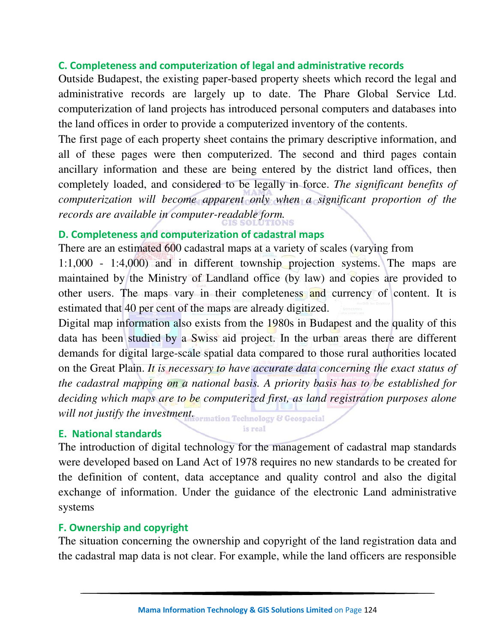### **C. Completeness and computerization of legal and administrative records**

Outside Budapest, the existing paper-based property sheets which record the legal and administrative records are largely up to date. The Phare Global Service Ltd. computerization of land projects has introduced personal computers and databases into the land offices in order to provide a computerized inventory of the contents.

The first page of each property sheet contains the primary descriptive information, and all of these pages were then computerized. The second and third pages contain ancillary information and these are being entered by the district land offices, then completely loaded, and considered to be legally in force. *The significant benefits of computerization will become apparent only when a significant proportion of the records are available in computer-readable form.* 

## **D. Completeness and computerization of cadastral maps**

There are an estimated 600 cadastral maps at a variety of scales (varying from

1:1,000 - 1:4,000) and in different township projection systems. The maps are maintained by the Ministry of Landland office (by law) and copies are provided to other users. The maps vary in their completeness and currency of content. It is estimated that 40 per cent of the maps are already digitized.

Digital map information also exists from the 1980s in Budapest and the quality of this data has been studied by a Swiss aid project. In the urban areas there are different demands for digital large-scale spatial data compared to those rural authorities located on the Great Plain. *It is necessary to have accurate data concerning the exact status of the cadastral mapping on a national basis. A priority basis has to be established for deciding which maps are to be computerized first, as land registration purposes alone* 

*will not justify the investment <u>Formation Technology</u>* & Geospacial is real

#### **E. National standards**

The introduction of digital technology for the management of cadastral map standards were developed based on Land Act of 1978 requires no new standards to be created for the definition of content, data acceptance and quality control and also the digital exchange of information. Under the guidance of the electronic Land administrative systems

#### **F. Ownership and copyright**

The situation concerning the ownership and copyright of the land registration data and the cadastral map data is not clear. For example, while the land officers are responsible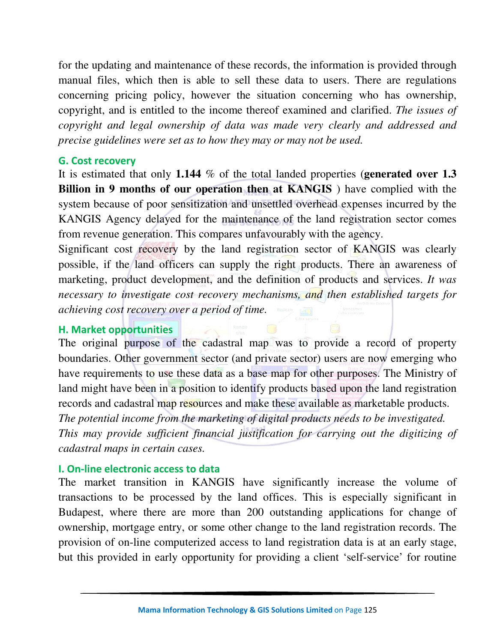for the updating and maintenance of these records, the information is provided through manual files, which then is able to sell these data to users. There are regulations concerning pricing policy, however the situation concerning who has ownership, copyright, and is entitled to the income thereof examined and clarified. *The issues of copyright and legal ownership of data was made very clearly and addressed and precise guidelines were set as to how they may or may not be used.* 

#### **G. Cost recovery**

It is estimated that only **1.144** % of the total landed properties (**generated over 1.3 Billion in 9 months of our operation then at KANGIS** ) have complied with the system because of poor sensitization and unsettled overhead expenses incurred by the KANGIS Agency delayed for the maintenance of the land registration sector comes from revenue generation. This compares unfavourably with the agency.

Significant cost recovery by the land registration sector of KANGIS was clearly possible, if the land officers can supply the right products. There an awareness of marketing, product development, and the definition of products and services. *It was necessary to investigate cost recovery mechanisms, and then established targets for achieving cost recovery over a period of time.* 

#### **H. Market opportunities**

The original purpose of the cadastral map was to provide a record of property boundaries. Other government sector (and private sector) users are now emerging who have requirements to use these data as a base map for other purposes. The Ministry of land might have been in a position to identify products based upon the land registration records and cadastral map resources and make these available as marketable products.

*The potential income from the marketing of digital products needs to be investigated. This may provide sufficient financial justification for carrying out the digitizing of cadastral maps in certain cases.*

#### **I. On-line electronic access to data**

The market transition in KANGIS have significantly increase the volume of transactions to be processed by the land offices. This is especially significant in Budapest, where there are more than 200 outstanding applications for change of ownership, mortgage entry, or some other change to the land registration records. The provision of on-line computerized access to land registration data is at an early stage, but this provided in early opportunity for providing a client 'self-service' for routine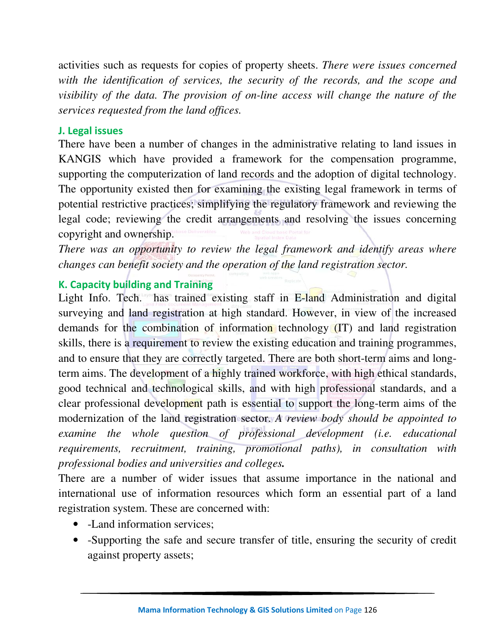activities such as requests for copies of property sheets. *There were issues concerned*  with the identification of services, the security of the records, and the scope and *visibility of the data. The provision of on-line access will change the nature of the services requested from the land offices.* 

#### **J. Legal issues**

There have been a number of changes in the administrative relating to land issues in KANGIS which have provided a framework for the compensation programme, supporting the computerization of land records and the adoption of digital technology. The opportunity existed then for examining the existing legal framework in terms of potential restrictive practices; simplifying the regulatory framework and reviewing the legal code; reviewing the credit arrangements and resolving the issues concerning copyright and ownership.

*There was an opportunity to review the legal framework and identify areas where changes can benefit society and the operation of the land registration sector.* 

## **K. Capacity building and Training**

Light Info. Tech. has trained existing staff in E-land Administration and digital surveying and land registration at high standard. However, in view of the increased demands for the combination of information technology (IT) and land registration skills, there is a requirement to review the existing education and training programmes, and to ensure that they are correctly targeted. There are both short-term aims and longterm aims. The development of a highly trained workforce, with high ethical standards, good technical and technological skills, and with high professional standards, and a clear professional development path is essential to support the long-term aims of the modernization of the land registration sector. *A review body should be appointed to examine the whole question of professional development (i.e. educational requirements, recruitment, training, promotional paths), in consultation with professional bodies and universities and colleges.*

There are a number of wider issues that assume importance in the national and international use of information resources which form an essential part of a land registration system. These are concerned with:

- -Land information services;
- -Supporting the safe and secure transfer of title, ensuring the security of credit against property assets;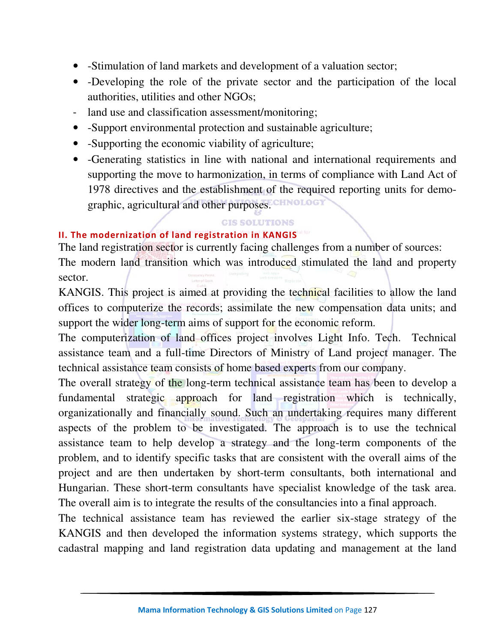- -Stimulation of land markets and development of a valuation sector;
- -Developing the role of the private sector and the participation of the local authorities, utilities and other NGOs;
- land use and classification assessment/monitoring;
- -Support environmental protection and sustainable agriculture;
- -Supporting the economic viability of agriculture;
- -Generating statistics in line with national and international requirements and supporting the move to harmonization, in terms of compliance with Land Act of 1978 directives and the establishment of the required reporting units for demographic, agricultural and other purposes.

#### **GIS SOLUTIONS**

#### **II. The modernization of land registration in KANGIS**

The land registration sector is currently facing challenges from a number of sources: The modern land transition which was introduced stimulated the land and property sector.

KANGIS. This project is aimed at providing the technical facilities to allow the land offices to computerize the records; assimilate the new compensation data units; and support the wider long-term aims of support for the economic reform.

The computerization of land offices project involves Light Info. Tech. Technical assistance team and a full-time Directors of Ministry of Land project manager. The technical assistance team consists of home based experts from our company.

The overall strategy of the long-term technical assistance team has been to develop a fundamental strategic approach for land registration which is technically, organizationally and financially sound. Such an undertaking requires many different aspects of the problem to be investigated. The approach is to use the technical assistance team to help develop a strategy and the long-term components of the problem, and to identify specific tasks that are consistent with the overall aims of the project and are then undertaken by short-term consultants, both international and Hungarian. These short-term consultants have specialist knowledge of the task area. The overall aim is to integrate the results of the consultancies into a final approach.

The technical assistance team has reviewed the earlier six-stage strategy of the KANGIS and then developed the information systems strategy, which supports the cadastral mapping and land registration data updating and management at the land